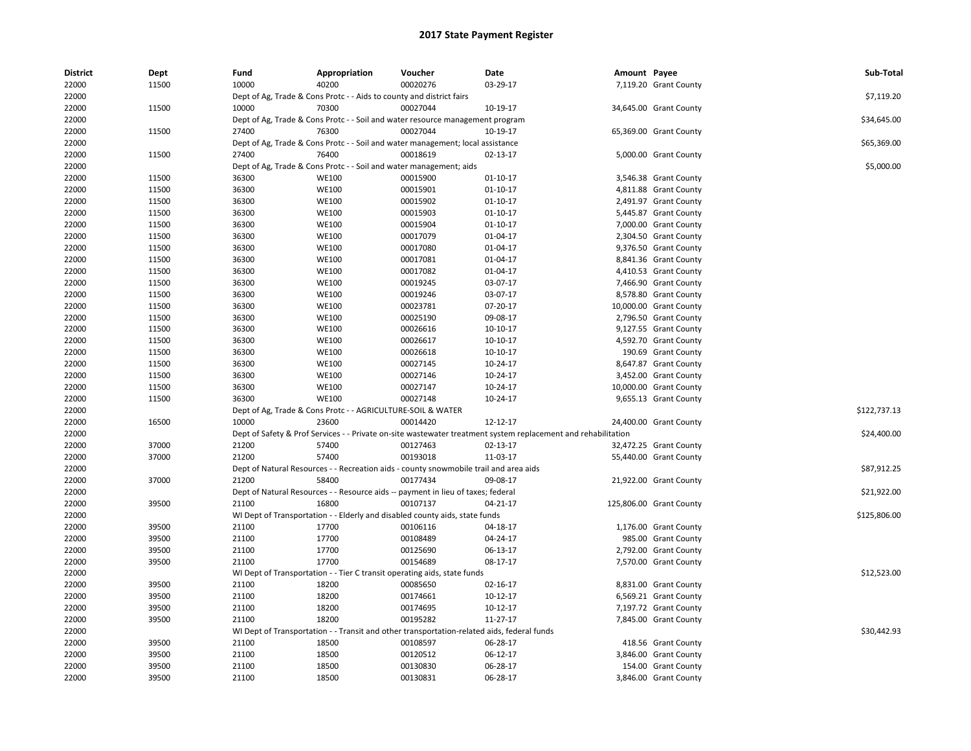| <b>District</b> | Dept  | Fund  | Appropriation                                                        | Voucher                                                                                    | Date                                                                                                          | Amount Payee |                         | Sub-Total    |
|-----------------|-------|-------|----------------------------------------------------------------------|--------------------------------------------------------------------------------------------|---------------------------------------------------------------------------------------------------------------|--------------|-------------------------|--------------|
| 22000           | 11500 | 10000 | 40200                                                                | 00020276                                                                                   | 03-29-17                                                                                                      |              | 7,119.20 Grant County   |              |
| 22000           |       |       | Dept of Ag, Trade & Cons Protc - - Aids to county and district fairs |                                                                                            |                                                                                                               |              |                         | \$7,119.20   |
| 22000           | 11500 | 10000 | 70300                                                                | 00027044                                                                                   | 10-19-17                                                                                                      |              | 34,645.00 Grant County  |              |
| 22000           |       |       |                                                                      | Dept of Ag, Trade & Cons Protc - - Soil and water resource management program              |                                                                                                               |              |                         | \$34,645.00  |
| 22000           | 11500 | 27400 | 76300                                                                | 00027044                                                                                   | 10-19-17                                                                                                      |              | 65,369.00 Grant County  |              |
| 22000           |       |       |                                                                      | Dept of Ag, Trade & Cons Protc - - Soil and water management; local assistance             |                                                                                                               |              |                         | \$65,369.00  |
| 22000           | 11500 | 27400 | 76400                                                                | 00018619                                                                                   | 02-13-17                                                                                                      |              | 5,000.00 Grant County   |              |
| 22000           |       |       | Dept of Ag, Trade & Cons Protc - - Soil and water management; aids   |                                                                                            |                                                                                                               |              |                         | \$5,000.00   |
| 22000           | 11500 | 36300 | <b>WE100</b>                                                         | 00015900                                                                                   | $01 - 10 - 17$                                                                                                |              | 3,546.38 Grant County   |              |
| 22000           | 11500 | 36300 | <b>WE100</b>                                                         | 00015901                                                                                   | $01 - 10 - 17$                                                                                                |              | 4,811.88 Grant County   |              |
| 22000           | 11500 | 36300 | <b>WE100</b>                                                         | 00015902                                                                                   | $01 - 10 - 17$                                                                                                |              | 2,491.97 Grant County   |              |
| 22000           | 11500 | 36300 | <b>WE100</b>                                                         | 00015903                                                                                   | 01-10-17                                                                                                      |              | 5,445.87 Grant County   |              |
| 22000           | 11500 | 36300 | <b>WE100</b>                                                         | 00015904                                                                                   | 01-10-17                                                                                                      |              | 7,000.00 Grant County   |              |
| 22000           | 11500 | 36300 | <b>WE100</b>                                                         | 00017079                                                                                   | 01-04-17                                                                                                      |              | 2,304.50 Grant County   |              |
| 22000           | 11500 | 36300 | <b>WE100</b>                                                         | 00017080                                                                                   | 01-04-17                                                                                                      |              | 9,376.50 Grant County   |              |
| 22000           | 11500 | 36300 | <b>WE100</b>                                                         | 00017081                                                                                   | 01-04-17                                                                                                      |              | 8,841.36 Grant County   |              |
| 22000           | 11500 | 36300 | <b>WE100</b>                                                         | 00017082                                                                                   | $01 - 04 - 17$                                                                                                |              | 4,410.53 Grant County   |              |
| 22000           | 11500 | 36300 | <b>WE100</b>                                                         | 00019245                                                                                   | 03-07-17                                                                                                      |              | 7,466.90 Grant County   |              |
| 22000           | 11500 | 36300 | <b>WE100</b>                                                         | 00019246                                                                                   | 03-07-17                                                                                                      |              | 8,578.80 Grant County   |              |
| 22000           | 11500 | 36300 | <b>WE100</b>                                                         | 00023781                                                                                   | 07-20-17                                                                                                      |              | 10,000.00 Grant County  |              |
| 22000           | 11500 | 36300 | <b>WE100</b>                                                         | 00025190                                                                                   | 09-08-17                                                                                                      |              | 2,796.50 Grant County   |              |
| 22000           | 11500 | 36300 | <b>WE100</b>                                                         | 00026616                                                                                   | 10-10-17                                                                                                      |              | 9,127.55 Grant County   |              |
| 22000           | 11500 | 36300 | <b>WE100</b>                                                         | 00026617                                                                                   | 10-10-17                                                                                                      |              | 4,592.70 Grant County   |              |
| 22000           | 11500 | 36300 | <b>WE100</b>                                                         | 00026618                                                                                   | 10-10-17                                                                                                      |              | 190.69 Grant County     |              |
| 22000           | 11500 | 36300 | <b>WE100</b>                                                         | 00027145                                                                                   | 10-24-17                                                                                                      |              | 8,647.87 Grant County   |              |
| 22000           | 11500 | 36300 | <b>WE100</b>                                                         | 00027146                                                                                   | 10-24-17                                                                                                      |              | 3,452.00 Grant County   |              |
| 22000           | 11500 | 36300 | <b>WE100</b>                                                         | 00027147                                                                                   | 10-24-17                                                                                                      |              | 10,000.00 Grant County  |              |
| 22000           | 11500 | 36300 | <b>WE100</b>                                                         | 00027148                                                                                   | 10-24-17                                                                                                      |              | 9,655.13 Grant County   |              |
| 22000           |       |       | Dept of Ag, Trade & Cons Protc - - AGRICULTURE-SOIL & WATER          |                                                                                            |                                                                                                               |              |                         | \$122,737.13 |
| 22000           | 16500 | 10000 | 23600                                                                | 00014420                                                                                   | 12-12-17                                                                                                      |              | 24,400.00 Grant County  |              |
| 22000           |       |       |                                                                      |                                                                                            | Dept of Safety & Prof Services - - Private on-site wastewater treatment system replacement and rehabilitation |              |                         | \$24,400.00  |
| 22000           | 37000 | 21200 | 57400                                                                | 00127463                                                                                   | 02-13-17                                                                                                      |              | 32,472.25 Grant County  |              |
| 22000           | 37000 | 21200 | 57400                                                                | 00193018                                                                                   | 11-03-17                                                                                                      |              | 55,440.00 Grant County  |              |
| 22000           |       |       |                                                                      | Dept of Natural Resources - - Recreation aids - county snowmobile trail and area aids      |                                                                                                               |              |                         | \$87,912.25  |
| 22000           | 37000 | 21200 | 58400                                                                | 00177434                                                                                   | 09-08-17                                                                                                      |              | 21,922.00 Grant County  |              |
| 22000           |       |       |                                                                      | Dept of Natural Resources - - Resource aids -- payment in lieu of taxes; federal           |                                                                                                               |              |                         | \$21,922.00  |
| 22000           | 39500 | 21100 | 16800                                                                | 00107137                                                                                   | 04-21-17                                                                                                      |              | 125,806.00 Grant County |              |
| 22000           |       |       |                                                                      | WI Dept of Transportation - - Elderly and disabled county aids, state funds                |                                                                                                               |              |                         | \$125,806.00 |
| 22000           | 39500 | 21100 | 17700                                                                | 00106116                                                                                   | 04-18-17                                                                                                      |              | 1,176.00 Grant County   |              |
| 22000           | 39500 | 21100 | 17700                                                                | 00108489                                                                                   | 04-24-17                                                                                                      |              | 985.00 Grant County     |              |
| 22000           | 39500 | 21100 | 17700                                                                | 00125690                                                                                   | 06-13-17                                                                                                      |              | 2,792.00 Grant County   |              |
| 22000           | 39500 | 21100 | 17700                                                                | 00154689                                                                                   | 08-17-17                                                                                                      |              | 7,570.00 Grant County   |              |
| 22000           |       |       |                                                                      | WI Dept of Transportation - - Tier C transit operating aids, state funds                   |                                                                                                               |              |                         | \$12,523.00  |
| 22000           | 39500 | 21100 | 18200                                                                | 00085650                                                                                   | 02-16-17                                                                                                      |              | 8,831.00 Grant County   |              |
| 22000           | 39500 | 21100 | 18200                                                                | 00174661                                                                                   | 10-12-17                                                                                                      |              | 6,569.21 Grant County   |              |
| 22000           | 39500 | 21100 | 18200                                                                | 00174695                                                                                   | 10-12-17                                                                                                      |              | 7,197.72 Grant County   |              |
| 22000           | 39500 | 21100 | 18200                                                                | 00195282                                                                                   | 11-27-17                                                                                                      |              | 7,845.00 Grant County   |              |
| 22000           |       |       |                                                                      | WI Dept of Transportation - - Transit and other transportation-related aids, federal funds |                                                                                                               |              |                         | \$30,442.93  |
| 22000           | 39500 | 21100 | 18500                                                                | 00108597                                                                                   | 06-28-17                                                                                                      |              | 418.56 Grant County     |              |
| 22000           | 39500 | 21100 | 18500                                                                | 00120512                                                                                   | 06-12-17                                                                                                      |              | 3,846.00 Grant County   |              |
| 22000           | 39500 | 21100 | 18500                                                                | 00130830                                                                                   | 06-28-17                                                                                                      |              | 154.00 Grant County     |              |
| 22000           | 39500 | 21100 | 18500                                                                | 00130831                                                                                   | 06-28-17                                                                                                      |              | 3,846.00 Grant County   |              |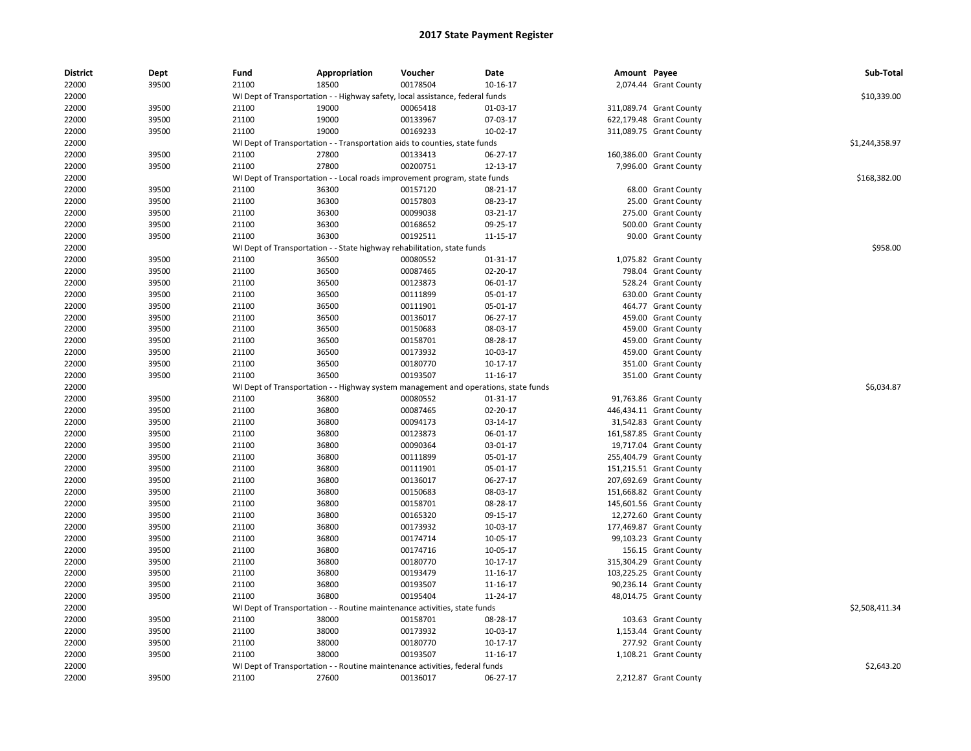| <b>District</b> | Dept  | Fund  | Appropriation                                                                       | Voucher  | Date       | Amount Payee |                         | Sub-Total      |
|-----------------|-------|-------|-------------------------------------------------------------------------------------|----------|------------|--------------|-------------------------|----------------|
| 22000           | 39500 | 21100 | 18500                                                                               | 00178504 | 10-16-17   |              | 2,074.44 Grant County   |                |
| 22000           |       |       | WI Dept of Transportation - - Highway safety, local assistance, federal funds       |          |            |              |                         | \$10,339.00    |
| 22000           | 39500 | 21100 | 19000                                                                               | 00065418 | 01-03-17   |              | 311,089.74 Grant County |                |
| 22000           | 39500 | 21100 | 19000                                                                               | 00133967 | 07-03-17   |              | 622,179.48 Grant County |                |
| 22000           | 39500 | 21100 | 19000                                                                               | 00169233 | 10-02-17   |              | 311,089.75 Grant County |                |
| 22000           |       |       | WI Dept of Transportation - - Transportation aids to counties, state funds          |          |            |              |                         | \$1,244,358.97 |
| 22000           | 39500 | 21100 | 27800                                                                               | 00133413 | 06-27-17   |              | 160,386.00 Grant County |                |
| 22000           | 39500 | 21100 | 27800                                                                               | 00200751 | 12-13-17   |              | 7,996.00 Grant County   |                |
| 22000           |       |       | WI Dept of Transportation - - Local roads improvement program, state funds          |          |            |              |                         | \$168,382.00   |
| 22000           | 39500 | 21100 | 36300                                                                               | 00157120 | 08-21-17   |              | 68.00 Grant County      |                |
| 22000           | 39500 | 21100 | 36300                                                                               | 00157803 | 08-23-17   |              | 25.00 Grant County      |                |
| 22000           | 39500 | 21100 | 36300                                                                               | 00099038 | 03-21-17   |              | 275.00 Grant County     |                |
| 22000           | 39500 | 21100 | 36300                                                                               | 00168652 | 09-25-17   |              | 500.00 Grant County     |                |
| 22000           | 39500 | 21100 | 36300                                                                               | 00192511 | 11-15-17   |              | 90.00 Grant County      |                |
| 22000           |       |       | WI Dept of Transportation - - State highway rehabilitation, state funds             |          |            |              |                         | \$958.00       |
| 22000           | 39500 | 21100 | 36500                                                                               | 00080552 | 01-31-17   |              | 1,075.82 Grant County   |                |
| 22000           | 39500 | 21100 | 36500                                                                               | 00087465 | 02-20-17   |              | 798.04 Grant County     |                |
| 22000           | 39500 | 21100 | 36500                                                                               | 00123873 | 06-01-17   |              | 528.24 Grant County     |                |
| 22000           | 39500 | 21100 | 36500                                                                               | 00111899 | 05-01-17   |              | 630.00 Grant County     |                |
| 22000           | 39500 | 21100 | 36500                                                                               | 00111901 | 05-01-17   |              | 464.77 Grant County     |                |
| 22000           | 39500 | 21100 | 36500                                                                               | 00136017 | 06-27-17   |              | 459.00 Grant County     |                |
| 22000           | 39500 | 21100 | 36500                                                                               | 00150683 | 08-03-17   |              | 459.00 Grant County     |                |
| 22000           | 39500 | 21100 | 36500                                                                               | 00158701 | 08-28-17   |              | 459.00 Grant County     |                |
| 22000           | 39500 | 21100 | 36500                                                                               | 00173932 | 10-03-17   |              | 459.00 Grant County     |                |
| 22000           | 39500 | 21100 | 36500                                                                               | 00180770 | 10-17-17   |              | 351.00 Grant County     |                |
| 22000           | 39500 | 21100 | 36500                                                                               | 00193507 | 11-16-17   |              | 351.00 Grant County     |                |
| 22000           |       |       | WI Dept of Transportation - - Highway system management and operations, state funds |          |            |              |                         | \$6,034.87     |
| 22000           | 39500 | 21100 | 36800                                                                               | 00080552 | 01-31-17   |              | 91,763.86 Grant County  |                |
| 22000           | 39500 | 21100 | 36800                                                                               | 00087465 | 02-20-17   |              | 446,434.11 Grant County |                |
| 22000           | 39500 | 21100 | 36800                                                                               | 00094173 | 03-14-17   |              | 31,542.83 Grant County  |                |
| 22000           | 39500 | 21100 | 36800                                                                               | 00123873 | 06-01-17   |              | 161,587.85 Grant County |                |
| 22000           | 39500 | 21100 | 36800                                                                               | 00090364 | 03-01-17   |              | 19,717.04 Grant County  |                |
| 22000           | 39500 | 21100 | 36800                                                                               | 00111899 | 05-01-17   |              | 255,404.79 Grant County |                |
| 22000           | 39500 | 21100 | 36800                                                                               | 00111901 | 05-01-17   |              | 151,215.51 Grant County |                |
| 22000           | 39500 | 21100 | 36800                                                                               | 00136017 | 06-27-17   |              | 207,692.69 Grant County |                |
| 22000           | 39500 | 21100 | 36800                                                                               | 00150683 | 08-03-17   |              | 151,668.82 Grant County |                |
| 22000           | 39500 | 21100 | 36800                                                                               | 00158701 | 08-28-17   |              | 145,601.56 Grant County |                |
| 22000           | 39500 | 21100 | 36800                                                                               | 00165320 | 09-15-17   |              | 12,272.60 Grant County  |                |
| 22000           | 39500 | 21100 | 36800                                                                               | 00173932 | 10-03-17   |              | 177,469.87 Grant County |                |
| 22000           | 39500 | 21100 | 36800                                                                               | 00174714 | 10-05-17   |              | 99,103.23 Grant County  |                |
| 22000           | 39500 | 21100 | 36800                                                                               | 00174716 | 10-05-17   |              | 156.15 Grant County     |                |
| 22000           | 39500 | 21100 | 36800                                                                               | 00180770 | 10-17-17   |              | 315,304.29 Grant County |                |
| 22000           | 39500 | 21100 | 36800                                                                               | 00193479 | 11-16-17   |              | 103,225.25 Grant County |                |
| 22000           | 39500 | 21100 | 36800                                                                               | 00193507 | 11-16-17   |              | 90,236.14 Grant County  |                |
| 22000           | 39500 | 21100 | 36800                                                                               | 00195404 | 11-24-17   |              | 48,014.75 Grant County  |                |
| 22000           |       |       | WI Dept of Transportation - - Routine maintenance activities, state funds           |          |            |              |                         | \$2,508,411.34 |
| 22000           | 39500 | 21100 | 38000                                                                               | 00158701 | 08-28-17   |              | 103.63 Grant County     |                |
| 22000           | 39500 | 21100 | 38000                                                                               | 00173932 | 10-03-17   |              | 1,153.44 Grant County   |                |
| 22000           | 39500 | 21100 | 38000                                                                               | 00180770 | $10-17-17$ |              | 277.92 Grant County     |                |
| 22000           | 39500 | 21100 | 38000                                                                               | 00193507 | 11-16-17   |              | 1,108.21 Grant County   |                |
| 22000           |       |       | WI Dept of Transportation - - Routine maintenance activities, federal funds         |          |            |              |                         | \$2,643.20     |
| 22000           | 39500 | 21100 | 27600                                                                               | 00136017 | 06-27-17   |              | 2,212.87 Grant County   |                |
|                 |       |       |                                                                                     |          |            |              |                         |                |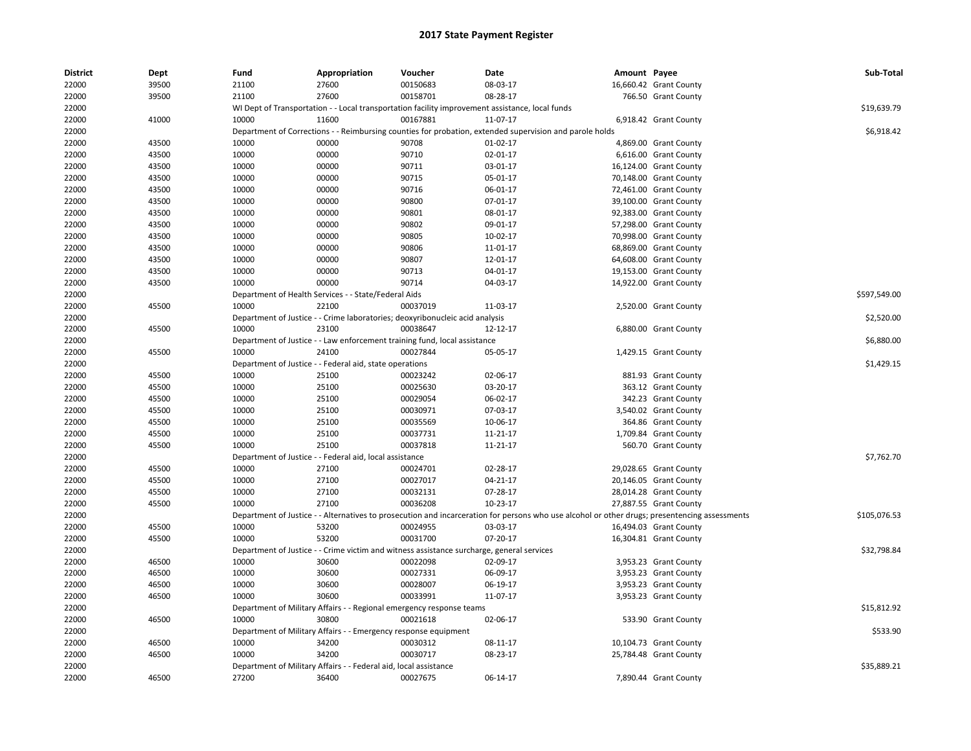| 22000<br>39500<br>21100<br>27600<br>00150683<br>08-03-17<br>16,660.42 Grant County<br>00158701<br>22000<br>39500<br>21100<br>27600<br>08-28-17<br>766.50 Grant County<br>WI Dept of Transportation - - Local transportation facility improvement assistance, local funds<br>\$19,639.79<br>22000<br>22000<br>41000<br>10000<br>11600<br>00167881<br>11-07-17<br>6,918.42 Grant County<br>\$6,918.42<br>22000<br>Department of Corrections - - Reimbursing counties for probation, extended supervision and parole holds<br>22000<br>43500<br>10000<br>00000<br>90708<br>01-02-17<br>4,869.00 Grant County<br>22000<br>43500<br>10000<br>00000<br>90710<br>02-01-17<br>6,616.00 Grant County<br>90711<br>22000<br>43500<br>10000<br>00000<br>03-01-17<br>16,124.00 Grant County<br>43500<br>10000<br>00000<br>90715<br>05-01-17<br>70,148.00 Grant County<br>22000<br>90716<br>22000<br>43500<br>10000<br>00000<br>06-01-17<br>72,461.00 Grant County<br>22000<br>43500<br>10000<br>00000<br>90800<br>07-01-17<br>39,100.00 Grant County<br>22000<br>10000<br>00000<br>90801<br>43500<br>08-01-17<br>92,383.00 Grant County<br>22000<br>43500<br>10000<br>00000<br>90802<br>09-01-17<br>57,298.00 Grant County<br>22000<br>43500<br>10000<br>00000<br>90805<br>10-02-17<br>70,998.00 Grant County<br>10000<br>90806<br>22000<br>43500<br>00000<br>11-01-17<br>68,869.00 Grant County<br>90807<br>22000<br>43500<br>10000<br>00000<br>12-01-17<br>64,608.00 Grant County<br>10000<br>00000<br>90713<br>04-01-17<br>22000<br>43500<br>19,153.00 Grant County<br>22000<br>43500<br>10000<br>00000<br>90714<br>04-03-17<br>14,922.00 Grant County<br>\$597,549.00<br>22000<br>Department of Health Services - - State/Federal Aids<br>45500<br>10000<br>22100<br>00037019<br>11-03-17<br>22000<br>2,520.00 Grant County<br>22000<br>Department of Justice - - Crime laboratories; deoxyribonucleic acid analysis<br>\$2,520.00<br>00038647<br>22000<br>45500<br>10000<br>23100<br>12-12-17<br>6,880.00 Grant County<br>22000<br>Department of Justice - - Law enforcement training fund, local assistance<br>\$6,880.00<br>22000<br>45500<br>10000<br>24100<br>00027844<br>05-05-17<br>1,429.15 Grant County<br>\$1,429.15<br>22000<br>Department of Justice - - Federal aid, state operations<br>22000<br>45500<br>10000<br>25100<br>00023242<br>02-06-17<br>881.93 Grant County<br>22000<br>45500<br>10000<br>25100<br>00025630<br>03-20-17<br>363.12 Grant County<br>22000<br>45500<br>10000<br>25100<br>00029054<br>06-02-17<br>342.23 Grant County<br>10000<br>00030971<br>07-03-17<br>22000<br>45500<br>25100<br>3,540.02 Grant County<br>10000<br>00035569<br>10-06-17<br>364.86 Grant County<br>22000<br>45500<br>25100<br>00037731<br>22000<br>45500<br>10000<br>25100<br>11-21-17<br>1,709.84 Grant County<br>10000<br>25100<br>00037818<br>22000<br>45500<br>11-21-17<br>560.70 Grant County<br>\$7,762.70<br>22000<br>Department of Justice - - Federal aid, local assistance<br>45500<br>10000<br>27100<br>22000<br>00024701<br>02-28-17<br>29,028.65 Grant County<br>22000<br>45500<br>10000<br>27100<br>00027017<br>04-21-17<br>20,146.05 Grant County<br>22000<br>45500<br>10000<br>27100<br>00032131<br>07-28-17<br>28,014.28 Grant County<br>00036208<br>45500<br>10000<br>27100<br>10-23-17<br>27,887.55 Grant County<br>22000<br>22000<br>Department of Justice - - Alternatives to prosecution and incarceration for persons who use alcohol or other drugs; presentencing assessments<br>\$105,076.53<br>22000<br>45500<br>10000<br>53200<br>00024955<br>03-03-17<br>16,494.03 Grant County<br>53200<br>00031700<br>07-20-17<br>22000<br>45500<br>10000<br>16,304.81 Grant County<br>22000<br>Department of Justice - - Crime victim and witness assistance surcharge, general services<br>\$32,798.84<br>22000<br>46500<br>10000<br>30600<br>00022098<br>02-09-17<br>3,953.23 Grant County<br>10000<br>00027331<br>22000<br>46500<br>30600<br>06-09-17<br>3,953.23 Grant County<br>22000<br>46500<br>10000<br>30600<br>00028007<br>06-19-17<br>3,953.23 Grant County<br>10000<br>30600<br>00033991<br>11-07-17<br>22000<br>46500<br>3,953.23 Grant County<br>Department of Military Affairs - - Regional emergency response teams<br>\$15,812.92<br>22000<br>46500<br>10000<br>30800<br>00021618<br>02-06-17<br>533.90 Grant County<br>22000<br>\$533.90<br>22000<br>Department of Military Affairs - - Emergency response equipment<br>22000<br>46500<br>10000<br>34200<br>00030312<br>08-11-17<br>10,104.73 Grant County<br>25,784.48 Grant County | <b>District</b> | Dept  | Fund  | Appropriation | Voucher  | Date     | Amount Payee | Sub-Total |
|------------------------------------------------------------------------------------------------------------------------------------------------------------------------------------------------------------------------------------------------------------------------------------------------------------------------------------------------------------------------------------------------------------------------------------------------------------------------------------------------------------------------------------------------------------------------------------------------------------------------------------------------------------------------------------------------------------------------------------------------------------------------------------------------------------------------------------------------------------------------------------------------------------------------------------------------------------------------------------------------------------------------------------------------------------------------------------------------------------------------------------------------------------------------------------------------------------------------------------------------------------------------------------------------------------------------------------------------------------------------------------------------------------------------------------------------------------------------------------------------------------------------------------------------------------------------------------------------------------------------------------------------------------------------------------------------------------------------------------------------------------------------------------------------------------------------------------------------------------------------------------------------------------------------------------------------------------------------------------------------------------------------------------------------------------------------------------------------------------------------------------------------------------------------------------------------------------------------------------------------------------------------------------------------------------------------------------------------------------------------------------------------------------------------------------------------------------------------------------------------------------------------------------------------------------------------------------------------------------------------------------------------------------------------------------------------------------------------------------------------------------------------------------------------------------------------------------------------------------------------------------------------------------------------------------------------------------------------------------------------------------------------------------------------------------------------------------------------------------------------------------------------------------------------------------------------------------------------------------------------------------------------------------------------------------------------------------------------------------------------------------------------------------------------------------------------------------------------------------------------------------------------------------------------------------------------------------------------------------------------------------------------------------------------------------------------------------------------------------------------------------------------------------------------------------------------------------------------------------------------------------------------------------------------------------------------------------------------------------------------------------------------------------------------------------------------------------------------------------------------------------------------------------------------------------------------------------------------------------------------------------------------------------------------------------------------------------------------------------------------------------------------------------------------------------------------------------------------------------------------------------------------------------------------------------------------|-----------------|-------|-------|---------------|----------|----------|--------------|-----------|
|                                                                                                                                                                                                                                                                                                                                                                                                                                                                                                                                                                                                                                                                                                                                                                                                                                                                                                                                                                                                                                                                                                                                                                                                                                                                                                                                                                                                                                                                                                                                                                                                                                                                                                                                                                                                                                                                                                                                                                                                                                                                                                                                                                                                                                                                                                                                                                                                                                                                                                                                                                                                                                                                                                                                                                                                                                                                                                                                                                                                                                                                                                                                                                                                                                                                                                                                                                                                                                                                                                                                                                                                                                                                                                                                                                                                                                                                                                                                                                                                                                                                                                                                                                                                                                                                                                                                                                                                                                                                                                                                                                        |                 |       |       |               |          |          |              |           |
|                                                                                                                                                                                                                                                                                                                                                                                                                                                                                                                                                                                                                                                                                                                                                                                                                                                                                                                                                                                                                                                                                                                                                                                                                                                                                                                                                                                                                                                                                                                                                                                                                                                                                                                                                                                                                                                                                                                                                                                                                                                                                                                                                                                                                                                                                                                                                                                                                                                                                                                                                                                                                                                                                                                                                                                                                                                                                                                                                                                                                                                                                                                                                                                                                                                                                                                                                                                                                                                                                                                                                                                                                                                                                                                                                                                                                                                                                                                                                                                                                                                                                                                                                                                                                                                                                                                                                                                                                                                                                                                                                                        |                 |       |       |               |          |          |              |           |
|                                                                                                                                                                                                                                                                                                                                                                                                                                                                                                                                                                                                                                                                                                                                                                                                                                                                                                                                                                                                                                                                                                                                                                                                                                                                                                                                                                                                                                                                                                                                                                                                                                                                                                                                                                                                                                                                                                                                                                                                                                                                                                                                                                                                                                                                                                                                                                                                                                                                                                                                                                                                                                                                                                                                                                                                                                                                                                                                                                                                                                                                                                                                                                                                                                                                                                                                                                                                                                                                                                                                                                                                                                                                                                                                                                                                                                                                                                                                                                                                                                                                                                                                                                                                                                                                                                                                                                                                                                                                                                                                                                        |                 |       |       |               |          |          |              |           |
|                                                                                                                                                                                                                                                                                                                                                                                                                                                                                                                                                                                                                                                                                                                                                                                                                                                                                                                                                                                                                                                                                                                                                                                                                                                                                                                                                                                                                                                                                                                                                                                                                                                                                                                                                                                                                                                                                                                                                                                                                                                                                                                                                                                                                                                                                                                                                                                                                                                                                                                                                                                                                                                                                                                                                                                                                                                                                                                                                                                                                                                                                                                                                                                                                                                                                                                                                                                                                                                                                                                                                                                                                                                                                                                                                                                                                                                                                                                                                                                                                                                                                                                                                                                                                                                                                                                                                                                                                                                                                                                                                                        |                 |       |       |               |          |          |              |           |
|                                                                                                                                                                                                                                                                                                                                                                                                                                                                                                                                                                                                                                                                                                                                                                                                                                                                                                                                                                                                                                                                                                                                                                                                                                                                                                                                                                                                                                                                                                                                                                                                                                                                                                                                                                                                                                                                                                                                                                                                                                                                                                                                                                                                                                                                                                                                                                                                                                                                                                                                                                                                                                                                                                                                                                                                                                                                                                                                                                                                                                                                                                                                                                                                                                                                                                                                                                                                                                                                                                                                                                                                                                                                                                                                                                                                                                                                                                                                                                                                                                                                                                                                                                                                                                                                                                                                                                                                                                                                                                                                                                        |                 |       |       |               |          |          |              |           |
|                                                                                                                                                                                                                                                                                                                                                                                                                                                                                                                                                                                                                                                                                                                                                                                                                                                                                                                                                                                                                                                                                                                                                                                                                                                                                                                                                                                                                                                                                                                                                                                                                                                                                                                                                                                                                                                                                                                                                                                                                                                                                                                                                                                                                                                                                                                                                                                                                                                                                                                                                                                                                                                                                                                                                                                                                                                                                                                                                                                                                                                                                                                                                                                                                                                                                                                                                                                                                                                                                                                                                                                                                                                                                                                                                                                                                                                                                                                                                                                                                                                                                                                                                                                                                                                                                                                                                                                                                                                                                                                                                                        |                 |       |       |               |          |          |              |           |
|                                                                                                                                                                                                                                                                                                                                                                                                                                                                                                                                                                                                                                                                                                                                                                                                                                                                                                                                                                                                                                                                                                                                                                                                                                                                                                                                                                                                                                                                                                                                                                                                                                                                                                                                                                                                                                                                                                                                                                                                                                                                                                                                                                                                                                                                                                                                                                                                                                                                                                                                                                                                                                                                                                                                                                                                                                                                                                                                                                                                                                                                                                                                                                                                                                                                                                                                                                                                                                                                                                                                                                                                                                                                                                                                                                                                                                                                                                                                                                                                                                                                                                                                                                                                                                                                                                                                                                                                                                                                                                                                                                        |                 |       |       |               |          |          |              |           |
|                                                                                                                                                                                                                                                                                                                                                                                                                                                                                                                                                                                                                                                                                                                                                                                                                                                                                                                                                                                                                                                                                                                                                                                                                                                                                                                                                                                                                                                                                                                                                                                                                                                                                                                                                                                                                                                                                                                                                                                                                                                                                                                                                                                                                                                                                                                                                                                                                                                                                                                                                                                                                                                                                                                                                                                                                                                                                                                                                                                                                                                                                                                                                                                                                                                                                                                                                                                                                                                                                                                                                                                                                                                                                                                                                                                                                                                                                                                                                                                                                                                                                                                                                                                                                                                                                                                                                                                                                                                                                                                                                                        |                 |       |       |               |          |          |              |           |
|                                                                                                                                                                                                                                                                                                                                                                                                                                                                                                                                                                                                                                                                                                                                                                                                                                                                                                                                                                                                                                                                                                                                                                                                                                                                                                                                                                                                                                                                                                                                                                                                                                                                                                                                                                                                                                                                                                                                                                                                                                                                                                                                                                                                                                                                                                                                                                                                                                                                                                                                                                                                                                                                                                                                                                                                                                                                                                                                                                                                                                                                                                                                                                                                                                                                                                                                                                                                                                                                                                                                                                                                                                                                                                                                                                                                                                                                                                                                                                                                                                                                                                                                                                                                                                                                                                                                                                                                                                                                                                                                                                        |                 |       |       |               |          |          |              |           |
|                                                                                                                                                                                                                                                                                                                                                                                                                                                                                                                                                                                                                                                                                                                                                                                                                                                                                                                                                                                                                                                                                                                                                                                                                                                                                                                                                                                                                                                                                                                                                                                                                                                                                                                                                                                                                                                                                                                                                                                                                                                                                                                                                                                                                                                                                                                                                                                                                                                                                                                                                                                                                                                                                                                                                                                                                                                                                                                                                                                                                                                                                                                                                                                                                                                                                                                                                                                                                                                                                                                                                                                                                                                                                                                                                                                                                                                                                                                                                                                                                                                                                                                                                                                                                                                                                                                                                                                                                                                                                                                                                                        |                 |       |       |               |          |          |              |           |
|                                                                                                                                                                                                                                                                                                                                                                                                                                                                                                                                                                                                                                                                                                                                                                                                                                                                                                                                                                                                                                                                                                                                                                                                                                                                                                                                                                                                                                                                                                                                                                                                                                                                                                                                                                                                                                                                                                                                                                                                                                                                                                                                                                                                                                                                                                                                                                                                                                                                                                                                                                                                                                                                                                                                                                                                                                                                                                                                                                                                                                                                                                                                                                                                                                                                                                                                                                                                                                                                                                                                                                                                                                                                                                                                                                                                                                                                                                                                                                                                                                                                                                                                                                                                                                                                                                                                                                                                                                                                                                                                                                        |                 |       |       |               |          |          |              |           |
|                                                                                                                                                                                                                                                                                                                                                                                                                                                                                                                                                                                                                                                                                                                                                                                                                                                                                                                                                                                                                                                                                                                                                                                                                                                                                                                                                                                                                                                                                                                                                                                                                                                                                                                                                                                                                                                                                                                                                                                                                                                                                                                                                                                                                                                                                                                                                                                                                                                                                                                                                                                                                                                                                                                                                                                                                                                                                                                                                                                                                                                                                                                                                                                                                                                                                                                                                                                                                                                                                                                                                                                                                                                                                                                                                                                                                                                                                                                                                                                                                                                                                                                                                                                                                                                                                                                                                                                                                                                                                                                                                                        |                 |       |       |               |          |          |              |           |
|                                                                                                                                                                                                                                                                                                                                                                                                                                                                                                                                                                                                                                                                                                                                                                                                                                                                                                                                                                                                                                                                                                                                                                                                                                                                                                                                                                                                                                                                                                                                                                                                                                                                                                                                                                                                                                                                                                                                                                                                                                                                                                                                                                                                                                                                                                                                                                                                                                                                                                                                                                                                                                                                                                                                                                                                                                                                                                                                                                                                                                                                                                                                                                                                                                                                                                                                                                                                                                                                                                                                                                                                                                                                                                                                                                                                                                                                                                                                                                                                                                                                                                                                                                                                                                                                                                                                                                                                                                                                                                                                                                        |                 |       |       |               |          |          |              |           |
|                                                                                                                                                                                                                                                                                                                                                                                                                                                                                                                                                                                                                                                                                                                                                                                                                                                                                                                                                                                                                                                                                                                                                                                                                                                                                                                                                                                                                                                                                                                                                                                                                                                                                                                                                                                                                                                                                                                                                                                                                                                                                                                                                                                                                                                                                                                                                                                                                                                                                                                                                                                                                                                                                                                                                                                                                                                                                                                                                                                                                                                                                                                                                                                                                                                                                                                                                                                                                                                                                                                                                                                                                                                                                                                                                                                                                                                                                                                                                                                                                                                                                                                                                                                                                                                                                                                                                                                                                                                                                                                                                                        |                 |       |       |               |          |          |              |           |
|                                                                                                                                                                                                                                                                                                                                                                                                                                                                                                                                                                                                                                                                                                                                                                                                                                                                                                                                                                                                                                                                                                                                                                                                                                                                                                                                                                                                                                                                                                                                                                                                                                                                                                                                                                                                                                                                                                                                                                                                                                                                                                                                                                                                                                                                                                                                                                                                                                                                                                                                                                                                                                                                                                                                                                                                                                                                                                                                                                                                                                                                                                                                                                                                                                                                                                                                                                                                                                                                                                                                                                                                                                                                                                                                                                                                                                                                                                                                                                                                                                                                                                                                                                                                                                                                                                                                                                                                                                                                                                                                                                        |                 |       |       |               |          |          |              |           |
|                                                                                                                                                                                                                                                                                                                                                                                                                                                                                                                                                                                                                                                                                                                                                                                                                                                                                                                                                                                                                                                                                                                                                                                                                                                                                                                                                                                                                                                                                                                                                                                                                                                                                                                                                                                                                                                                                                                                                                                                                                                                                                                                                                                                                                                                                                                                                                                                                                                                                                                                                                                                                                                                                                                                                                                                                                                                                                                                                                                                                                                                                                                                                                                                                                                                                                                                                                                                                                                                                                                                                                                                                                                                                                                                                                                                                                                                                                                                                                                                                                                                                                                                                                                                                                                                                                                                                                                                                                                                                                                                                                        |                 |       |       |               |          |          |              |           |
|                                                                                                                                                                                                                                                                                                                                                                                                                                                                                                                                                                                                                                                                                                                                                                                                                                                                                                                                                                                                                                                                                                                                                                                                                                                                                                                                                                                                                                                                                                                                                                                                                                                                                                                                                                                                                                                                                                                                                                                                                                                                                                                                                                                                                                                                                                                                                                                                                                                                                                                                                                                                                                                                                                                                                                                                                                                                                                                                                                                                                                                                                                                                                                                                                                                                                                                                                                                                                                                                                                                                                                                                                                                                                                                                                                                                                                                                                                                                                                                                                                                                                                                                                                                                                                                                                                                                                                                                                                                                                                                                                                        |                 |       |       |               |          |          |              |           |
|                                                                                                                                                                                                                                                                                                                                                                                                                                                                                                                                                                                                                                                                                                                                                                                                                                                                                                                                                                                                                                                                                                                                                                                                                                                                                                                                                                                                                                                                                                                                                                                                                                                                                                                                                                                                                                                                                                                                                                                                                                                                                                                                                                                                                                                                                                                                                                                                                                                                                                                                                                                                                                                                                                                                                                                                                                                                                                                                                                                                                                                                                                                                                                                                                                                                                                                                                                                                                                                                                                                                                                                                                                                                                                                                                                                                                                                                                                                                                                                                                                                                                                                                                                                                                                                                                                                                                                                                                                                                                                                                                                        |                 |       |       |               |          |          |              |           |
|                                                                                                                                                                                                                                                                                                                                                                                                                                                                                                                                                                                                                                                                                                                                                                                                                                                                                                                                                                                                                                                                                                                                                                                                                                                                                                                                                                                                                                                                                                                                                                                                                                                                                                                                                                                                                                                                                                                                                                                                                                                                                                                                                                                                                                                                                                                                                                                                                                                                                                                                                                                                                                                                                                                                                                                                                                                                                                                                                                                                                                                                                                                                                                                                                                                                                                                                                                                                                                                                                                                                                                                                                                                                                                                                                                                                                                                                                                                                                                                                                                                                                                                                                                                                                                                                                                                                                                                                                                                                                                                                                                        |                 |       |       |               |          |          |              |           |
|                                                                                                                                                                                                                                                                                                                                                                                                                                                                                                                                                                                                                                                                                                                                                                                                                                                                                                                                                                                                                                                                                                                                                                                                                                                                                                                                                                                                                                                                                                                                                                                                                                                                                                                                                                                                                                                                                                                                                                                                                                                                                                                                                                                                                                                                                                                                                                                                                                                                                                                                                                                                                                                                                                                                                                                                                                                                                                                                                                                                                                                                                                                                                                                                                                                                                                                                                                                                                                                                                                                                                                                                                                                                                                                                                                                                                                                                                                                                                                                                                                                                                                                                                                                                                                                                                                                                                                                                                                                                                                                                                                        |                 |       |       |               |          |          |              |           |
|                                                                                                                                                                                                                                                                                                                                                                                                                                                                                                                                                                                                                                                                                                                                                                                                                                                                                                                                                                                                                                                                                                                                                                                                                                                                                                                                                                                                                                                                                                                                                                                                                                                                                                                                                                                                                                                                                                                                                                                                                                                                                                                                                                                                                                                                                                                                                                                                                                                                                                                                                                                                                                                                                                                                                                                                                                                                                                                                                                                                                                                                                                                                                                                                                                                                                                                                                                                                                                                                                                                                                                                                                                                                                                                                                                                                                                                                                                                                                                                                                                                                                                                                                                                                                                                                                                                                                                                                                                                                                                                                                                        |                 |       |       |               |          |          |              |           |
|                                                                                                                                                                                                                                                                                                                                                                                                                                                                                                                                                                                                                                                                                                                                                                                                                                                                                                                                                                                                                                                                                                                                                                                                                                                                                                                                                                                                                                                                                                                                                                                                                                                                                                                                                                                                                                                                                                                                                                                                                                                                                                                                                                                                                                                                                                                                                                                                                                                                                                                                                                                                                                                                                                                                                                                                                                                                                                                                                                                                                                                                                                                                                                                                                                                                                                                                                                                                                                                                                                                                                                                                                                                                                                                                                                                                                                                                                                                                                                                                                                                                                                                                                                                                                                                                                                                                                                                                                                                                                                                                                                        |                 |       |       |               |          |          |              |           |
|                                                                                                                                                                                                                                                                                                                                                                                                                                                                                                                                                                                                                                                                                                                                                                                                                                                                                                                                                                                                                                                                                                                                                                                                                                                                                                                                                                                                                                                                                                                                                                                                                                                                                                                                                                                                                                                                                                                                                                                                                                                                                                                                                                                                                                                                                                                                                                                                                                                                                                                                                                                                                                                                                                                                                                                                                                                                                                                                                                                                                                                                                                                                                                                                                                                                                                                                                                                                                                                                                                                                                                                                                                                                                                                                                                                                                                                                                                                                                                                                                                                                                                                                                                                                                                                                                                                                                                                                                                                                                                                                                                        |                 |       |       |               |          |          |              |           |
|                                                                                                                                                                                                                                                                                                                                                                                                                                                                                                                                                                                                                                                                                                                                                                                                                                                                                                                                                                                                                                                                                                                                                                                                                                                                                                                                                                                                                                                                                                                                                                                                                                                                                                                                                                                                                                                                                                                                                                                                                                                                                                                                                                                                                                                                                                                                                                                                                                                                                                                                                                                                                                                                                                                                                                                                                                                                                                                                                                                                                                                                                                                                                                                                                                                                                                                                                                                                                                                                                                                                                                                                                                                                                                                                                                                                                                                                                                                                                                                                                                                                                                                                                                                                                                                                                                                                                                                                                                                                                                                                                                        |                 |       |       |               |          |          |              |           |
|                                                                                                                                                                                                                                                                                                                                                                                                                                                                                                                                                                                                                                                                                                                                                                                                                                                                                                                                                                                                                                                                                                                                                                                                                                                                                                                                                                                                                                                                                                                                                                                                                                                                                                                                                                                                                                                                                                                                                                                                                                                                                                                                                                                                                                                                                                                                                                                                                                                                                                                                                                                                                                                                                                                                                                                                                                                                                                                                                                                                                                                                                                                                                                                                                                                                                                                                                                                                                                                                                                                                                                                                                                                                                                                                                                                                                                                                                                                                                                                                                                                                                                                                                                                                                                                                                                                                                                                                                                                                                                                                                                        |                 |       |       |               |          |          |              |           |
|                                                                                                                                                                                                                                                                                                                                                                                                                                                                                                                                                                                                                                                                                                                                                                                                                                                                                                                                                                                                                                                                                                                                                                                                                                                                                                                                                                                                                                                                                                                                                                                                                                                                                                                                                                                                                                                                                                                                                                                                                                                                                                                                                                                                                                                                                                                                                                                                                                                                                                                                                                                                                                                                                                                                                                                                                                                                                                                                                                                                                                                                                                                                                                                                                                                                                                                                                                                                                                                                                                                                                                                                                                                                                                                                                                                                                                                                                                                                                                                                                                                                                                                                                                                                                                                                                                                                                                                                                                                                                                                                                                        |                 |       |       |               |          |          |              |           |
|                                                                                                                                                                                                                                                                                                                                                                                                                                                                                                                                                                                                                                                                                                                                                                                                                                                                                                                                                                                                                                                                                                                                                                                                                                                                                                                                                                                                                                                                                                                                                                                                                                                                                                                                                                                                                                                                                                                                                                                                                                                                                                                                                                                                                                                                                                                                                                                                                                                                                                                                                                                                                                                                                                                                                                                                                                                                                                                                                                                                                                                                                                                                                                                                                                                                                                                                                                                                                                                                                                                                                                                                                                                                                                                                                                                                                                                                                                                                                                                                                                                                                                                                                                                                                                                                                                                                                                                                                                                                                                                                                                        |                 |       |       |               |          |          |              |           |
|                                                                                                                                                                                                                                                                                                                                                                                                                                                                                                                                                                                                                                                                                                                                                                                                                                                                                                                                                                                                                                                                                                                                                                                                                                                                                                                                                                                                                                                                                                                                                                                                                                                                                                                                                                                                                                                                                                                                                                                                                                                                                                                                                                                                                                                                                                                                                                                                                                                                                                                                                                                                                                                                                                                                                                                                                                                                                                                                                                                                                                                                                                                                                                                                                                                                                                                                                                                                                                                                                                                                                                                                                                                                                                                                                                                                                                                                                                                                                                                                                                                                                                                                                                                                                                                                                                                                                                                                                                                                                                                                                                        |                 |       |       |               |          |          |              |           |
|                                                                                                                                                                                                                                                                                                                                                                                                                                                                                                                                                                                                                                                                                                                                                                                                                                                                                                                                                                                                                                                                                                                                                                                                                                                                                                                                                                                                                                                                                                                                                                                                                                                                                                                                                                                                                                                                                                                                                                                                                                                                                                                                                                                                                                                                                                                                                                                                                                                                                                                                                                                                                                                                                                                                                                                                                                                                                                                                                                                                                                                                                                                                                                                                                                                                                                                                                                                                                                                                                                                                                                                                                                                                                                                                                                                                                                                                                                                                                                                                                                                                                                                                                                                                                                                                                                                                                                                                                                                                                                                                                                        |                 |       |       |               |          |          |              |           |
|                                                                                                                                                                                                                                                                                                                                                                                                                                                                                                                                                                                                                                                                                                                                                                                                                                                                                                                                                                                                                                                                                                                                                                                                                                                                                                                                                                                                                                                                                                                                                                                                                                                                                                                                                                                                                                                                                                                                                                                                                                                                                                                                                                                                                                                                                                                                                                                                                                                                                                                                                                                                                                                                                                                                                                                                                                                                                                                                                                                                                                                                                                                                                                                                                                                                                                                                                                                                                                                                                                                                                                                                                                                                                                                                                                                                                                                                                                                                                                                                                                                                                                                                                                                                                                                                                                                                                                                                                                                                                                                                                                        |                 |       |       |               |          |          |              |           |
|                                                                                                                                                                                                                                                                                                                                                                                                                                                                                                                                                                                                                                                                                                                                                                                                                                                                                                                                                                                                                                                                                                                                                                                                                                                                                                                                                                                                                                                                                                                                                                                                                                                                                                                                                                                                                                                                                                                                                                                                                                                                                                                                                                                                                                                                                                                                                                                                                                                                                                                                                                                                                                                                                                                                                                                                                                                                                                                                                                                                                                                                                                                                                                                                                                                                                                                                                                                                                                                                                                                                                                                                                                                                                                                                                                                                                                                                                                                                                                                                                                                                                                                                                                                                                                                                                                                                                                                                                                                                                                                                                                        |                 |       |       |               |          |          |              |           |
|                                                                                                                                                                                                                                                                                                                                                                                                                                                                                                                                                                                                                                                                                                                                                                                                                                                                                                                                                                                                                                                                                                                                                                                                                                                                                                                                                                                                                                                                                                                                                                                                                                                                                                                                                                                                                                                                                                                                                                                                                                                                                                                                                                                                                                                                                                                                                                                                                                                                                                                                                                                                                                                                                                                                                                                                                                                                                                                                                                                                                                                                                                                                                                                                                                                                                                                                                                                                                                                                                                                                                                                                                                                                                                                                                                                                                                                                                                                                                                                                                                                                                                                                                                                                                                                                                                                                                                                                                                                                                                                                                                        |                 |       |       |               |          |          |              |           |
|                                                                                                                                                                                                                                                                                                                                                                                                                                                                                                                                                                                                                                                                                                                                                                                                                                                                                                                                                                                                                                                                                                                                                                                                                                                                                                                                                                                                                                                                                                                                                                                                                                                                                                                                                                                                                                                                                                                                                                                                                                                                                                                                                                                                                                                                                                                                                                                                                                                                                                                                                                                                                                                                                                                                                                                                                                                                                                                                                                                                                                                                                                                                                                                                                                                                                                                                                                                                                                                                                                                                                                                                                                                                                                                                                                                                                                                                                                                                                                                                                                                                                                                                                                                                                                                                                                                                                                                                                                                                                                                                                                        |                 |       |       |               |          |          |              |           |
|                                                                                                                                                                                                                                                                                                                                                                                                                                                                                                                                                                                                                                                                                                                                                                                                                                                                                                                                                                                                                                                                                                                                                                                                                                                                                                                                                                                                                                                                                                                                                                                                                                                                                                                                                                                                                                                                                                                                                                                                                                                                                                                                                                                                                                                                                                                                                                                                                                                                                                                                                                                                                                                                                                                                                                                                                                                                                                                                                                                                                                                                                                                                                                                                                                                                                                                                                                                                                                                                                                                                                                                                                                                                                                                                                                                                                                                                                                                                                                                                                                                                                                                                                                                                                                                                                                                                                                                                                                                                                                                                                                        |                 |       |       |               |          |          |              |           |
|                                                                                                                                                                                                                                                                                                                                                                                                                                                                                                                                                                                                                                                                                                                                                                                                                                                                                                                                                                                                                                                                                                                                                                                                                                                                                                                                                                                                                                                                                                                                                                                                                                                                                                                                                                                                                                                                                                                                                                                                                                                                                                                                                                                                                                                                                                                                                                                                                                                                                                                                                                                                                                                                                                                                                                                                                                                                                                                                                                                                                                                                                                                                                                                                                                                                                                                                                                                                                                                                                                                                                                                                                                                                                                                                                                                                                                                                                                                                                                                                                                                                                                                                                                                                                                                                                                                                                                                                                                                                                                                                                                        |                 |       |       |               |          |          |              |           |
|                                                                                                                                                                                                                                                                                                                                                                                                                                                                                                                                                                                                                                                                                                                                                                                                                                                                                                                                                                                                                                                                                                                                                                                                                                                                                                                                                                                                                                                                                                                                                                                                                                                                                                                                                                                                                                                                                                                                                                                                                                                                                                                                                                                                                                                                                                                                                                                                                                                                                                                                                                                                                                                                                                                                                                                                                                                                                                                                                                                                                                                                                                                                                                                                                                                                                                                                                                                                                                                                                                                                                                                                                                                                                                                                                                                                                                                                                                                                                                                                                                                                                                                                                                                                                                                                                                                                                                                                                                                                                                                                                                        |                 |       |       |               |          |          |              |           |
|                                                                                                                                                                                                                                                                                                                                                                                                                                                                                                                                                                                                                                                                                                                                                                                                                                                                                                                                                                                                                                                                                                                                                                                                                                                                                                                                                                                                                                                                                                                                                                                                                                                                                                                                                                                                                                                                                                                                                                                                                                                                                                                                                                                                                                                                                                                                                                                                                                                                                                                                                                                                                                                                                                                                                                                                                                                                                                                                                                                                                                                                                                                                                                                                                                                                                                                                                                                                                                                                                                                                                                                                                                                                                                                                                                                                                                                                                                                                                                                                                                                                                                                                                                                                                                                                                                                                                                                                                                                                                                                                                                        |                 |       |       |               |          |          |              |           |
|                                                                                                                                                                                                                                                                                                                                                                                                                                                                                                                                                                                                                                                                                                                                                                                                                                                                                                                                                                                                                                                                                                                                                                                                                                                                                                                                                                                                                                                                                                                                                                                                                                                                                                                                                                                                                                                                                                                                                                                                                                                                                                                                                                                                                                                                                                                                                                                                                                                                                                                                                                                                                                                                                                                                                                                                                                                                                                                                                                                                                                                                                                                                                                                                                                                                                                                                                                                                                                                                                                                                                                                                                                                                                                                                                                                                                                                                                                                                                                                                                                                                                                                                                                                                                                                                                                                                                                                                                                                                                                                                                                        |                 |       |       |               |          |          |              |           |
|                                                                                                                                                                                                                                                                                                                                                                                                                                                                                                                                                                                                                                                                                                                                                                                                                                                                                                                                                                                                                                                                                                                                                                                                                                                                                                                                                                                                                                                                                                                                                                                                                                                                                                                                                                                                                                                                                                                                                                                                                                                                                                                                                                                                                                                                                                                                                                                                                                                                                                                                                                                                                                                                                                                                                                                                                                                                                                                                                                                                                                                                                                                                                                                                                                                                                                                                                                                                                                                                                                                                                                                                                                                                                                                                                                                                                                                                                                                                                                                                                                                                                                                                                                                                                                                                                                                                                                                                                                                                                                                                                                        |                 |       |       |               |          |          |              |           |
|                                                                                                                                                                                                                                                                                                                                                                                                                                                                                                                                                                                                                                                                                                                                                                                                                                                                                                                                                                                                                                                                                                                                                                                                                                                                                                                                                                                                                                                                                                                                                                                                                                                                                                                                                                                                                                                                                                                                                                                                                                                                                                                                                                                                                                                                                                                                                                                                                                                                                                                                                                                                                                                                                                                                                                                                                                                                                                                                                                                                                                                                                                                                                                                                                                                                                                                                                                                                                                                                                                                                                                                                                                                                                                                                                                                                                                                                                                                                                                                                                                                                                                                                                                                                                                                                                                                                                                                                                                                                                                                                                                        |                 |       |       |               |          |          |              |           |
|                                                                                                                                                                                                                                                                                                                                                                                                                                                                                                                                                                                                                                                                                                                                                                                                                                                                                                                                                                                                                                                                                                                                                                                                                                                                                                                                                                                                                                                                                                                                                                                                                                                                                                                                                                                                                                                                                                                                                                                                                                                                                                                                                                                                                                                                                                                                                                                                                                                                                                                                                                                                                                                                                                                                                                                                                                                                                                                                                                                                                                                                                                                                                                                                                                                                                                                                                                                                                                                                                                                                                                                                                                                                                                                                                                                                                                                                                                                                                                                                                                                                                                                                                                                                                                                                                                                                                                                                                                                                                                                                                                        |                 |       |       |               |          |          |              |           |
|                                                                                                                                                                                                                                                                                                                                                                                                                                                                                                                                                                                                                                                                                                                                                                                                                                                                                                                                                                                                                                                                                                                                                                                                                                                                                                                                                                                                                                                                                                                                                                                                                                                                                                                                                                                                                                                                                                                                                                                                                                                                                                                                                                                                                                                                                                                                                                                                                                                                                                                                                                                                                                                                                                                                                                                                                                                                                                                                                                                                                                                                                                                                                                                                                                                                                                                                                                                                                                                                                                                                                                                                                                                                                                                                                                                                                                                                                                                                                                                                                                                                                                                                                                                                                                                                                                                                                                                                                                                                                                                                                                        |                 |       |       |               |          |          |              |           |
|                                                                                                                                                                                                                                                                                                                                                                                                                                                                                                                                                                                                                                                                                                                                                                                                                                                                                                                                                                                                                                                                                                                                                                                                                                                                                                                                                                                                                                                                                                                                                                                                                                                                                                                                                                                                                                                                                                                                                                                                                                                                                                                                                                                                                                                                                                                                                                                                                                                                                                                                                                                                                                                                                                                                                                                                                                                                                                                                                                                                                                                                                                                                                                                                                                                                                                                                                                                                                                                                                                                                                                                                                                                                                                                                                                                                                                                                                                                                                                                                                                                                                                                                                                                                                                                                                                                                                                                                                                                                                                                                                                        |                 |       |       |               |          |          |              |           |
|                                                                                                                                                                                                                                                                                                                                                                                                                                                                                                                                                                                                                                                                                                                                                                                                                                                                                                                                                                                                                                                                                                                                                                                                                                                                                                                                                                                                                                                                                                                                                                                                                                                                                                                                                                                                                                                                                                                                                                                                                                                                                                                                                                                                                                                                                                                                                                                                                                                                                                                                                                                                                                                                                                                                                                                                                                                                                                                                                                                                                                                                                                                                                                                                                                                                                                                                                                                                                                                                                                                                                                                                                                                                                                                                                                                                                                                                                                                                                                                                                                                                                                                                                                                                                                                                                                                                                                                                                                                                                                                                                                        |                 |       |       |               |          |          |              |           |
|                                                                                                                                                                                                                                                                                                                                                                                                                                                                                                                                                                                                                                                                                                                                                                                                                                                                                                                                                                                                                                                                                                                                                                                                                                                                                                                                                                                                                                                                                                                                                                                                                                                                                                                                                                                                                                                                                                                                                                                                                                                                                                                                                                                                                                                                                                                                                                                                                                                                                                                                                                                                                                                                                                                                                                                                                                                                                                                                                                                                                                                                                                                                                                                                                                                                                                                                                                                                                                                                                                                                                                                                                                                                                                                                                                                                                                                                                                                                                                                                                                                                                                                                                                                                                                                                                                                                                                                                                                                                                                                                                                        |                 |       |       |               |          |          |              |           |
|                                                                                                                                                                                                                                                                                                                                                                                                                                                                                                                                                                                                                                                                                                                                                                                                                                                                                                                                                                                                                                                                                                                                                                                                                                                                                                                                                                                                                                                                                                                                                                                                                                                                                                                                                                                                                                                                                                                                                                                                                                                                                                                                                                                                                                                                                                                                                                                                                                                                                                                                                                                                                                                                                                                                                                                                                                                                                                                                                                                                                                                                                                                                                                                                                                                                                                                                                                                                                                                                                                                                                                                                                                                                                                                                                                                                                                                                                                                                                                                                                                                                                                                                                                                                                                                                                                                                                                                                                                                                                                                                                                        |                 |       |       |               |          |          |              |           |
|                                                                                                                                                                                                                                                                                                                                                                                                                                                                                                                                                                                                                                                                                                                                                                                                                                                                                                                                                                                                                                                                                                                                                                                                                                                                                                                                                                                                                                                                                                                                                                                                                                                                                                                                                                                                                                                                                                                                                                                                                                                                                                                                                                                                                                                                                                                                                                                                                                                                                                                                                                                                                                                                                                                                                                                                                                                                                                                                                                                                                                                                                                                                                                                                                                                                                                                                                                                                                                                                                                                                                                                                                                                                                                                                                                                                                                                                                                                                                                                                                                                                                                                                                                                                                                                                                                                                                                                                                                                                                                                                                                        |                 |       |       |               |          |          |              |           |
|                                                                                                                                                                                                                                                                                                                                                                                                                                                                                                                                                                                                                                                                                                                                                                                                                                                                                                                                                                                                                                                                                                                                                                                                                                                                                                                                                                                                                                                                                                                                                                                                                                                                                                                                                                                                                                                                                                                                                                                                                                                                                                                                                                                                                                                                                                                                                                                                                                                                                                                                                                                                                                                                                                                                                                                                                                                                                                                                                                                                                                                                                                                                                                                                                                                                                                                                                                                                                                                                                                                                                                                                                                                                                                                                                                                                                                                                                                                                                                                                                                                                                                                                                                                                                                                                                                                                                                                                                                                                                                                                                                        |                 |       |       |               |          |          |              |           |
|                                                                                                                                                                                                                                                                                                                                                                                                                                                                                                                                                                                                                                                                                                                                                                                                                                                                                                                                                                                                                                                                                                                                                                                                                                                                                                                                                                                                                                                                                                                                                                                                                                                                                                                                                                                                                                                                                                                                                                                                                                                                                                                                                                                                                                                                                                                                                                                                                                                                                                                                                                                                                                                                                                                                                                                                                                                                                                                                                                                                                                                                                                                                                                                                                                                                                                                                                                                                                                                                                                                                                                                                                                                                                                                                                                                                                                                                                                                                                                                                                                                                                                                                                                                                                                                                                                                                                                                                                                                                                                                                                                        |                 |       |       |               |          |          |              |           |
|                                                                                                                                                                                                                                                                                                                                                                                                                                                                                                                                                                                                                                                                                                                                                                                                                                                                                                                                                                                                                                                                                                                                                                                                                                                                                                                                                                                                                                                                                                                                                                                                                                                                                                                                                                                                                                                                                                                                                                                                                                                                                                                                                                                                                                                                                                                                                                                                                                                                                                                                                                                                                                                                                                                                                                                                                                                                                                                                                                                                                                                                                                                                                                                                                                                                                                                                                                                                                                                                                                                                                                                                                                                                                                                                                                                                                                                                                                                                                                                                                                                                                                                                                                                                                                                                                                                                                                                                                                                                                                                                                                        | 22000           | 46500 | 10000 | 34200         | 00030717 | 08-23-17 |              |           |
| 22000<br>Department of Military Affairs - - Federal aid, local assistance<br>\$35,889.21                                                                                                                                                                                                                                                                                                                                                                                                                                                                                                                                                                                                                                                                                                                                                                                                                                                                                                                                                                                                                                                                                                                                                                                                                                                                                                                                                                                                                                                                                                                                                                                                                                                                                                                                                                                                                                                                                                                                                                                                                                                                                                                                                                                                                                                                                                                                                                                                                                                                                                                                                                                                                                                                                                                                                                                                                                                                                                                                                                                                                                                                                                                                                                                                                                                                                                                                                                                                                                                                                                                                                                                                                                                                                                                                                                                                                                                                                                                                                                                                                                                                                                                                                                                                                                                                                                                                                                                                                                                                               |                 |       |       |               |          |          |              |           |
| 22000<br>46500<br>27200<br>36400<br>00027675<br>06-14-17<br>7,890.44 Grant County                                                                                                                                                                                                                                                                                                                                                                                                                                                                                                                                                                                                                                                                                                                                                                                                                                                                                                                                                                                                                                                                                                                                                                                                                                                                                                                                                                                                                                                                                                                                                                                                                                                                                                                                                                                                                                                                                                                                                                                                                                                                                                                                                                                                                                                                                                                                                                                                                                                                                                                                                                                                                                                                                                                                                                                                                                                                                                                                                                                                                                                                                                                                                                                                                                                                                                                                                                                                                                                                                                                                                                                                                                                                                                                                                                                                                                                                                                                                                                                                                                                                                                                                                                                                                                                                                                                                                                                                                                                                                      |                 |       |       |               |          |          |              |           |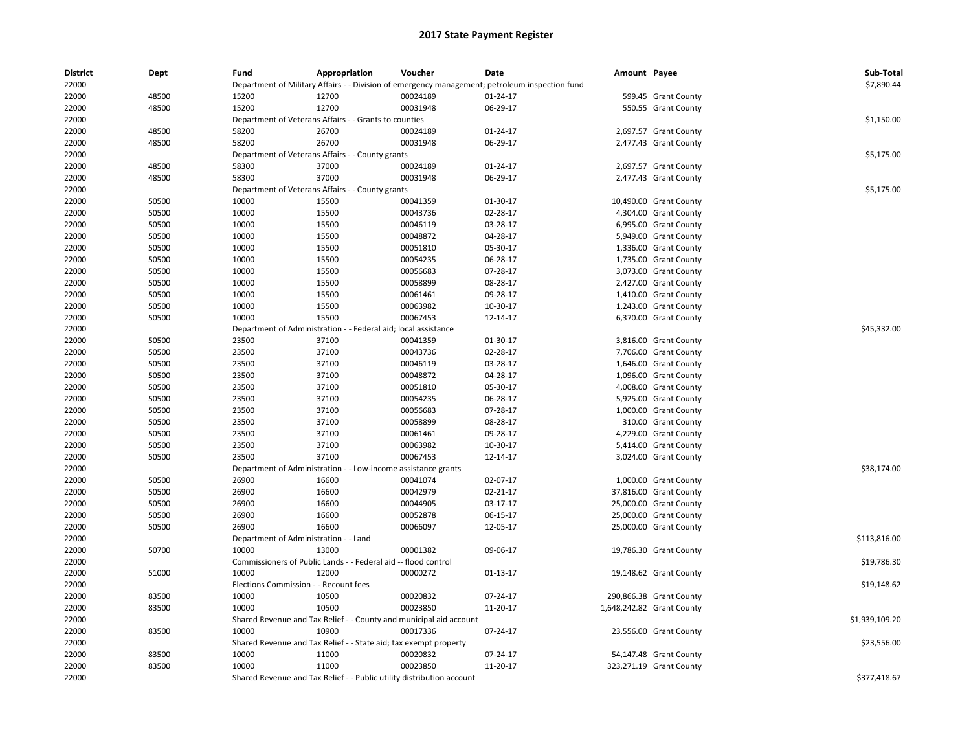| District<br>22000 | Dept           | Fund                                  | Appropriation                                                         | Voucher                                                            | Date<br>Department of Military Affairs - - Division of emergency management; petroleum inspection fund | Amount Payee |                           | Sub-Total<br>\$7,890.44 |
|-------------------|----------------|---------------------------------------|-----------------------------------------------------------------------|--------------------------------------------------------------------|--------------------------------------------------------------------------------------------------------|--------------|---------------------------|-------------------------|
| 22000             | 48500          | 15200                                 | 12700                                                                 | 00024189                                                           | $01 - 24 - 17$                                                                                         |              | 599.45 Grant County       |                         |
|                   | 48500          | 15200                                 | 12700                                                                 | 00031948                                                           |                                                                                                        |              |                           |                         |
| 22000             |                |                                       |                                                                       |                                                                    | 06-29-17                                                                                               |              | 550.55 Grant County       |                         |
| 22000             |                |                                       | Department of Veterans Affairs - - Grants to counties                 |                                                                    |                                                                                                        |              |                           | \$1,150.00              |
| 22000             | 48500          | 58200                                 | 26700                                                                 | 00024189                                                           | $01 - 24 - 17$                                                                                         |              | 2,697.57 Grant County     |                         |
| 22000             | 48500          | 58200                                 | 26700                                                                 | 00031948                                                           | 06-29-17                                                                                               |              | 2,477.43 Grant County     |                         |
| 22000             |                |                                       | Department of Veterans Affairs - - County grants                      |                                                                    |                                                                                                        |              |                           | \$5,175.00              |
| 22000             | 48500          | 58300                                 | 37000                                                                 | 00024189                                                           | $01 - 24 - 17$                                                                                         |              | 2,697.57 Grant County     |                         |
| 22000             | 48500          | 58300                                 | 37000                                                                 | 00031948                                                           | 06-29-17                                                                                               |              | 2,477.43 Grant County     |                         |
| 22000             |                |                                       | Department of Veterans Affairs - - County grants                      |                                                                    |                                                                                                        |              |                           | \$5,175.00              |
| 22000             | 50500          | 10000                                 | 15500                                                                 | 00041359                                                           | 01-30-17                                                                                               |              | 10,490.00 Grant County    |                         |
| 22000             | 50500          | 10000                                 | 15500                                                                 | 00043736                                                           | 02-28-17                                                                                               |              | 4,304.00 Grant County     |                         |
| 22000             | 50500          | 10000                                 | 15500                                                                 | 00046119                                                           | 03-28-17                                                                                               |              | 6,995.00 Grant County     |                         |
| 22000             | 50500          | 10000                                 | 15500                                                                 | 00048872                                                           | 04-28-17                                                                                               |              | 5,949.00 Grant County     |                         |
| 22000             | 50500          | 10000                                 | 15500                                                                 | 00051810                                                           | 05-30-17                                                                                               |              | 1,336.00 Grant County     |                         |
| 22000             | 50500          | 10000                                 | 15500                                                                 | 00054235                                                           | 06-28-17                                                                                               |              | 1,735.00 Grant County     |                         |
| 22000             | 50500          | 10000                                 | 15500                                                                 | 00056683                                                           | 07-28-17                                                                                               |              | 3,073.00 Grant County     |                         |
| 22000             | 50500          | 10000                                 | 15500                                                                 | 00058899                                                           | 08-28-17                                                                                               |              | 2,427.00 Grant County     |                         |
| 22000             | 50500          | 10000                                 | 15500                                                                 | 00061461                                                           | 09-28-17                                                                                               |              | 1,410.00 Grant County     |                         |
| 22000             | 50500          | 10000                                 | 15500                                                                 | 00063982                                                           | 10-30-17                                                                                               |              | 1,243.00 Grant County     |                         |
| 22000             | 50500          | 10000                                 | 15500                                                                 | 00067453                                                           | 12-14-17                                                                                               |              | 6,370.00 Grant County     |                         |
| 22000             |                | Department of Administration -        |                                                                       | - Federal aid; local assistance                                    |                                                                                                        |              |                           | \$45,332.00             |
| 22000             | 50500          | 23500                                 | 37100                                                                 | 00041359                                                           | 01-30-17                                                                                               |              | 3,816.00 Grant County     |                         |
| 22000             | 50500          | 23500                                 | 37100                                                                 | 00043736                                                           | 02-28-17                                                                                               |              | 7,706.00 Grant County     |                         |
| 22000             | 50500          | 23500                                 | 37100                                                                 | 00046119                                                           | 03-28-17                                                                                               |              | 1,646.00 Grant County     |                         |
| 22000             | 50500          | 23500                                 | 37100                                                                 | 00048872                                                           | 04-28-17                                                                                               |              | 1,096.00 Grant County     |                         |
|                   |                | 23500                                 | 37100                                                                 | 00051810                                                           | 05-30-17                                                                                               |              |                           |                         |
| 22000             | 50500<br>50500 |                                       | 37100                                                                 | 00054235                                                           | 06-28-17                                                                                               |              | 4,008.00 Grant County     |                         |
| 22000             |                | 23500                                 |                                                                       |                                                                    |                                                                                                        |              | 5,925.00 Grant County     |                         |
| 22000             | 50500          | 23500                                 | 37100                                                                 | 00056683                                                           | 07-28-17                                                                                               |              | 1,000.00 Grant County     |                         |
| 22000             | 50500          | 23500                                 | 37100                                                                 | 00058899                                                           | 08-28-17                                                                                               |              | 310.00 Grant County       |                         |
| 22000             | 50500          | 23500                                 | 37100                                                                 | 00061461                                                           | 09-28-17                                                                                               |              | 4,229.00 Grant County     |                         |
| 22000             | 50500          | 23500                                 | 37100                                                                 | 00063982                                                           | 10-30-17                                                                                               |              | 5,414.00 Grant County     |                         |
| 22000             | 50500          | 23500                                 | 37100                                                                 | 00067453                                                           | 12-14-17                                                                                               |              | 3,024.00 Grant County     |                         |
| 22000             |                | Department of Administration          |                                                                       | - Low-income assistance grants                                     |                                                                                                        |              |                           | \$38,174.00             |
| 22000             | 50500          | 26900                                 | 16600                                                                 | 00041074                                                           | 02-07-17                                                                                               |              | 1,000.00 Grant County     |                         |
| 22000             | 50500          | 26900                                 | 16600                                                                 | 00042979                                                           | 02-21-17                                                                                               |              | 37,816.00 Grant County    |                         |
| 22000             | 50500          | 26900                                 | 16600                                                                 | 00044905                                                           | 03-17-17                                                                                               |              | 25,000.00 Grant County    |                         |
| 22000             | 50500          | 26900                                 | 16600                                                                 | 00052878                                                           | 06-15-17                                                                                               |              | 25,000.00 Grant County    |                         |
| 22000             | 50500          | 26900                                 | 16600                                                                 | 00066097                                                           | 12-05-17                                                                                               |              | 25,000.00 Grant County    |                         |
| 22000             |                | Department of Administration - - Land |                                                                       |                                                                    |                                                                                                        |              |                           | \$113,816.00            |
| 22000             | 50700          | 10000                                 | 13000                                                                 | 00001382                                                           | 09-06-17                                                                                               |              | 19,786.30 Grant County    |                         |
| 22000             |                |                                       | Commissioners of Public Lands - - Federal aid -- flood control        |                                                                    |                                                                                                        |              |                           | \$19,786.30             |
| 22000             | 51000          | 10000                                 | 12000                                                                 | 00000272                                                           | 01-13-17                                                                                               |              | 19,148.62 Grant County    |                         |
| 22000             |                | Elections Commission - - Recount fees |                                                                       |                                                                    |                                                                                                        |              |                           | \$19,148.62             |
| 22000             | 83500          | 10000                                 | 10500                                                                 | 00020832                                                           | 07-24-17                                                                                               |              | 290,866.38 Grant County   |                         |
| 22000             | 83500          | 10000                                 | 10500                                                                 | 00023850                                                           | 11-20-17                                                                                               |              | 1,648,242.82 Grant County |                         |
| 22000             |                |                                       |                                                                       | Shared Revenue and Tax Relief - - County and municipal aid account |                                                                                                        |              |                           | \$1,939,109.20          |
| 22000             | 83500          | 10000                                 | 10900                                                                 | 00017336                                                           | 07-24-17                                                                                               |              | 23,556.00 Grant County    |                         |
| 22000             |                |                                       | Shared Revenue and Tax Relief - - State aid; tax exempt property      |                                                                    |                                                                                                        |              |                           | \$23,556.00             |
| 22000             | 83500          | 10000                                 | 11000                                                                 | 00020832                                                           | 07-24-17                                                                                               |              | 54,147.48 Grant County    |                         |
| 22000             | 83500          | 10000                                 | 11000                                                                 | 00023850                                                           | 11-20-17                                                                                               |              | 323,271.19 Grant County   |                         |
| 22000             |                |                                       | Shared Revenue and Tax Relief - - Public utility distribution account |                                                                    |                                                                                                        |              |                           | \$377,418.67            |
|                   |                |                                       |                                                                       |                                                                    |                                                                                                        |              |                           |                         |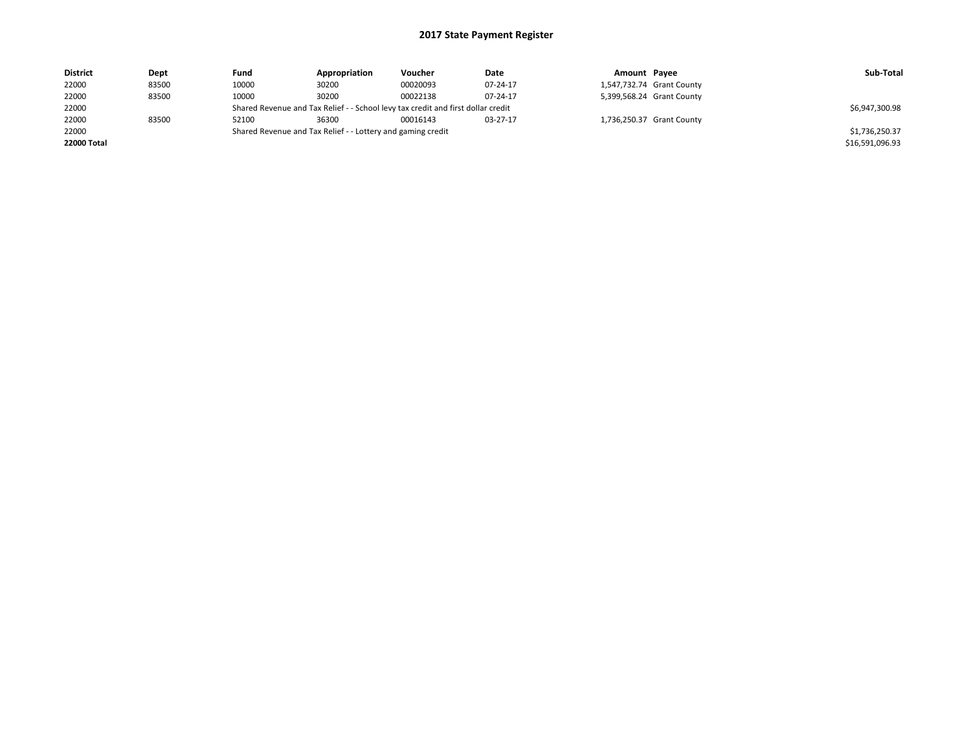| <b>District</b> | Dept  | Fund  | Appropriation                                                                    | Voucher  | Date     | Amount Payee |                           | Sub-Total       |
|-----------------|-------|-------|----------------------------------------------------------------------------------|----------|----------|--------------|---------------------------|-----------------|
| 22000           | 83500 | 10000 | 30200                                                                            | 00020093 | 07-24-17 |              | 1,547,732.74 Grant County |                 |
| 22000           | 83500 | 10000 | 30200                                                                            | 00022138 | 07-24-17 |              | 5,399,568.24 Grant County |                 |
| 22000           |       |       | Shared Revenue and Tax Relief - - School levy tax credit and first dollar credit |          |          |              |                           | \$6,947,300.98  |
| 22000           | 83500 | 52100 | 36300                                                                            | 00016143 | 03-27-17 |              | 1,736,250.37 Grant County |                 |
| 22000           |       |       | Shared Revenue and Tax Relief - - Lottery and gaming credit                      |          |          |              |                           | \$1,736,250.37  |
| 22000 Total     |       |       |                                                                                  |          |          |              |                           | \$16,591,096.93 |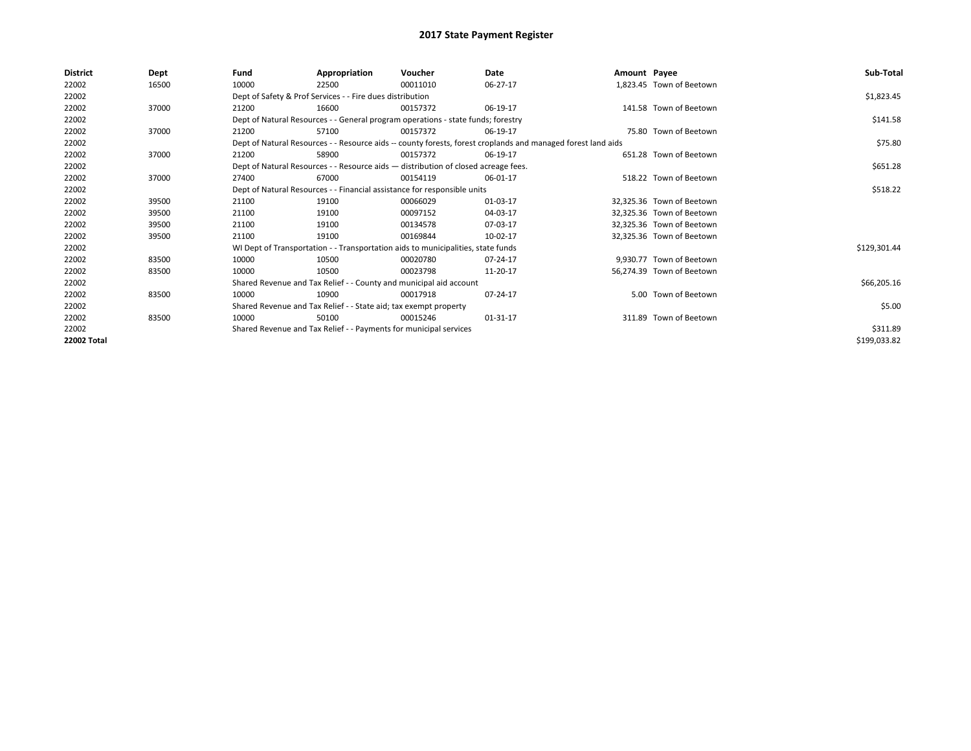| <b>District</b> | Dept  | Fund  | Appropriation                                                                      | Voucher  | Date                                                                                                         | Amount Payee |                           | Sub-Total    |
|-----------------|-------|-------|------------------------------------------------------------------------------------|----------|--------------------------------------------------------------------------------------------------------------|--------------|---------------------------|--------------|
| 22002           | 16500 | 10000 | 22500                                                                              | 00011010 | 06-27-17                                                                                                     |              | 1,823.45 Town of Beetown  |              |
| 22002           |       |       | Dept of Safety & Prof Services - - Fire dues distribution                          |          |                                                                                                              |              |                           | \$1,823.45   |
| 22002           | 37000 | 21200 | 16600                                                                              | 00157372 | 06-19-17                                                                                                     |              | 141.58 Town of Beetown    |              |
| 22002           |       |       | Dept of Natural Resources - - General program operations - state funds; forestry   |          |                                                                                                              |              |                           | \$141.58     |
| 22002           | 37000 | 21200 | 57100                                                                              | 00157372 | 06-19-17                                                                                                     |              | 75.80 Town of Beetown     |              |
| 22002           |       |       |                                                                                    |          | Dept of Natural Resources - - Resource aids -- county forests, forest croplands and managed forest land aids |              |                           | \$75.80      |
| 22002           | 37000 | 21200 | 58900                                                                              | 00157372 | 06-19-17                                                                                                     |              | 651.28 Town of Beetown    |              |
| 22002           |       |       | Dept of Natural Resources - - Resource aids - distribution of closed acreage fees. |          |                                                                                                              |              |                           | \$651.28     |
| 22002           | 37000 | 27400 | 67000                                                                              | 00154119 | 06-01-17                                                                                                     |              | 518.22 Town of Beetown    |              |
| 22002           |       |       | Dept of Natural Resources - - Financial assistance for responsible units           |          |                                                                                                              |              |                           | \$518.22     |
| 22002           | 39500 | 21100 | 19100                                                                              | 00066029 | 01-03-17                                                                                                     |              | 32,325.36 Town of Beetown |              |
| 22002           | 39500 | 21100 | 19100                                                                              | 00097152 | 04-03-17                                                                                                     |              | 32.325.36 Town of Beetown |              |
| 22002           | 39500 | 21100 | 19100                                                                              | 00134578 | 07-03-17                                                                                                     |              | 32.325.36 Town of Beetown |              |
| 22002           | 39500 | 21100 | 19100                                                                              | 00169844 | 10-02-17                                                                                                     |              | 32,325.36 Town of Beetown |              |
| 22002           |       |       | WI Dept of Transportation - - Transportation aids to municipalities, state funds   |          |                                                                                                              |              |                           | \$129,301.44 |
| 22002           | 83500 | 10000 | 10500                                                                              | 00020780 | $07 - 24 - 17$                                                                                               |              | 9,930.77 Town of Beetown  |              |
| 22002           | 83500 | 10000 | 10500                                                                              | 00023798 | 11-20-17                                                                                                     |              | 56.274.39 Town of Beetown |              |
| 22002           |       |       | Shared Revenue and Tax Relief - - County and municipal aid account                 |          |                                                                                                              |              |                           | \$66,205.16  |
| 22002           | 83500 | 10000 | 10900                                                                              | 00017918 | 07-24-17                                                                                                     |              | 5.00 Town of Beetown      |              |
| 22002           |       |       | Shared Revenue and Tax Relief - - State aid; tax exempt property                   |          |                                                                                                              |              |                           | \$5.00       |
| 22002           | 83500 | 10000 | 50100                                                                              | 00015246 | 01-31-17                                                                                                     |              | 311.89 Town of Beetown    |              |
| 22002           |       |       | Shared Revenue and Tax Relief - - Payments for municipal services                  |          |                                                                                                              |              |                           | \$311.89     |
| 22002 Total     |       |       |                                                                                    |          |                                                                                                              |              |                           | \$199,033.82 |
|                 |       |       |                                                                                    |          |                                                                                                              |              |                           |              |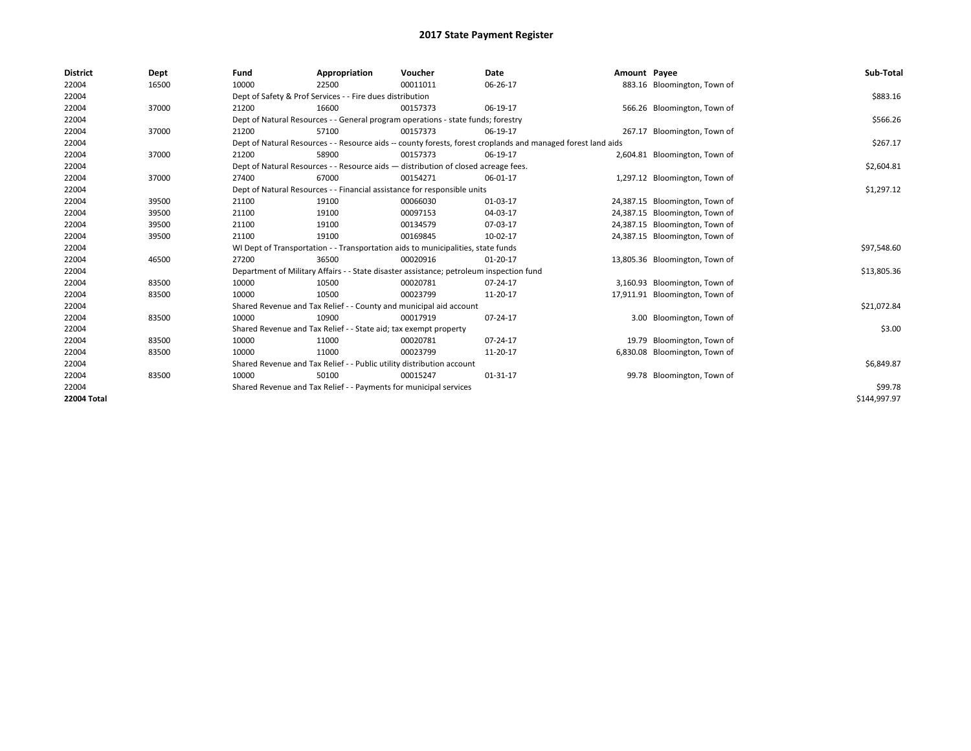| <b>District</b>    | Dept  | Fund  | Appropriation                                                                                                | Voucher  | <b>Date</b>    | Amount Payee |                                | Sub-Total    |
|--------------------|-------|-------|--------------------------------------------------------------------------------------------------------------|----------|----------------|--------------|--------------------------------|--------------|
| 22004              | 16500 | 10000 | 22500                                                                                                        | 00011011 | 06-26-17       |              | 883.16 Bloomington, Town of    |              |
| 22004              |       |       | Dept of Safety & Prof Services - - Fire dues distribution                                                    |          |                |              |                                | \$883.16     |
| 22004              | 37000 | 21200 | 16600                                                                                                        | 00157373 | 06-19-17       |              | 566.26 Bloomington, Town of    |              |
| 22004              |       |       | Dept of Natural Resources - - General program operations - state funds; forestry                             |          |                |              |                                | \$566.26     |
| 22004              | 37000 | 21200 | 57100                                                                                                        | 00157373 | 06-19-17       |              | 267.17 Bloomington, Town of    |              |
| 22004              |       |       | Dept of Natural Resources - - Resource aids -- county forests, forest croplands and managed forest land aids |          |                |              |                                | \$267.17     |
| 22004              | 37000 | 21200 | 58900                                                                                                        | 00157373 | 06-19-17       |              | 2,604.81 Bloomington, Town of  |              |
| 22004              |       |       | Dept of Natural Resources - - Resource aids - distribution of closed acreage fees.                           |          |                |              |                                | \$2,604.81   |
| 22004              | 37000 | 27400 | 67000                                                                                                        | 00154271 | 06-01-17       |              | 1,297.12 Bloomington, Town of  |              |
| 22004              |       |       | Dept of Natural Resources - - Financial assistance for responsible units                                     |          |                |              |                                | \$1,297.12   |
| 22004              | 39500 | 21100 | 19100                                                                                                        | 00066030 | 01-03-17       |              | 24,387.15 Bloomington, Town of |              |
| 22004              | 39500 | 21100 | 19100                                                                                                        | 00097153 | 04-03-17       |              | 24,387.15 Bloomington, Town of |              |
| 22004              | 39500 | 21100 | 19100                                                                                                        | 00134579 | 07-03-17       |              | 24,387.15 Bloomington, Town of |              |
| 22004              | 39500 | 21100 | 19100                                                                                                        | 00169845 | 10-02-17       |              | 24,387.15 Bloomington, Town of |              |
| 22004              |       |       | WI Dept of Transportation - - Transportation aids to municipalities, state funds                             |          |                |              |                                | \$97,548.60  |
| 22004              | 46500 | 27200 | 36500                                                                                                        | 00020916 | $01 - 20 - 17$ |              | 13,805.36 Bloomington, Town of |              |
| 22004              |       |       | Department of Military Affairs - - State disaster assistance; petroleum inspection fund                      |          |                |              |                                | \$13,805.36  |
| 22004              | 83500 | 10000 | 10500                                                                                                        | 00020781 | 07-24-17       |              | 3,160.93 Bloomington, Town of  |              |
| 22004              | 83500 | 10000 | 10500                                                                                                        | 00023799 | 11-20-17       |              | 17,911.91 Bloomington, Town of |              |
| 22004              |       |       | Shared Revenue and Tax Relief - - County and municipal aid account                                           |          |                |              |                                | \$21,072.84  |
| 22004              | 83500 | 10000 | 10900                                                                                                        | 00017919 | 07-24-17       |              | 3.00 Bloomington, Town of      |              |
| 22004              |       |       | Shared Revenue and Tax Relief - - State aid; tax exempt property                                             |          |                |              |                                | \$3.00       |
| 22004              | 83500 | 10000 | 11000                                                                                                        | 00020781 | 07-24-17       |              | 19.79 Bloomington, Town of     |              |
| 22004              | 83500 | 10000 | 11000                                                                                                        | 00023799 | 11-20-17       |              | 6,830.08 Bloomington, Town of  |              |
| 22004              |       |       | Shared Revenue and Tax Relief - - Public utility distribution account                                        |          |                |              |                                | \$6,849.87   |
| 22004              | 83500 | 10000 | 50100                                                                                                        | 00015247 | 01-31-17       |              | 99.78 Bloomington, Town of     |              |
| 22004              |       |       | Shared Revenue and Tax Relief - - Payments for municipal services                                            |          |                |              |                                | \$99.78      |
| <b>22004 Total</b> |       |       |                                                                                                              |          |                |              |                                | \$144.997.97 |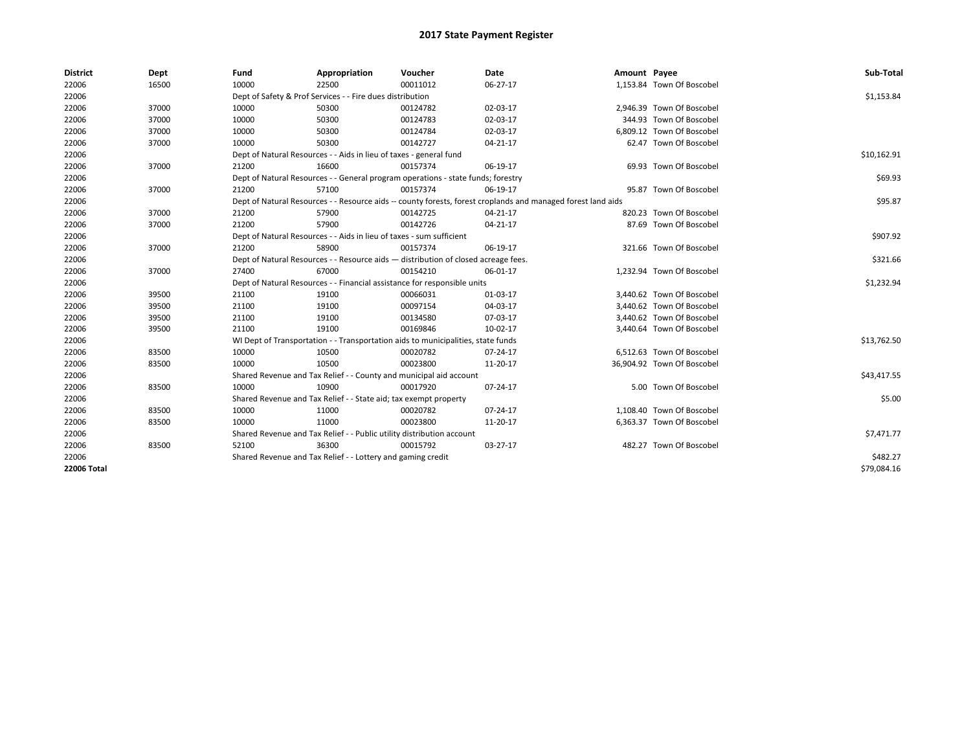| <b>District</b>    | Dept  | Fund  | Appropriation                                                                      | Voucher  | Date                                                                                                         | Amount Payee |                            | Sub-Total   |
|--------------------|-------|-------|------------------------------------------------------------------------------------|----------|--------------------------------------------------------------------------------------------------------------|--------------|----------------------------|-------------|
| 22006              | 16500 | 10000 | 22500                                                                              | 00011012 | 06-27-17                                                                                                     |              | 1,153.84 Town Of Boscobel  |             |
| 22006              |       |       | Dept of Safety & Prof Services - - Fire dues distribution                          |          |                                                                                                              |              |                            | \$1,153.84  |
| 22006              | 37000 | 10000 | 50300                                                                              | 00124782 | 02-03-17                                                                                                     |              | 2,946.39 Town Of Boscobel  |             |
| 22006              | 37000 | 10000 | 50300                                                                              | 00124783 | 02-03-17                                                                                                     |              | 344.93 Town Of Boscobel    |             |
| 22006              | 37000 | 10000 | 50300                                                                              | 00124784 | 02-03-17                                                                                                     |              | 6,809.12 Town Of Boscobel  |             |
| 22006              | 37000 | 10000 | 50300                                                                              | 00142727 | 04-21-17                                                                                                     |              | 62.47 Town Of Boscobel     |             |
| 22006              |       |       | Dept of Natural Resources - - Aids in lieu of taxes - general fund                 |          |                                                                                                              |              |                            | \$10,162.91 |
| 22006              | 37000 | 21200 | 16600                                                                              | 00157374 | 06-19-17                                                                                                     |              | 69.93 Town Of Boscobel     |             |
| 22006              |       |       | Dept of Natural Resources - - General program operations - state funds; forestry   |          |                                                                                                              |              |                            | \$69.93     |
| 22006              | 37000 | 21200 | 57100                                                                              | 00157374 | 06-19-17                                                                                                     |              | 95.87 Town Of Boscobel     |             |
| 22006              |       |       |                                                                                    |          | Dept of Natural Resources - - Resource aids -- county forests, forest croplands and managed forest land aids |              |                            | \$95.87     |
| 22006              | 37000 | 21200 | 57900                                                                              | 00142725 | 04-21-17                                                                                                     |              | 820.23 Town Of Boscobel    |             |
| 22006              | 37000 | 21200 | 57900                                                                              | 00142726 | 04-21-17                                                                                                     |              | 87.69 Town Of Boscobel     |             |
| 22006              |       |       | Dept of Natural Resources - - Aids in lieu of taxes - sum sufficient               |          |                                                                                                              |              |                            | \$907.92    |
| 22006              | 37000 | 21200 | 58900                                                                              | 00157374 | 06-19-17                                                                                                     |              | 321.66 Town Of Boscobel    |             |
| 22006              |       |       | Dept of Natural Resources - - Resource aids - distribution of closed acreage fees. |          |                                                                                                              |              |                            | \$321.66    |
| 22006              | 37000 | 27400 | 67000                                                                              | 00154210 | 06-01-17                                                                                                     |              | 1,232.94 Town Of Boscobel  |             |
| 22006              |       |       | Dept of Natural Resources - - Financial assistance for responsible units           |          |                                                                                                              |              |                            | \$1,232.94  |
| 22006              | 39500 | 21100 | 19100                                                                              | 00066031 | 01-03-17                                                                                                     |              | 3,440.62 Town Of Boscobel  |             |
| 22006              | 39500 | 21100 | 19100                                                                              | 00097154 | 04-03-17                                                                                                     |              | 3,440.62 Town Of Boscobel  |             |
| 22006              | 39500 | 21100 | 19100                                                                              | 00134580 | 07-03-17                                                                                                     |              | 3,440.62 Town Of Boscobel  |             |
| 22006              | 39500 | 21100 | 19100                                                                              | 00169846 | 10-02-17                                                                                                     |              | 3,440.64 Town Of Boscobel  |             |
| 22006              |       |       | WI Dept of Transportation - - Transportation aids to municipalities, state funds   |          |                                                                                                              |              |                            | \$13,762.50 |
| 22006              | 83500 | 10000 | 10500                                                                              | 00020782 | 07-24-17                                                                                                     |              | 6,512.63 Town Of Boscobel  |             |
| 22006              | 83500 | 10000 | 10500                                                                              | 00023800 | 11-20-17                                                                                                     |              | 36,904.92 Town Of Boscobel |             |
| 22006              |       |       | Shared Revenue and Tax Relief - - County and municipal aid account                 |          |                                                                                                              |              |                            | \$43,417.55 |
| 22006              | 83500 | 10000 | 10900                                                                              | 00017920 | 07-24-17                                                                                                     |              | 5.00 Town Of Boscobel      |             |
| 22006              |       |       | Shared Revenue and Tax Relief - - State aid; tax exempt property                   |          |                                                                                                              |              |                            | \$5.00      |
| 22006              | 83500 | 10000 | 11000                                                                              | 00020782 | 07-24-17                                                                                                     |              | 1,108.40 Town Of Boscobel  |             |
| 22006              | 83500 | 10000 | 11000                                                                              | 00023800 | 11-20-17                                                                                                     |              | 6,363.37 Town Of Boscobel  |             |
| 22006              |       |       | Shared Revenue and Tax Relief - - Public utility distribution account              |          |                                                                                                              |              |                            | \$7,471.77  |
| 22006              | 83500 | 52100 | 36300                                                                              | 00015792 | 03-27-17                                                                                                     |              | 482.27 Town Of Boscobel    |             |
| 22006              |       |       | Shared Revenue and Tax Relief - - Lottery and gaming credit                        |          |                                                                                                              |              |                            | \$482.27    |
| <b>22006 Total</b> |       |       |                                                                                    |          |                                                                                                              |              |                            | \$79,084.16 |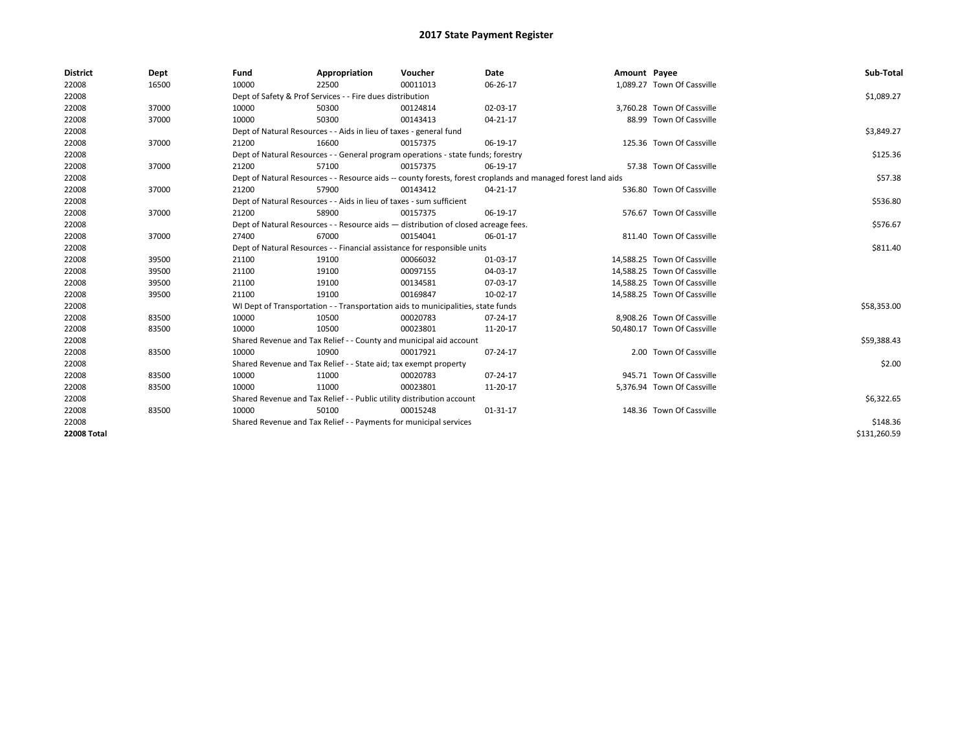| <b>District</b>    | Dept  | Fund  | Appropriation                                                                      | Voucher  | Date                                                                                                         | Amount Payee |                             | Sub-Total    |
|--------------------|-------|-------|------------------------------------------------------------------------------------|----------|--------------------------------------------------------------------------------------------------------------|--------------|-----------------------------|--------------|
| 22008              | 16500 | 10000 | 22500                                                                              | 00011013 | 06-26-17                                                                                                     |              | 1,089.27 Town Of Cassville  |              |
| 22008              |       |       | Dept of Safety & Prof Services - - Fire dues distribution                          |          |                                                                                                              |              |                             | \$1,089.27   |
| 22008              | 37000 | 10000 | 50300                                                                              | 00124814 | 02-03-17                                                                                                     |              | 3,760.28 Town Of Cassville  |              |
| 22008              | 37000 | 10000 | 50300                                                                              | 00143413 | $04 - 21 - 17$                                                                                               |              | 88.99 Town Of Cassville     |              |
| 22008              |       |       | Dept of Natural Resources - - Aids in lieu of taxes - general fund                 |          |                                                                                                              |              |                             | \$3,849.27   |
| 22008              | 37000 | 21200 | 16600                                                                              | 00157375 | 06-19-17                                                                                                     |              | 125.36 Town Of Cassville    |              |
| 22008              |       |       | Dept of Natural Resources - - General program operations - state funds; forestry   |          |                                                                                                              |              |                             | \$125.36     |
| 22008              | 37000 | 21200 | 57100                                                                              | 00157375 | 06-19-17                                                                                                     |              | 57.38 Town Of Cassville     |              |
| 22008              |       |       |                                                                                    |          | Dept of Natural Resources - - Resource aids -- county forests, forest croplands and managed forest land aids |              |                             | \$57.38      |
| 22008              | 37000 | 21200 | 57900                                                                              | 00143412 | 04-21-17                                                                                                     |              | 536.80 Town Of Cassville    |              |
| 22008              |       |       | Dept of Natural Resources - - Aids in lieu of taxes - sum sufficient               |          |                                                                                                              |              |                             | \$536.80     |
| 22008              | 37000 | 21200 | 58900                                                                              | 00157375 | 06-19-17                                                                                                     |              | 576.67 Town Of Cassville    |              |
| 22008              |       |       | Dept of Natural Resources - - Resource aids - distribution of closed acreage fees. |          |                                                                                                              |              |                             | \$576.67     |
| 22008              | 37000 | 27400 | 67000                                                                              | 00154041 | 06-01-17                                                                                                     |              | 811.40 Town Of Cassville    |              |
| 22008              |       |       | Dept of Natural Resources - - Financial assistance for responsible units           |          |                                                                                                              |              |                             | \$811.40     |
| 22008              | 39500 | 21100 | 19100                                                                              | 00066032 | 01-03-17                                                                                                     |              | 14,588.25 Town Of Cassville |              |
| 22008              | 39500 | 21100 | 19100                                                                              | 00097155 | 04-03-17                                                                                                     |              | 14,588.25 Town Of Cassville |              |
| 22008              | 39500 | 21100 | 19100                                                                              | 00134581 | 07-03-17                                                                                                     |              | 14,588.25 Town Of Cassville |              |
| 22008              | 39500 | 21100 | 19100                                                                              | 00169847 | 10-02-17                                                                                                     |              | 14,588.25 Town Of Cassville |              |
| 22008              |       |       | WI Dept of Transportation - - Transportation aids to municipalities, state funds   |          |                                                                                                              |              |                             | \$58,353.00  |
| 22008              | 83500 | 10000 | 10500                                                                              | 00020783 | 07-24-17                                                                                                     |              | 8,908.26 Town Of Cassville  |              |
| 22008              | 83500 | 10000 | 10500                                                                              | 00023801 | 11-20-17                                                                                                     |              | 50,480.17 Town Of Cassville |              |
| 22008              |       |       | Shared Revenue and Tax Relief - - County and municipal aid account                 |          |                                                                                                              |              |                             | \$59,388.43  |
| 22008              | 83500 | 10000 | 10900                                                                              | 00017921 | 07-24-17                                                                                                     |              | 2.00 Town Of Cassville      |              |
| 22008              |       |       | Shared Revenue and Tax Relief - - State aid; tax exempt property                   |          |                                                                                                              |              |                             | \$2.00       |
| 22008              | 83500 | 10000 | 11000                                                                              | 00020783 | 07-24-17                                                                                                     |              | 945.71 Town Of Cassville    |              |
| 22008              | 83500 | 10000 | 11000                                                                              | 00023801 | 11-20-17                                                                                                     |              | 5,376.94 Town Of Cassville  |              |
| 22008              |       |       | Shared Revenue and Tax Relief - - Public utility distribution account              |          |                                                                                                              |              |                             | \$6,322.65   |
| 22008              | 83500 | 10000 | 50100                                                                              | 00015248 | 01-31-17                                                                                                     |              | 148.36 Town Of Cassville    |              |
| 22008              |       |       | Shared Revenue and Tax Relief - - Payments for municipal services                  |          |                                                                                                              |              |                             | \$148.36     |
| <b>22008 Total</b> |       |       |                                                                                    |          |                                                                                                              |              |                             | \$131,260.59 |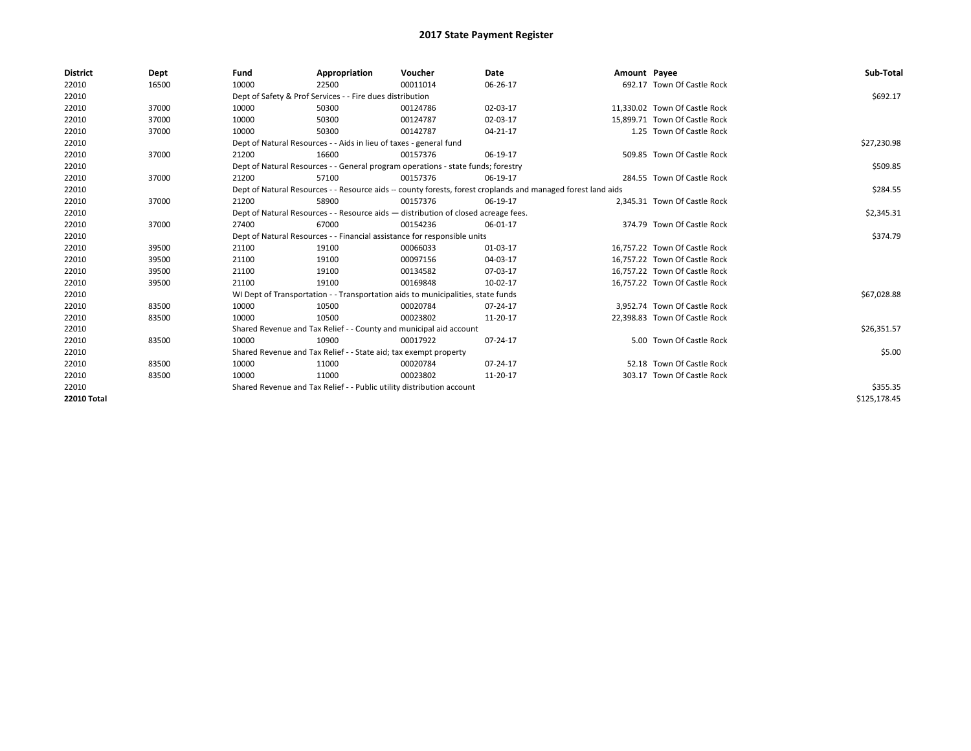| <b>District</b> | Dept  | Fund  | Appropriation                                                                      | Voucher  | <b>Date</b>                                                                                                  | Amount Payee |                               | Sub-Total    |
|-----------------|-------|-------|------------------------------------------------------------------------------------|----------|--------------------------------------------------------------------------------------------------------------|--------------|-------------------------------|--------------|
| 22010           | 16500 | 10000 | 22500                                                                              | 00011014 | 06-26-17                                                                                                     |              | 692.17 Town Of Castle Rock    |              |
| 22010           |       |       | Dept of Safety & Prof Services - - Fire dues distribution                          |          |                                                                                                              |              |                               | \$692.17     |
| 22010           | 37000 | 10000 | 50300                                                                              | 00124786 | 02-03-17                                                                                                     |              | 11,330.02 Town Of Castle Rock |              |
| 22010           | 37000 | 10000 | 50300                                                                              | 00124787 | 02-03-17                                                                                                     |              | 15,899.71 Town Of Castle Rock |              |
| 22010           | 37000 | 10000 | 50300                                                                              | 00142787 | 04-21-17                                                                                                     |              | 1.25 Town Of Castle Rock      |              |
| 22010           |       |       | Dept of Natural Resources - - Aids in lieu of taxes - general fund                 |          |                                                                                                              |              |                               | \$27,230.98  |
| 22010           | 37000 | 21200 | 16600                                                                              | 00157376 | 06-19-17                                                                                                     |              | 509.85 Town Of Castle Rock    |              |
| 22010           |       |       | Dept of Natural Resources - - General program operations - state funds; forestry   |          |                                                                                                              |              |                               | \$509.85     |
| 22010           | 37000 | 21200 | 57100                                                                              | 00157376 | 06-19-17                                                                                                     |              | 284.55 Town Of Castle Rock    |              |
| 22010           |       |       |                                                                                    |          | Dept of Natural Resources - - Resource aids -- county forests, forest croplands and managed forest land aids |              |                               | \$284.55     |
| 22010           | 37000 | 21200 | 58900                                                                              | 00157376 | 06-19-17                                                                                                     |              | 2.345.31 Town Of Castle Rock  |              |
| 22010           |       |       | Dept of Natural Resources - - Resource aids - distribution of closed acreage fees. |          |                                                                                                              |              |                               | \$2,345.31   |
| 22010           | 37000 | 27400 | 67000                                                                              | 00154236 | 06-01-17                                                                                                     |              | 374.79 Town Of Castle Rock    |              |
| 22010           |       |       | Dept of Natural Resources - - Financial assistance for responsible units           |          |                                                                                                              |              |                               | \$374.79     |
| 22010           | 39500 | 21100 | 19100                                                                              | 00066033 | 01-03-17                                                                                                     |              | 16,757.22 Town Of Castle Rock |              |
| 22010           | 39500 | 21100 | 19100                                                                              | 00097156 | 04-03-17                                                                                                     |              | 16,757.22 Town Of Castle Rock |              |
| 22010           | 39500 | 21100 | 19100                                                                              | 00134582 | 07-03-17                                                                                                     |              | 16,757.22 Town Of Castle Rock |              |
| 22010           | 39500 | 21100 | 19100                                                                              | 00169848 | 10-02-17                                                                                                     |              | 16,757.22 Town Of Castle Rock |              |
| 22010           |       |       | WI Dept of Transportation - - Transportation aids to municipalities, state funds   |          |                                                                                                              |              |                               | \$67,028.88  |
| 22010           | 83500 | 10000 | 10500                                                                              | 00020784 | 07-24-17                                                                                                     |              | 3,952.74 Town Of Castle Rock  |              |
| 22010           | 83500 | 10000 | 10500                                                                              | 00023802 | 11-20-17                                                                                                     |              | 22,398.83 Town Of Castle Rock |              |
| 22010           |       |       | Shared Revenue and Tax Relief - - County and municipal aid account                 |          |                                                                                                              |              |                               | \$26,351.57  |
| 22010           | 83500 | 10000 | 10900                                                                              | 00017922 | 07-24-17                                                                                                     |              | 5.00 Town Of Castle Rock      |              |
| 22010           |       |       | Shared Revenue and Tax Relief - - State aid; tax exempt property                   |          |                                                                                                              |              |                               | \$5.00       |
| 22010           | 83500 | 10000 | 11000                                                                              | 00020784 | 07-24-17                                                                                                     |              | 52.18 Town Of Castle Rock     |              |
| 22010           | 83500 | 10000 | 11000                                                                              | 00023802 | 11-20-17                                                                                                     |              | 303.17 Town Of Castle Rock    |              |
| 22010           |       |       | Shared Revenue and Tax Relief - - Public utility distribution account              |          |                                                                                                              |              |                               | \$355.35     |
| 22010 Total     |       |       |                                                                                    |          |                                                                                                              |              |                               | \$125.178.45 |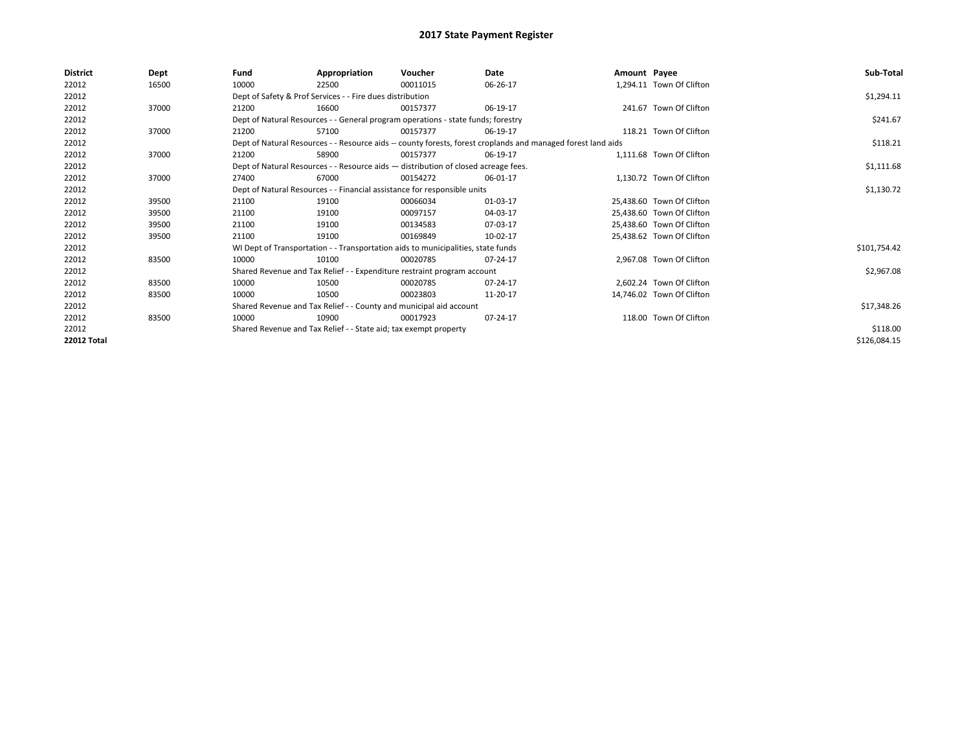| <b>District</b><br>Dept<br>Fund<br>Appropriation<br>Voucher<br>Date<br>Amount Payee                                   | Sub-Total    |
|-----------------------------------------------------------------------------------------------------------------------|--------------|
| 22012<br>10000<br>1,294.11 Town Of Clifton<br>16500<br>22500<br>00011015<br>06-26-17                                  |              |
| 22012<br>Dept of Safety & Prof Services - - Fire dues distribution                                                    | \$1,294.11   |
| 22012<br>241.67 Town Of Clifton<br>37000<br>21200<br>16600<br>06-19-17<br>00157377                                    |              |
| 22012<br>Dept of Natural Resources - - General program operations - state funds; forestry                             | \$241.67     |
| 22012<br>37000<br>118.21 Town Of Clifton<br>21200<br>57100<br>06-19-17<br>00157377                                    |              |
| 22012<br>Dept of Natural Resources - - Resource aids -- county forests, forest croplands and managed forest land aids | \$118.21     |
| 22012<br>1,111.68 Town Of Clifton<br>37000<br>21200<br>58900<br>00157377<br>06-19-17                                  |              |
| 22012<br>Dept of Natural Resources - - Resource aids - distribution of closed acreage fees.                           | \$1,111.68   |
| 22012<br>1,130.72 Town Of Clifton<br>37000<br>67000<br>06-01-17<br>27400<br>00154272                                  |              |
| 22012<br>Dept of Natural Resources - - Financial assistance for responsible units                                     | \$1,130.72   |
| 22012<br>25.438.60 Town Of Clifton<br>39500<br>21100<br>19100<br>00066034<br>01-03-17                                 |              |
| 22012<br>00097157<br>04-03-17<br>25.438.60 Town Of Clifton<br>39500<br>21100<br>19100                                 |              |
| 22012<br>21100<br>25.438.60 Town Of Clifton<br>39500<br>19100<br>00134583<br>07-03-17                                 |              |
| 22012<br>21100<br>00169849<br>10-02-17<br>25,438.62 Town Of Clifton<br>39500<br>19100                                 |              |
| 22012<br>WI Dept of Transportation - - Transportation aids to municipalities, state funds                             | \$101,754.42 |
| 22012<br>10000<br>2,967.08 Town Of Clifton<br>83500<br>10100<br>00020785<br>07-24-17                                  |              |
| 22012<br>Shared Revenue and Tax Relief - - Expenditure restraint program account                                      | \$2,967.08   |
| 22012<br>10000<br>2.602.24 Town Of Clifton<br>83500<br>10500<br>00020785<br>07-24-17                                  |              |
| 22012<br>83500<br>10000<br>10500<br>00023803<br>11-20-17<br>14,746.02 Town Of Clifton                                 |              |
| 22012<br>Shared Revenue and Tax Relief - - County and municipal aid account                                           | \$17,348.26  |
| 118.00 Town Of Clifton<br>22012<br>83500<br>10000<br>10900<br>07-24-17<br>00017923                                    |              |
| 22012<br>Shared Revenue and Tax Relief - - State aid; tax exempt property                                             | \$118.00     |
| <b>22012 Total</b>                                                                                                    | \$126,084.15 |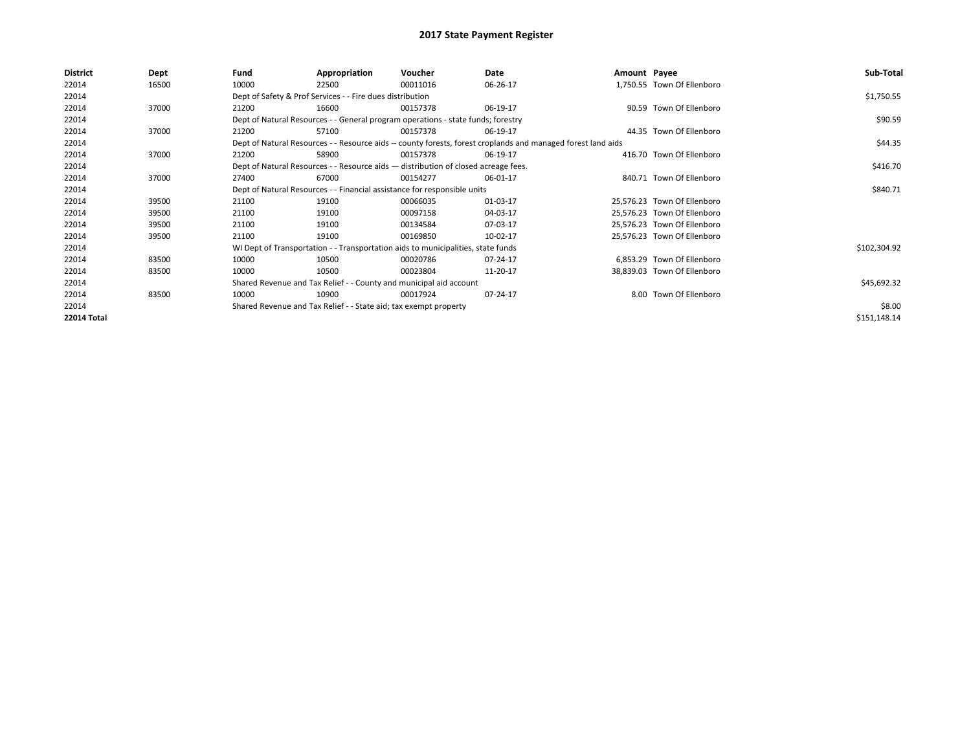| <b>District</b> | Dept  | Fund  | Appropriation                                                                      | Voucher  | Date                                                                                                         | Amount Payee |                             | Sub-Total    |
|-----------------|-------|-------|------------------------------------------------------------------------------------|----------|--------------------------------------------------------------------------------------------------------------|--------------|-----------------------------|--------------|
| 22014           | 16500 | 10000 | 22500                                                                              | 00011016 | 06-26-17                                                                                                     |              | 1,750.55 Town Of Ellenboro  |              |
| 22014           |       |       | Dept of Safety & Prof Services - - Fire dues distribution                          |          |                                                                                                              |              |                             | \$1,750.55   |
| 22014           | 37000 | 21200 | 16600                                                                              | 00157378 | 06-19-17                                                                                                     |              | 90.59 Town Of Ellenboro     |              |
| 22014           |       |       | Dept of Natural Resources - - General program operations - state funds; forestry   |          |                                                                                                              |              |                             | \$90.59      |
| 22014           | 37000 | 21200 | 57100                                                                              | 00157378 | 06-19-17                                                                                                     |              | 44.35 Town Of Ellenboro     |              |
| 22014           |       |       |                                                                                    |          | Dept of Natural Resources - - Resource aids -- county forests, forest croplands and managed forest land aids |              |                             | \$44.35      |
| 22014           | 37000 | 21200 | 58900                                                                              | 00157378 | 06-19-17                                                                                                     |              | 416.70 Town Of Ellenboro    |              |
| 22014           |       |       | Dept of Natural Resources - - Resource aids - distribution of closed acreage fees. |          |                                                                                                              |              |                             | \$416.70     |
| 22014           | 37000 | 27400 | 67000                                                                              | 00154277 | 06-01-17                                                                                                     |              | 840.71 Town Of Ellenboro    |              |
| 22014           |       |       | Dept of Natural Resources - - Financial assistance for responsible units           |          |                                                                                                              |              |                             | \$840.71     |
| 22014           | 39500 | 21100 | 19100                                                                              | 00066035 | 01-03-17                                                                                                     |              | 25,576.23 Town Of Ellenboro |              |
| 22014           | 39500 | 21100 | 19100                                                                              | 00097158 | 04-03-17                                                                                                     |              | 25,576.23 Town Of Ellenboro |              |
| 22014           | 39500 | 21100 | 19100                                                                              | 00134584 | 07-03-17                                                                                                     |              | 25,576.23 Town Of Ellenboro |              |
| 22014           | 39500 | 21100 | 19100                                                                              | 00169850 | 10-02-17                                                                                                     |              | 25,576.23 Town Of Ellenboro |              |
| 22014           |       |       | WI Dept of Transportation - - Transportation aids to municipalities, state funds   |          |                                                                                                              |              |                             | \$102,304.92 |
| 22014           | 83500 | 10000 | 10500                                                                              | 00020786 | 07-24-17                                                                                                     |              | 6,853.29 Town Of Ellenboro  |              |
| 22014           | 83500 | 10000 | 10500                                                                              | 00023804 | 11-20-17                                                                                                     |              | 38,839.03 Town Of Ellenboro |              |
| 22014           |       |       | Shared Revenue and Tax Relief - - County and municipal aid account                 |          |                                                                                                              |              |                             | \$45,692.32  |
| 22014           | 83500 | 10000 | 10900                                                                              | 00017924 | 07-24-17                                                                                                     |              | 8.00 Town Of Ellenboro      |              |
| 22014           |       |       | Shared Revenue and Tax Relief - - State aid; tax exempt property                   |          |                                                                                                              |              |                             | \$8.00       |
| 22014 Total     |       |       |                                                                                    |          |                                                                                                              |              |                             | \$151,148.14 |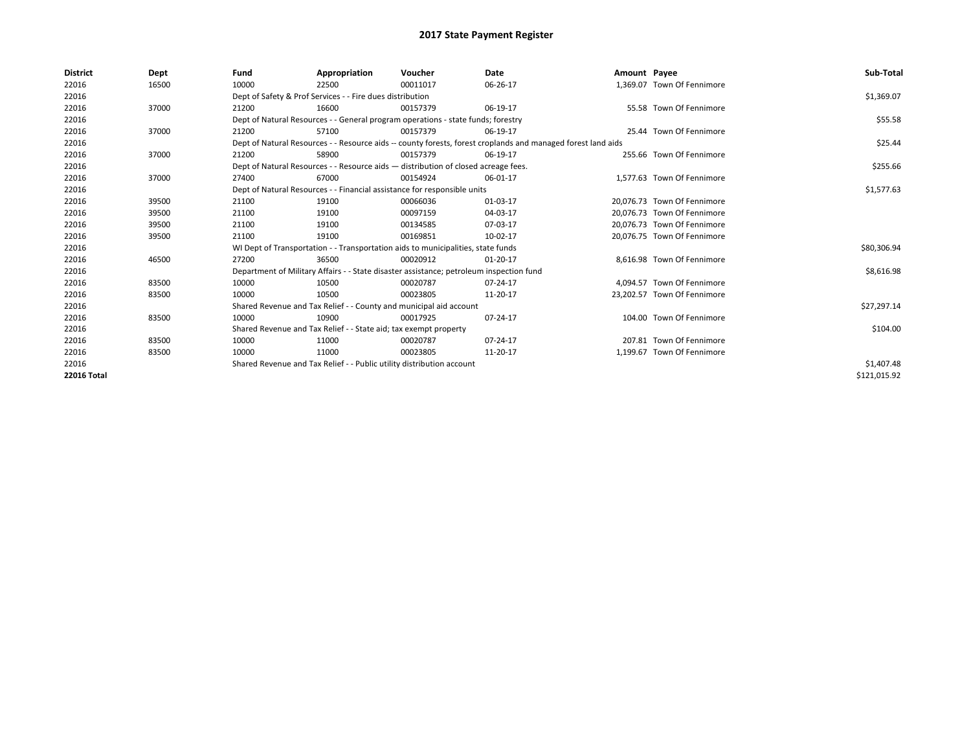| <b>District</b>    | Dept  | Fund                                                                                                         | Appropriation                                                                           | Voucher    | Date       | Amount Payee |                             | Sub-Total    |  |  |  |
|--------------------|-------|--------------------------------------------------------------------------------------------------------------|-----------------------------------------------------------------------------------------|------------|------------|--------------|-----------------------------|--------------|--|--|--|
| 22016              | 16500 | 10000                                                                                                        | 22500                                                                                   | 00011017   | 06-26-17   |              | 1.369.07 Town Of Fennimore  |              |  |  |  |
| 22016              |       |                                                                                                              | Dept of Safety & Prof Services - - Fire dues distribution                               |            |            |              |                             | \$1,369.07   |  |  |  |
| 22016              | 37000 | 21200                                                                                                        | 16600                                                                                   | 00157379   | 06-19-17   |              | 55.58 Town Of Fennimore     |              |  |  |  |
| 22016              |       |                                                                                                              | Dept of Natural Resources - - General program operations - state funds; forestry        |            |            |              |                             |              |  |  |  |
| 22016              | 37000 | 21200                                                                                                        | 57100                                                                                   | 00157379   | 06-19-17   |              | 25.44 Town Of Fennimore     |              |  |  |  |
| 22016              |       | Dept of Natural Resources - - Resource aids -- county forests, forest croplands and managed forest land aids |                                                                                         | \$25.44    |            |              |                             |              |  |  |  |
| 22016              | 37000 | 21200                                                                                                        | 58900                                                                                   | 00157379   | 06-19-17   |              | 255.66 Town Of Fennimore    |              |  |  |  |
| 22016              |       |                                                                                                              | Dept of Natural Resources - - Resource aids - distribution of closed acreage fees.      |            |            |              |                             |              |  |  |  |
| 22016              | 37000 | 27400                                                                                                        | 67000                                                                                   | 00154924   | 06-01-17   |              | 1.577.63 Town Of Fennimore  |              |  |  |  |
| 22016              |       |                                                                                                              | Dept of Natural Resources - - Financial assistance for responsible units                |            |            |              |                             |              |  |  |  |
| 22016              | 39500 | 21100                                                                                                        | 19100                                                                                   | 00066036   | 01-03-17   |              | 20.076.73 Town Of Fennimore |              |  |  |  |
| 22016              | 39500 | 21100                                                                                                        | 19100                                                                                   | 00097159   | 04-03-17   |              | 20.076.73 Town Of Fennimore |              |  |  |  |
| 22016              | 39500 | 21100                                                                                                        | 19100                                                                                   | 00134585   | 07-03-17   |              | 20.076.73 Town Of Fennimore |              |  |  |  |
| 22016              | 39500 | 21100                                                                                                        | 19100                                                                                   | 00169851   | 10-02-17   |              | 20,076.75 Town Of Fennimore |              |  |  |  |
| 22016              |       |                                                                                                              | WI Dept of Transportation - - Transportation aids to municipalities, state funds        |            |            |              |                             | \$80,306.94  |  |  |  |
| 22016              | 46500 | 27200                                                                                                        | 36500                                                                                   | 00020912   | $01-20-17$ |              | 8.616.98 Town Of Fennimore  |              |  |  |  |
| 22016              |       |                                                                                                              | Department of Military Affairs - - State disaster assistance; petroleum inspection fund |            |            |              |                             | \$8,616.98   |  |  |  |
| 22016              | 83500 | 10000                                                                                                        | 10500                                                                                   | 00020787   | 07-24-17   |              | 4.094.57 Town Of Fennimore  |              |  |  |  |
| 22016              | 83500 | 10000                                                                                                        | 10500                                                                                   | 00023805   | 11-20-17   |              | 23,202.57 Town Of Fennimore |              |  |  |  |
| 22016              |       |                                                                                                              | Shared Revenue and Tax Relief - - County and municipal aid account                      |            |            |              |                             | \$27,297.14  |  |  |  |
| 22016              | 83500 | 10000                                                                                                        | 10900                                                                                   | 00017925   | 07-24-17   |              | 104.00 Town Of Fennimore    |              |  |  |  |
| 22016              |       |                                                                                                              | Shared Revenue and Tax Relief - - State aid; tax exempt property                        |            |            |              |                             | \$104.00     |  |  |  |
| 22016              | 83500 | 10000                                                                                                        | 11000                                                                                   | 00020787   | 07-24-17   |              | 207.81 Town Of Fennimore    |              |  |  |  |
| 22016              | 83500 | 10000                                                                                                        | 11000                                                                                   | 00023805   | 11-20-17   |              | 1,199.67 Town Of Fennimore  |              |  |  |  |
| 22016              |       | Shared Revenue and Tax Relief - - Public utility distribution account                                        |                                                                                         | \$1,407.48 |            |              |                             |              |  |  |  |
| <b>22016 Total</b> |       |                                                                                                              |                                                                                         |            |            |              |                             | \$121,015.92 |  |  |  |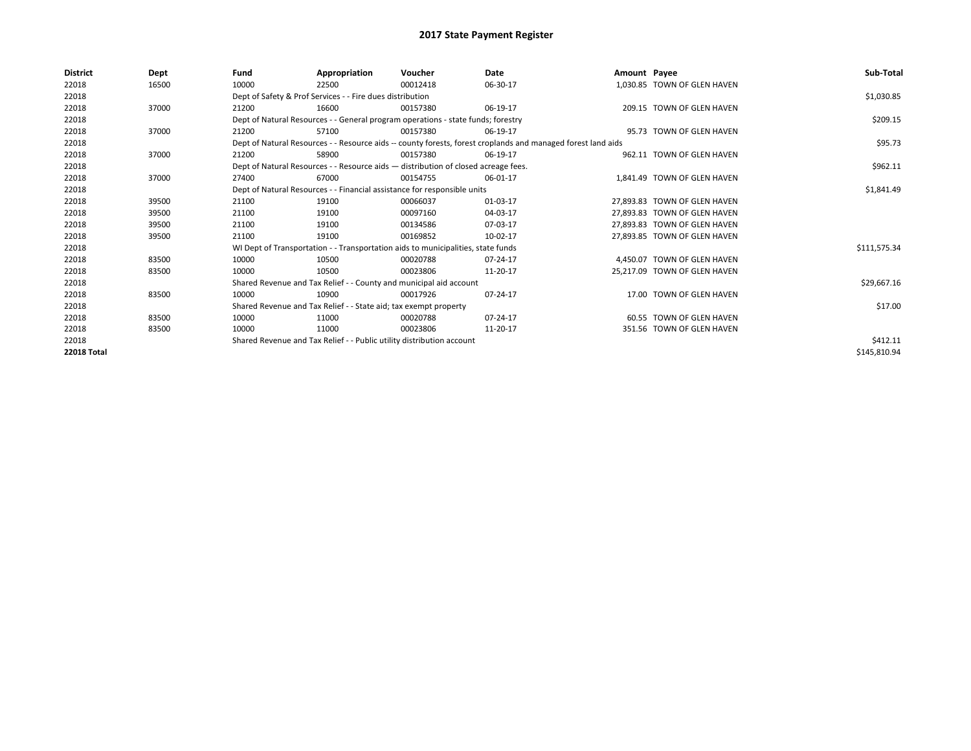| <b>District</b>    | Dept  | Fund  | Appropriation                                                                      | Voucher  | Date                                                                                                         | Amount Payee |                              | Sub-Total    |  |  |
|--------------------|-------|-------|------------------------------------------------------------------------------------|----------|--------------------------------------------------------------------------------------------------------------|--------------|------------------------------|--------------|--|--|
| 22018              | 16500 | 10000 | 22500                                                                              | 00012418 | 06-30-17                                                                                                     |              | 1,030.85 TOWN OF GLEN HAVEN  |              |  |  |
| 22018              |       |       | Dept of Safety & Prof Services - - Fire dues distribution                          |          |                                                                                                              |              |                              | \$1,030.85   |  |  |
| 22018              | 37000 | 21200 | 16600                                                                              | 00157380 | 06-19-17                                                                                                     |              | 209.15 TOWN OF GLEN HAVEN    |              |  |  |
| 22018              |       |       | Dept of Natural Resources - - General program operations - state funds; forestry   |          |                                                                                                              |              |                              | \$209.15     |  |  |
| 22018              | 37000 | 21200 | 57100                                                                              | 00157380 | 06-19-17                                                                                                     |              | 95.73 TOWN OF GLEN HAVEN     |              |  |  |
| 22018              |       |       |                                                                                    |          | Dept of Natural Resources - - Resource aids -- county forests, forest croplands and managed forest land aids |              |                              | \$95.73      |  |  |
| 22018              | 37000 | 21200 | 58900                                                                              | 00157380 | 06-19-17                                                                                                     |              | 962.11 TOWN OF GLEN HAVEN    |              |  |  |
| 22018              |       |       | Dept of Natural Resources - - Resource aids - distribution of closed acreage fees. |          |                                                                                                              |              |                              |              |  |  |
| 22018              | 37000 | 27400 | 67000                                                                              | 00154755 | 06-01-17                                                                                                     |              | 1.841.49 TOWN OF GLEN HAVEN  |              |  |  |
| 22018              |       |       | Dept of Natural Resources - - Financial assistance for responsible units           |          |                                                                                                              |              |                              |              |  |  |
| 22018              | 39500 | 21100 | 19100                                                                              | 00066037 | 01-03-17                                                                                                     |              | 27.893.83 TOWN OF GLEN HAVEN |              |  |  |
| 22018              | 39500 | 21100 | 19100                                                                              | 00097160 | 04-03-17                                                                                                     |              | 27.893.83 TOWN OF GLEN HAVEN |              |  |  |
| 22018              | 39500 | 21100 | 19100                                                                              | 00134586 | 07-03-17                                                                                                     |              | 27.893.83 TOWN OF GLEN HAVEN |              |  |  |
| 22018              | 39500 | 21100 | 19100                                                                              | 00169852 | 10-02-17                                                                                                     |              | 27,893.85 TOWN OF GLEN HAVEN |              |  |  |
| 22018              |       |       | WI Dept of Transportation - - Transportation aids to municipalities, state funds   |          |                                                                                                              |              |                              | \$111,575.34 |  |  |
| 22018              | 83500 | 10000 | 10500                                                                              | 00020788 | 07-24-17                                                                                                     |              | 4.450.07 TOWN OF GLEN HAVEN  |              |  |  |
| 22018              | 83500 | 10000 | 10500                                                                              | 00023806 | 11-20-17                                                                                                     |              | 25.217.09 TOWN OF GLEN HAVEN |              |  |  |
| 22018              |       |       | Shared Revenue and Tax Relief - - County and municipal aid account                 |          |                                                                                                              |              |                              | \$29,667.16  |  |  |
| 22018              | 83500 | 10000 | 10900                                                                              | 00017926 | 07-24-17                                                                                                     |              | 17.00 TOWN OF GLEN HAVEN     |              |  |  |
| 22018              |       |       | Shared Revenue and Tax Relief - - State aid; tax exempt property                   |          |                                                                                                              |              |                              | \$17.00      |  |  |
| 22018              | 83500 | 10000 | 11000                                                                              | 00020788 | 07-24-17                                                                                                     |              | 60.55 TOWN OF GLEN HAVEN     |              |  |  |
| 22018              | 83500 | 10000 | 11000                                                                              | 00023806 | 11-20-17                                                                                                     |              | 351.56 TOWN OF GLEN HAVEN    |              |  |  |
| 22018              |       |       | Shared Revenue and Tax Relief - - Public utility distribution account              |          |                                                                                                              |              |                              | \$412.11     |  |  |
| <b>22018 Total</b> |       |       |                                                                                    |          |                                                                                                              |              |                              | \$145,810.94 |  |  |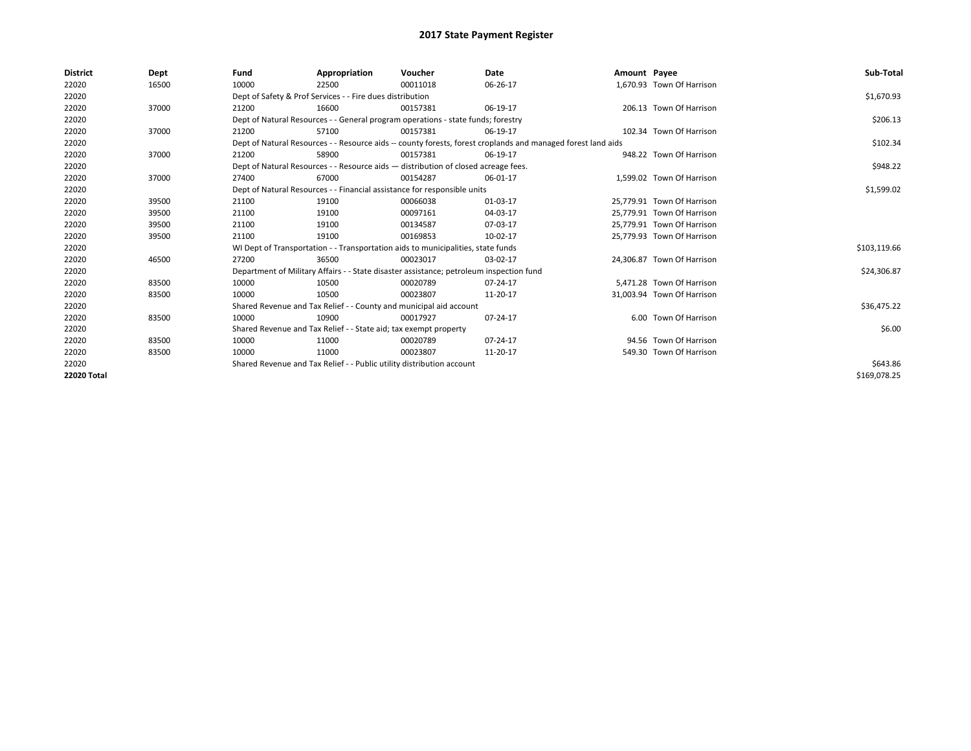| <b>District</b> | Dept  | Fund  | Appropriation                                                                                                | Voucher  | <b>Date</b> | Amount Payee |                            | Sub-Total    |  |  |  |
|-----------------|-------|-------|--------------------------------------------------------------------------------------------------------------|----------|-------------|--------------|----------------------------|--------------|--|--|--|
| 22020           | 16500 | 10000 | 22500                                                                                                        | 00011018 | 06-26-17    |              | 1,670.93 Town Of Harrison  |              |  |  |  |
| 22020           |       |       | Dept of Safety & Prof Services - - Fire dues distribution                                                    |          |             |              |                            | \$1,670.93   |  |  |  |
| 22020           | 37000 | 21200 | 16600                                                                                                        | 00157381 | 06-19-17    |              | 206.13 Town Of Harrison    |              |  |  |  |
| 22020           |       |       | Dept of Natural Resources - - General program operations - state funds; forestry                             |          |             |              |                            |              |  |  |  |
| 22020           | 37000 | 21200 | 57100                                                                                                        | 00157381 | 06-19-17    |              | 102.34 Town Of Harrison    |              |  |  |  |
| 22020           |       |       | Dept of Natural Resources - - Resource aids -- county forests, forest croplands and managed forest land aids |          |             |              |                            |              |  |  |  |
| 22020           | 37000 | 21200 | 58900                                                                                                        | 00157381 | 06-19-17    |              | 948.22 Town Of Harrison    |              |  |  |  |
| 22020           |       |       | Dept of Natural Resources - - Resource aids - distribution of closed acreage fees.                           |          |             |              |                            |              |  |  |  |
| 22020           | 37000 | 27400 | 67000                                                                                                        | 00154287 | 06-01-17    |              | 1.599.02 Town Of Harrison  |              |  |  |  |
| 22020           |       |       | Dept of Natural Resources - - Financial assistance for responsible units                                     |          |             |              |                            | \$1,599.02   |  |  |  |
| 22020           | 39500 | 21100 | 19100                                                                                                        | 00066038 | 01-03-17    |              | 25.779.91 Town Of Harrison |              |  |  |  |
| 22020           | 39500 | 21100 | 19100                                                                                                        | 00097161 | 04-03-17    |              | 25,779.91 Town Of Harrison |              |  |  |  |
| 22020           | 39500 | 21100 | 19100                                                                                                        | 00134587 | 07-03-17    |              | 25,779.91 Town Of Harrison |              |  |  |  |
| 22020           | 39500 | 21100 | 19100                                                                                                        | 00169853 | 10-02-17    |              | 25,779.93 Town Of Harrison |              |  |  |  |
| 22020           |       |       | WI Dept of Transportation - - Transportation aids to municipalities, state funds                             |          |             |              |                            | \$103,119.66 |  |  |  |
| 22020           | 46500 | 27200 | 36500                                                                                                        | 00023017 | 03-02-17    |              | 24,306.87 Town Of Harrison |              |  |  |  |
| 22020           |       |       | Department of Military Affairs - - State disaster assistance; petroleum inspection fund                      |          |             |              |                            | \$24,306.87  |  |  |  |
| 22020           | 83500 | 10000 | 10500                                                                                                        | 00020789 | 07-24-17    |              | 5,471.28 Town Of Harrison  |              |  |  |  |
| 22020           | 83500 | 10000 | 10500                                                                                                        | 00023807 | 11-20-17    |              | 31,003.94 Town Of Harrison |              |  |  |  |
| 22020           |       |       | Shared Revenue and Tax Relief - - County and municipal aid account                                           |          |             |              |                            | \$36,475.22  |  |  |  |
| 22020           | 83500 | 10000 | 10900                                                                                                        | 00017927 | 07-24-17    |              | 6.00 Town Of Harrison      |              |  |  |  |
| 22020           |       |       | Shared Revenue and Tax Relief - - State aid; tax exempt property                                             |          |             |              |                            | \$6.00       |  |  |  |
| 22020           | 83500 | 10000 | 11000                                                                                                        | 00020789 | 07-24-17    |              | 94.56 Town Of Harrison     |              |  |  |  |
| 22020           | 83500 | 10000 | 11000                                                                                                        | 00023807 | 11-20-17    |              | 549.30 Town Of Harrison    |              |  |  |  |
| 22020           |       |       | Shared Revenue and Tax Relief - - Public utility distribution account                                        |          |             |              |                            |              |  |  |  |
| 22020 Total     |       |       |                                                                                                              |          |             |              |                            | \$169,078.25 |  |  |  |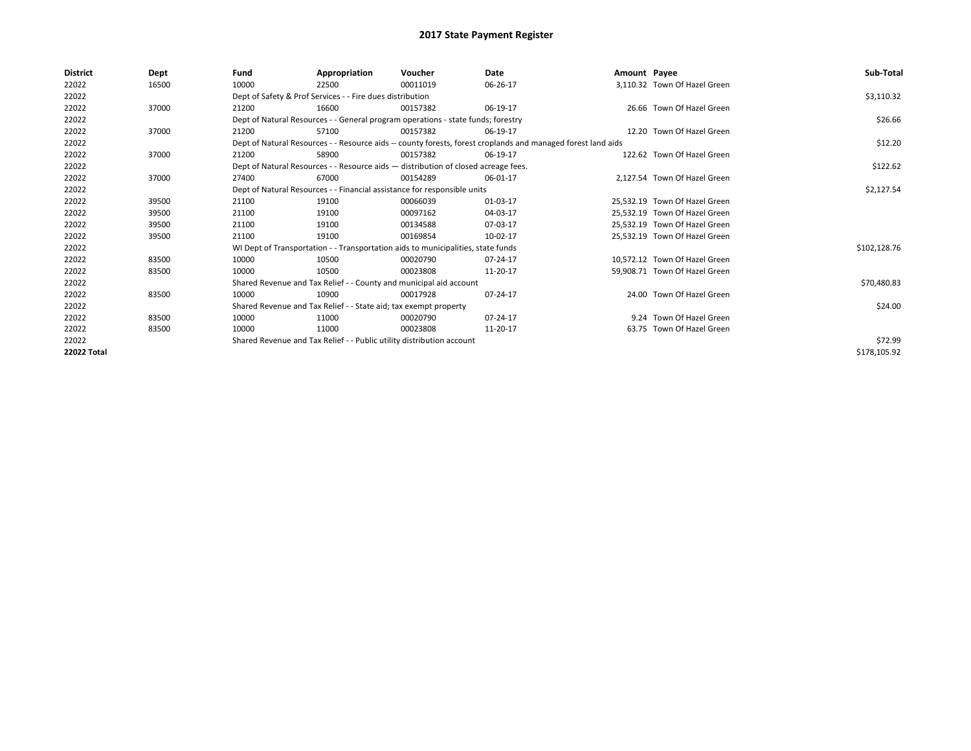| District    | Dept  | Fund                                                                     | Appropriation                                                                      | Voucher    | Date                                                                                                         | Amount Payee |                               | Sub-Total    |  |  |
|-------------|-------|--------------------------------------------------------------------------|------------------------------------------------------------------------------------|------------|--------------------------------------------------------------------------------------------------------------|--------------|-------------------------------|--------------|--|--|
| 22022       | 16500 | 10000                                                                    | 22500                                                                              | 00011019   | 06-26-17                                                                                                     |              | 3,110.32 Town Of Hazel Green  |              |  |  |
| 22022       |       |                                                                          | Dept of Safety & Prof Services - - Fire dues distribution                          |            |                                                                                                              |              |                               | \$3,110.32   |  |  |
| 22022       | 37000 | 21200                                                                    | 16600                                                                              | 00157382   | 06-19-17                                                                                                     |              | 26.66 Town Of Hazel Green     |              |  |  |
| 22022       |       |                                                                          | Dept of Natural Resources - - General program operations - state funds; forestry   |            |                                                                                                              |              |                               | \$26.66      |  |  |
| 22022       | 37000 | 21200                                                                    | 57100                                                                              | 00157382   | 06-19-17                                                                                                     |              | 12.20 Town Of Hazel Green     |              |  |  |
| 22022       |       |                                                                          |                                                                                    |            | Dept of Natural Resources - - Resource aids -- county forests, forest croplands and managed forest land aids |              |                               | \$12.20      |  |  |
| 22022       | 37000 | 21200                                                                    | 58900                                                                              | 00157382   | 06-19-17                                                                                                     |              | 122.62 Town Of Hazel Green    |              |  |  |
| 22022       |       |                                                                          | Dept of Natural Resources - - Resource aids - distribution of closed acreage fees. |            |                                                                                                              |              |                               |              |  |  |
| 22022       | 37000 | 27400                                                                    | 67000                                                                              | 00154289   | 06-01-17                                                                                                     |              | 2.127.54 Town Of Hazel Green  |              |  |  |
| 22022       |       | Dept of Natural Resources - - Financial assistance for responsible units |                                                                                    | \$2,127.54 |                                                                                                              |              |                               |              |  |  |
| 22022       | 39500 | 21100                                                                    | 19100                                                                              | 00066039   | 01-03-17                                                                                                     |              | 25,532.19 Town Of Hazel Green |              |  |  |
| 22022       | 39500 | 21100                                                                    | 19100                                                                              | 00097162   | 04-03-17                                                                                                     |              | 25.532.19 Town Of Hazel Green |              |  |  |
| 22022       | 39500 | 21100                                                                    | 19100                                                                              | 00134588   | 07-03-17                                                                                                     |              | 25,532.19 Town Of Hazel Green |              |  |  |
| 22022       | 39500 | 21100                                                                    | 19100                                                                              | 00169854   | 10-02-17                                                                                                     |              | 25,532.19 Town Of Hazel Green |              |  |  |
| 22022       |       |                                                                          | WI Dept of Transportation - - Transportation aids to municipalities, state funds   |            |                                                                                                              |              |                               | \$102,128.76 |  |  |
| 22022       | 83500 | 10000                                                                    | 10500                                                                              | 00020790   | 07-24-17                                                                                                     |              | 10.572.12 Town Of Hazel Green |              |  |  |
| 22022       | 83500 | 10000                                                                    | 10500                                                                              | 00023808   | 11-20-17                                                                                                     |              | 59,908.71 Town Of Hazel Green |              |  |  |
| 22022       |       |                                                                          | Shared Revenue and Tax Relief - - County and municipal aid account                 |            |                                                                                                              |              |                               | \$70,480.83  |  |  |
| 22022       | 83500 | 10000                                                                    | 10900                                                                              | 00017928   | 07-24-17                                                                                                     |              | 24.00 Town Of Hazel Green     |              |  |  |
| 22022       |       |                                                                          | Shared Revenue and Tax Relief - - State aid; tax exempt property                   |            |                                                                                                              |              |                               | \$24.00      |  |  |
| 22022       | 83500 | 10000                                                                    | 11000                                                                              | 00020790   | 07-24-17                                                                                                     |              | 9.24 Town Of Hazel Green      |              |  |  |
| 22022       | 83500 | 10000                                                                    | 11000                                                                              | 00023808   | 11-20-17                                                                                                     |              | 63.75 Town Of Hazel Green     |              |  |  |
| 22022       |       | Shared Revenue and Tax Relief - - Public utility distribution account    |                                                                                    | \$72.99    |                                                                                                              |              |                               |              |  |  |
| 22022 Total |       |                                                                          |                                                                                    |            |                                                                                                              |              |                               | \$178,105.92 |  |  |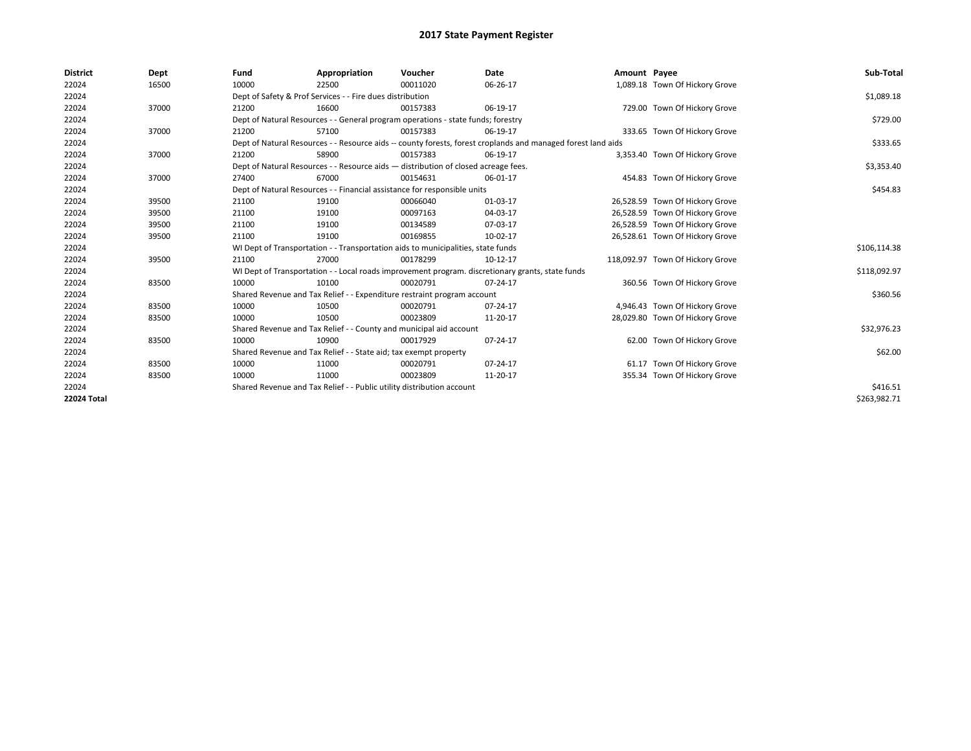| <b>District</b>    | Dept  | Fund  | Appropriation                                                                                                | Voucher  | Date     | Amount Payee |                                  | Sub-Total    |  |  |
|--------------------|-------|-------|--------------------------------------------------------------------------------------------------------------|----------|----------|--------------|----------------------------------|--------------|--|--|
| 22024              | 16500 | 10000 | 22500                                                                                                        | 00011020 | 06-26-17 |              | 1,089.18 Town Of Hickory Grove   |              |  |  |
| 22024              |       |       | Dept of Safety & Prof Services - - Fire dues distribution                                                    |          |          |              |                                  | \$1,089.18   |  |  |
| 22024              | 37000 | 21200 | 16600                                                                                                        | 00157383 | 06-19-17 |              | 729.00 Town Of Hickory Grove     |              |  |  |
| 22024              |       |       | Dept of Natural Resources - - General program operations - state funds; forestry                             |          |          |              |                                  | \$729.00     |  |  |
| 22024              | 37000 | 21200 | 57100                                                                                                        | 00157383 | 06-19-17 |              | 333.65 Town Of Hickory Grove     |              |  |  |
| 22024              |       |       | Dept of Natural Resources - - Resource aids -- county forests, forest croplands and managed forest land aids |          |          |              |                                  |              |  |  |
| 22024              | 37000 | 21200 | 58900                                                                                                        | 00157383 | 06-19-17 |              | 3,353.40 Town Of Hickory Grove   |              |  |  |
| 22024              |       |       | Dept of Natural Resources - - Resource aids - distribution of closed acreage fees.                           |          |          |              |                                  |              |  |  |
| 22024              | 37000 | 27400 | 67000                                                                                                        | 00154631 | 06-01-17 |              | 454.83 Town Of Hickory Grove     |              |  |  |
| 22024              |       |       | Dept of Natural Resources - - Financial assistance for responsible units                                     |          |          |              |                                  | \$454.83     |  |  |
| 22024              | 39500 | 21100 | 19100                                                                                                        | 00066040 | 01-03-17 |              | 26,528.59 Town Of Hickory Grove  |              |  |  |
| 22024              | 39500 | 21100 | 19100                                                                                                        | 00097163 | 04-03-17 |              | 26,528.59 Town Of Hickory Grove  |              |  |  |
| 22024              | 39500 | 21100 | 19100                                                                                                        | 00134589 | 07-03-17 |              | 26,528.59 Town Of Hickory Grove  |              |  |  |
| 22024              | 39500 | 21100 | 19100                                                                                                        | 00169855 | 10-02-17 |              | 26,528.61 Town Of Hickory Grove  |              |  |  |
| 22024              |       |       | WI Dept of Transportation - - Transportation aids to municipalities, state funds                             |          |          |              |                                  | \$106,114.38 |  |  |
| 22024              | 39500 | 21100 | 27000                                                                                                        | 00178299 | 10-12-17 |              | 118,092.97 Town Of Hickory Grove |              |  |  |
| 22024              |       |       | WI Dept of Transportation - - Local roads improvement program. discretionary grants, state funds             |          |          |              |                                  | \$118,092.97 |  |  |
| 22024              | 83500 | 10000 | 10100                                                                                                        | 00020791 | 07-24-17 |              | 360.56 Town Of Hickory Grove     |              |  |  |
| 22024              |       |       | Shared Revenue and Tax Relief - - Expenditure restraint program account                                      |          |          |              |                                  | \$360.56     |  |  |
| 22024              | 83500 | 10000 | 10500                                                                                                        | 00020791 | 07-24-17 |              | 4,946.43 Town Of Hickory Grove   |              |  |  |
| 22024              | 83500 | 10000 | 10500                                                                                                        | 00023809 | 11-20-17 |              | 28,029.80 Town Of Hickory Grove  |              |  |  |
| 22024              |       |       | Shared Revenue and Tax Relief - - County and municipal aid account                                           |          |          |              |                                  | \$32,976.23  |  |  |
| 22024              | 83500 | 10000 | 10900                                                                                                        | 00017929 | 07-24-17 |              | 62.00 Town Of Hickory Grove      |              |  |  |
| 22024              |       |       | Shared Revenue and Tax Relief - - State aid; tax exempt property                                             |          |          |              |                                  | \$62.00      |  |  |
| 22024              | 83500 | 10000 | 11000                                                                                                        | 00020791 | 07-24-17 |              | 61.17 Town Of Hickory Grove      |              |  |  |
| 22024              | 83500 | 10000 | 11000                                                                                                        | 00023809 | 11-20-17 |              | 355.34 Town Of Hickory Grove     |              |  |  |
| 22024              |       |       | Shared Revenue and Tax Relief - - Public utility distribution account                                        |          |          |              |                                  | \$416.51     |  |  |
| <b>22024 Total</b> |       |       |                                                                                                              |          |          |              |                                  | \$263,982.71 |  |  |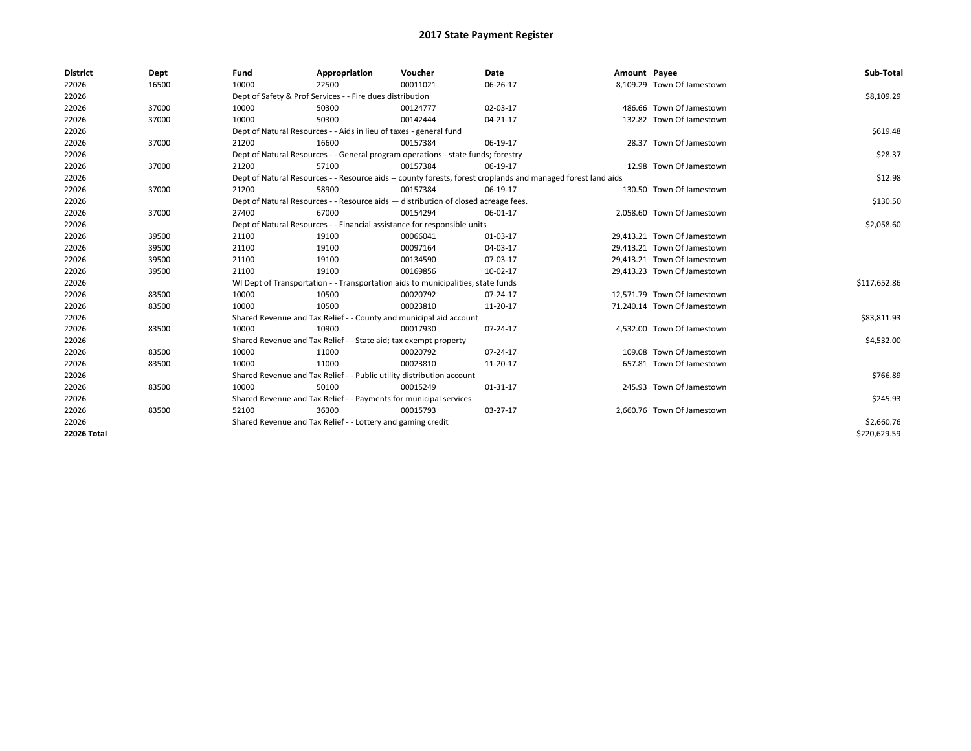| <b>District</b> | Dept  | Fund                                                                                                         | Appropriation                                                         | Voucher                                                                            | Date           | Amount Payee |                             | Sub-Total    |
|-----------------|-------|--------------------------------------------------------------------------------------------------------------|-----------------------------------------------------------------------|------------------------------------------------------------------------------------|----------------|--------------|-----------------------------|--------------|
| 22026           | 16500 | 10000                                                                                                        | 22500                                                                 | 00011021                                                                           | 06-26-17       |              | 8,109.29 Town Of Jamestown  |              |
| 22026           |       |                                                                                                              | Dept of Safety & Prof Services - - Fire dues distribution             |                                                                                    |                |              |                             | \$8,109.29   |
| 22026           | 37000 | 10000                                                                                                        | 50300                                                                 | 00124777                                                                           | 02-03-17       |              | 486.66 Town Of Jamestown    |              |
| 22026           | 37000 | 10000                                                                                                        | 50300                                                                 | 00142444                                                                           | 04-21-17       |              | 132.82 Town Of Jamestown    |              |
| 22026           |       | Dept of Natural Resources - - Aids in lieu of taxes - general fund                                           |                                                                       | \$619.48                                                                           |                |              |                             |              |
| 22026           | 37000 | 21200                                                                                                        | 16600                                                                 | 00157384                                                                           | 06-19-17       |              | 28.37 Town Of Jamestown     |              |
| 22026           |       | Dept of Natural Resources - - General program operations - state funds; forestry                             |                                                                       | \$28.37                                                                            |                |              |                             |              |
| 22026           | 37000 | 21200                                                                                                        | 57100                                                                 | 00157384                                                                           | 06-19-17       |              | 12.98 Town Of Jamestown     |              |
| 22026           |       | Dept of Natural Resources - - Resource aids -- county forests, forest croplands and managed forest land aids |                                                                       | \$12.98                                                                            |                |              |                             |              |
| 22026           | 37000 | 21200                                                                                                        | 58900                                                                 | 00157384                                                                           | 06-19-17       |              | 130.50 Town Of Jamestown    |              |
| 22026           |       |                                                                                                              |                                                                       | Dept of Natural Resources - - Resource aids - distribution of closed acreage fees. |                |              |                             | \$130.50     |
| 22026           | 37000 | 27400                                                                                                        | 67000                                                                 | 00154294                                                                           | 06-01-17       |              | 2,058.60 Town Of Jamestown  |              |
| 22026           |       | Dept of Natural Resources - - Financial assistance for responsible units                                     |                                                                       | \$2,058.60                                                                         |                |              |                             |              |
| 22026           | 39500 | 21100                                                                                                        | 19100                                                                 | 00066041                                                                           | 01-03-17       |              | 29,413.21 Town Of Jamestown |              |
| 22026           | 39500 | 21100                                                                                                        | 19100                                                                 | 00097164                                                                           | 04-03-17       |              | 29,413.21 Town Of Jamestown |              |
| 22026           | 39500 | 21100                                                                                                        | 19100                                                                 | 00134590                                                                           | 07-03-17       |              | 29.413.21 Town Of Jamestown |              |
| 22026           | 39500 | 21100                                                                                                        | 19100                                                                 | 00169856                                                                           | 10-02-17       |              | 29,413.23 Town Of Jamestown |              |
| 22026           |       |                                                                                                              |                                                                       | WI Dept of Transportation - - Transportation aids to municipalities, state funds   |                |              |                             | \$117,652.86 |
| 22026           | 83500 | 10000                                                                                                        | 10500                                                                 | 00020792                                                                           | 07-24-17       |              | 12,571.79 Town Of Jamestown |              |
| 22026           | 83500 | 10000                                                                                                        | 10500                                                                 | 00023810                                                                           | 11-20-17       |              | 71,240.14 Town Of Jamestown |              |
| 22026           |       |                                                                                                              |                                                                       | Shared Revenue and Tax Relief - - County and municipal aid account                 |                |              |                             | \$83,811.93  |
| 22026           | 83500 | 10000                                                                                                        | 10900                                                                 | 00017930                                                                           | 07-24-17       |              | 4,532.00 Town Of Jamestown  |              |
| 22026           |       |                                                                                                              | Shared Revenue and Tax Relief - - State aid; tax exempt property      |                                                                                    |                |              |                             | \$4,532.00   |
| 22026           | 83500 | 10000                                                                                                        | 11000                                                                 | 00020792                                                                           | $07 - 24 - 17$ |              | 109.08 Town Of Jamestown    |              |
| 22026           | 83500 | 10000                                                                                                        | 11000                                                                 | 00023810                                                                           | 11-20-17       |              | 657.81 Town Of Jamestown    |              |
| 22026           |       |                                                                                                              | Shared Revenue and Tax Relief - - Public utility distribution account |                                                                                    |                |              |                             | \$766.89     |
| 22026           | 83500 | 10000                                                                                                        | 50100                                                                 | 00015249                                                                           | 01-31-17       |              | 245.93 Town Of Jamestown    |              |
| 22026           |       |                                                                                                              | Shared Revenue and Tax Relief - - Payments for municipal services     |                                                                                    |                |              |                             | \$245.93     |
| 22026           | 83500 | 52100                                                                                                        | 36300                                                                 | 00015793                                                                           | 03-27-17       |              | 2,660.76 Town Of Jamestown  |              |
| 22026           |       | Shared Revenue and Tax Relief - - Lottery and gaming credit                                                  |                                                                       | \$2,660.76                                                                         |                |              |                             |              |
| 22026 Total     |       |                                                                                                              |                                                                       |                                                                                    |                |              |                             | \$220,629.59 |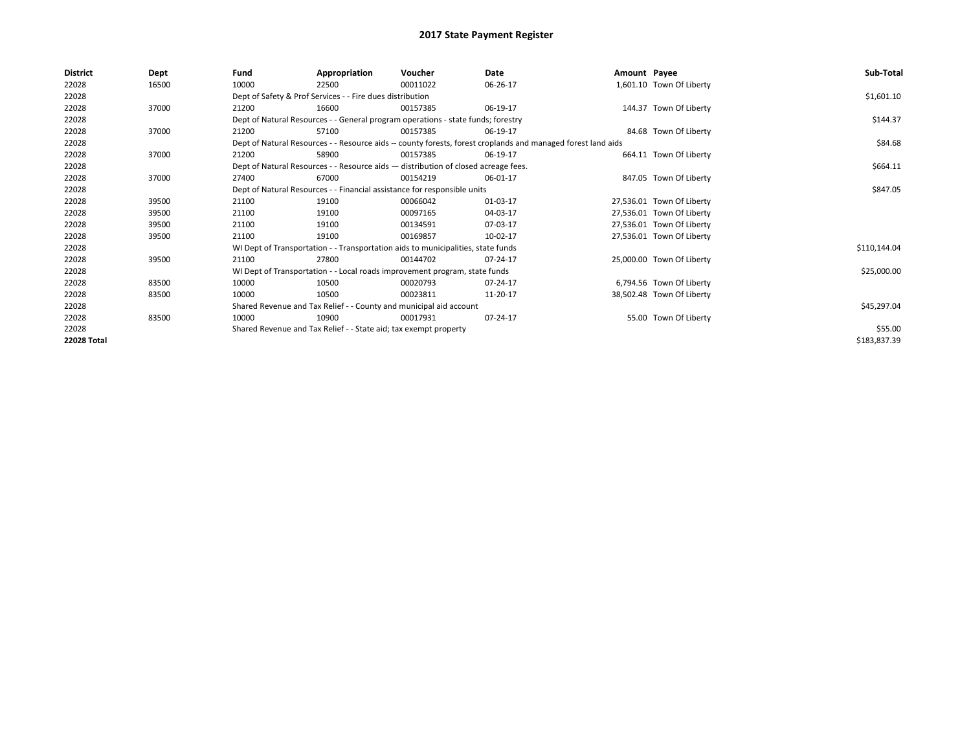| <b>District</b>    | Dept  | Fund                                                                               | Appropriation                                                                    | Voucher  | Date                                                                                                         | Amount Payee |                           | Sub-Total    |
|--------------------|-------|------------------------------------------------------------------------------------|----------------------------------------------------------------------------------|----------|--------------------------------------------------------------------------------------------------------------|--------------|---------------------------|--------------|
| 22028              | 16500 | 10000                                                                              | 22500                                                                            | 00011022 | 06-26-17                                                                                                     |              | 1,601.10 Town Of Liberty  |              |
| 22028              |       |                                                                                    | Dept of Safety & Prof Services - - Fire dues distribution                        |          |                                                                                                              |              |                           | \$1,601.10   |
| 22028              | 37000 | 21200                                                                              | 16600                                                                            | 00157385 | 06-19-17                                                                                                     |              | 144.37 Town Of Liberty    |              |
| 22028              |       | Dept of Natural Resources - - General program operations - state funds; forestry   |                                                                                  | \$144.37 |                                                                                                              |              |                           |              |
| 22028              | 37000 | 21200                                                                              | 57100                                                                            | 00157385 | 06-19-17                                                                                                     |              | 84.68 Town Of Liberty     |              |
| 22028              |       |                                                                                    |                                                                                  |          | Dept of Natural Resources - - Resource aids -- county forests, forest croplands and managed forest land aids |              |                           | \$84.68      |
| 22028              | 37000 | 21200                                                                              | 58900                                                                            | 00157385 | 06-19-17                                                                                                     |              | 664.11 Town Of Liberty    |              |
| 22028              |       | Dept of Natural Resources - - Resource aids - distribution of closed acreage fees. |                                                                                  | \$664.11 |                                                                                                              |              |                           |              |
| 22028              | 37000 | 27400                                                                              | 67000                                                                            | 00154219 | 06-01-17                                                                                                     |              | 847.05 Town Of Liberty    |              |
| 22028              |       | Dept of Natural Resources - - Financial assistance for responsible units           |                                                                                  | \$847.05 |                                                                                                              |              |                           |              |
| 22028              | 39500 | 21100                                                                              | 19100                                                                            | 00066042 | 01-03-17                                                                                                     |              | 27,536.01 Town Of Liberty |              |
| 22028              | 39500 | 21100                                                                              | 19100                                                                            | 00097165 | 04-03-17                                                                                                     |              | 27,536.01 Town Of Liberty |              |
| 22028              | 39500 | 21100                                                                              | 19100                                                                            | 00134591 | 07-03-17                                                                                                     |              | 27,536.01 Town Of Liberty |              |
| 22028              | 39500 | 21100                                                                              | 19100                                                                            | 00169857 | 10-02-17                                                                                                     |              | 27,536.01 Town Of Liberty |              |
| 22028              |       |                                                                                    | WI Dept of Transportation - - Transportation aids to municipalities, state funds |          |                                                                                                              |              |                           | \$110,144.04 |
| 22028              | 39500 | 21100                                                                              | 27800                                                                            | 00144702 | 07-24-17                                                                                                     |              | 25,000.00 Town Of Liberty |              |
| 22028              |       |                                                                                    | WI Dept of Transportation - - Local roads improvement program, state funds       |          |                                                                                                              |              |                           | \$25,000.00  |
| 22028              | 83500 | 10000                                                                              | 10500                                                                            | 00020793 | 07-24-17                                                                                                     |              | 6,794.56 Town Of Liberty  |              |
| 22028              | 83500 | 10000                                                                              | 10500                                                                            | 00023811 | 11-20-17                                                                                                     |              | 38,502.48 Town Of Liberty |              |
| 22028              |       |                                                                                    | Shared Revenue and Tax Relief - - County and municipal aid account               |          |                                                                                                              |              |                           | \$45,297.04  |
| 22028              | 83500 | 10000                                                                              | 10900                                                                            | 00017931 | 07-24-17                                                                                                     |              | 55.00 Town Of Liberty     |              |
| 22028              |       | Shared Revenue and Tax Relief - - State aid; tax exempt property                   |                                                                                  | \$55.00  |                                                                                                              |              |                           |              |
| <b>22028 Total</b> |       |                                                                                    |                                                                                  |          |                                                                                                              |              |                           | \$183,837.39 |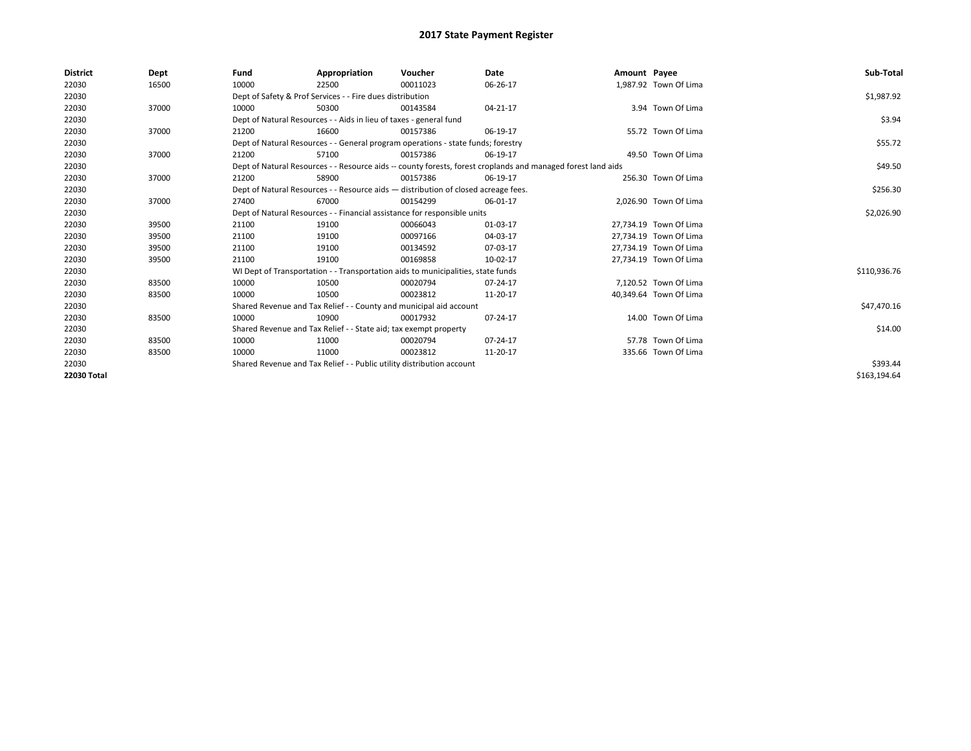| <b>District</b> | Dept  | Fund  | Appropriation                                                                                                | Voucher  | Date           | Amount Payee |                        | Sub-Total    |  |  |
|-----------------|-------|-------|--------------------------------------------------------------------------------------------------------------|----------|----------------|--------------|------------------------|--------------|--|--|
| 22030           | 16500 | 10000 | 22500                                                                                                        | 00011023 | 06-26-17       |              | 1,987.92 Town Of Lima  |              |  |  |
| 22030           |       |       | Dept of Safety & Prof Services - - Fire dues distribution                                                    |          |                |              |                        | \$1,987.92   |  |  |
| 22030           | 37000 | 10000 | 50300                                                                                                        | 00143584 | $04 - 21 - 17$ |              | 3.94 Town Of Lima      |              |  |  |
| 22030           |       |       | Dept of Natural Resources - - Aids in lieu of taxes - general fund                                           |          |                |              |                        |              |  |  |
| 22030           | 37000 | 21200 | 16600                                                                                                        | 00157386 | 06-19-17       |              | 55.72 Town Of Lima     |              |  |  |
| 22030           |       |       | Dept of Natural Resources - - General program operations - state funds; forestry                             |          | \$55.72        |              |                        |              |  |  |
| 22030           | 37000 | 21200 | 57100                                                                                                        | 00157386 | 06-19-17       |              | 49.50 Town Of Lima     |              |  |  |
| 22030           |       |       | Dept of Natural Resources - - Resource aids -- county forests, forest croplands and managed forest land aids |          | \$49.50        |              |                        |              |  |  |
| 22030           | 37000 | 21200 | 58900                                                                                                        | 00157386 | 06-19-17       |              | 256.30 Town Of Lima    |              |  |  |
| 22030           |       |       | Dept of Natural Resources - - Resource aids - distribution of closed acreage fees.                           |          |                |              |                        | \$256.30     |  |  |
| 22030           | 37000 | 27400 | 67000                                                                                                        | 00154299 | 06-01-17       |              | 2.026.90 Town Of Lima  |              |  |  |
| 22030           |       |       | Dept of Natural Resources - - Financial assistance for responsible units                                     |          | \$2,026.90     |              |                        |              |  |  |
| 22030           | 39500 | 21100 | 19100                                                                                                        | 00066043 | 01-03-17       |              | 27,734.19 Town Of Lima |              |  |  |
| 22030           | 39500 | 21100 | 19100                                                                                                        | 00097166 | 04-03-17       |              | 27,734.19 Town Of Lima |              |  |  |
| 22030           | 39500 | 21100 | 19100                                                                                                        | 00134592 | 07-03-17       |              | 27,734.19 Town Of Lima |              |  |  |
| 22030           | 39500 | 21100 | 19100                                                                                                        | 00169858 | 10-02-17       |              | 27,734.19 Town Of Lima |              |  |  |
| 22030           |       |       | WI Dept of Transportation - - Transportation aids to municipalities, state funds                             |          |                |              |                        | \$110,936.76 |  |  |
| 22030           | 83500 | 10000 | 10500                                                                                                        | 00020794 | 07-24-17       |              | 7.120.52 Town Of Lima  |              |  |  |
| 22030           | 83500 | 10000 | 10500                                                                                                        | 00023812 | 11-20-17       |              | 40,349.64 Town Of Lima |              |  |  |
| 22030           |       |       | Shared Revenue and Tax Relief - - County and municipal aid account                                           |          |                |              |                        | \$47,470.16  |  |  |
| 22030           | 83500 | 10000 | 10900                                                                                                        | 00017932 | 07-24-17       |              | 14.00 Town Of Lima     |              |  |  |
| 22030           |       |       | Shared Revenue and Tax Relief - - State aid; tax exempt property                                             |          |                |              |                        | \$14.00      |  |  |
| 22030           | 83500 | 10000 | 11000                                                                                                        | 00020794 | 07-24-17       |              | 57.78 Town Of Lima     |              |  |  |
| 22030           | 83500 | 10000 | 11000                                                                                                        | 00023812 | 11-20-17       |              | 335.66 Town Of Lima    |              |  |  |
| 22030           |       |       | Shared Revenue and Tax Relief - - Public utility distribution account                                        |          |                |              |                        |              |  |  |
| 22030 Total     |       |       |                                                                                                              |          |                |              |                        | \$163,194.64 |  |  |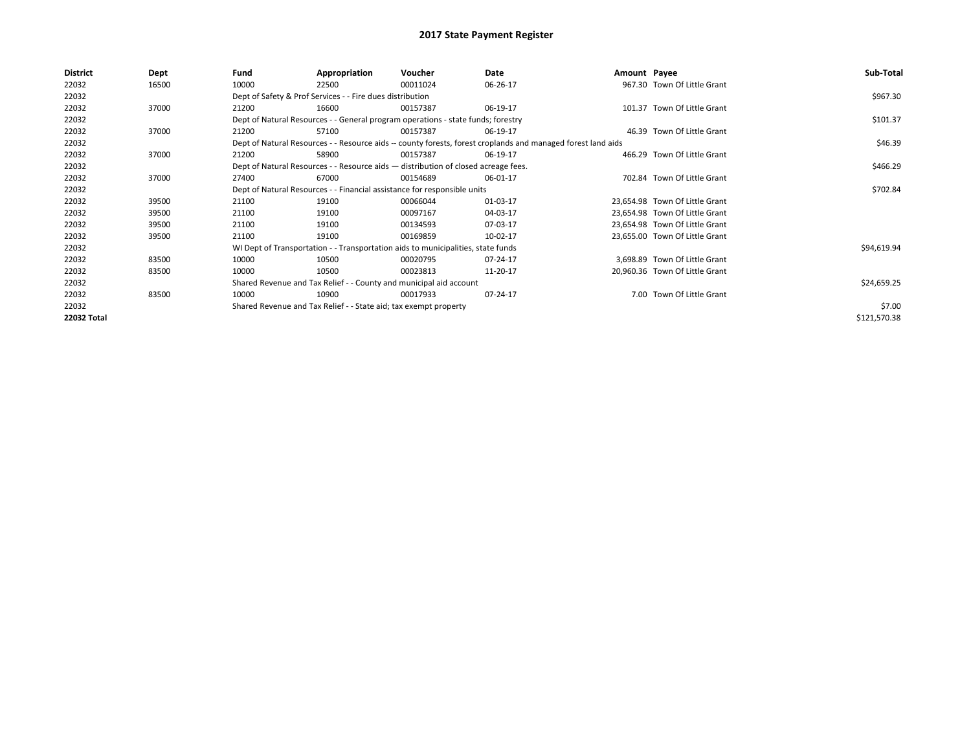| <b>District</b> | Dept  | Fund                                                                             | Appropriation                                                                      | Voucher  | Date                                                                                                         | Amount Payee |                                | Sub-Total    |
|-----------------|-------|----------------------------------------------------------------------------------|------------------------------------------------------------------------------------|----------|--------------------------------------------------------------------------------------------------------------|--------------|--------------------------------|--------------|
| 22032           | 16500 | 10000                                                                            | 22500                                                                              | 00011024 | 06-26-17                                                                                                     |              | 967.30 Town Of Little Grant    |              |
| 22032           |       |                                                                                  | Dept of Safety & Prof Services - - Fire dues distribution                          |          |                                                                                                              |              |                                | \$967.30     |
| 22032           | 37000 | 21200                                                                            | 16600                                                                              | 00157387 | 06-19-17                                                                                                     |              | 101.37 Town Of Little Grant    |              |
| 22032           |       | Dept of Natural Resources - - General program operations - state funds; forestry |                                                                                    | \$101.37 |                                                                                                              |              |                                |              |
| 22032           | 37000 | 21200                                                                            | 57100                                                                              | 00157387 | 06-19-17                                                                                                     |              | 46.39 Town Of Little Grant     |              |
| 22032           |       |                                                                                  |                                                                                    |          | Dept of Natural Resources - - Resource aids -- county forests, forest croplands and managed forest land aids |              |                                | \$46.39      |
| 22032           | 37000 | 21200                                                                            | 58900                                                                              | 00157387 | 06-19-17                                                                                                     |              | 466.29 Town Of Little Grant    |              |
| 22032           |       |                                                                                  | Dept of Natural Resources - - Resource aids - distribution of closed acreage fees. |          |                                                                                                              |              |                                | \$466.29     |
| 22032           | 37000 | 27400                                                                            | 67000                                                                              | 00154689 | 06-01-17                                                                                                     |              | 702.84 Town Of Little Grant    |              |
| 22032           |       |                                                                                  | Dept of Natural Resources - - Financial assistance for responsible units           |          |                                                                                                              |              |                                | \$702.84     |
| 22032           | 39500 | 21100                                                                            | 19100                                                                              | 00066044 | 01-03-17                                                                                                     |              | 23,654.98 Town Of Little Grant |              |
| 22032           | 39500 | 21100                                                                            | 19100                                                                              | 00097167 | 04-03-17                                                                                                     |              | 23,654.98 Town Of Little Grant |              |
| 22032           | 39500 | 21100                                                                            | 19100                                                                              | 00134593 | 07-03-17                                                                                                     |              | 23,654.98 Town Of Little Grant |              |
| 22032           | 39500 | 21100                                                                            | 19100                                                                              | 00169859 | 10-02-17                                                                                                     |              | 23,655.00 Town Of Little Grant |              |
| 22032           |       |                                                                                  | WI Dept of Transportation - - Transportation aids to municipalities, state funds   |          |                                                                                                              |              |                                | \$94,619.94  |
| 22032           | 83500 | 10000                                                                            | 10500                                                                              | 00020795 | 07-24-17                                                                                                     |              | 3,698.89 Town Of Little Grant  |              |
| 22032           | 83500 | 10000                                                                            | 10500                                                                              | 00023813 | 11-20-17                                                                                                     |              | 20,960.36 Town Of Little Grant |              |
| 22032           |       |                                                                                  | Shared Revenue and Tax Relief - - County and municipal aid account                 |          |                                                                                                              |              |                                | \$24,659.25  |
| 22032           | 83500 | 10000                                                                            | 10900                                                                              | 00017933 | 07-24-17                                                                                                     |              | 7.00 Town Of Little Grant      |              |
| 22032           |       |                                                                                  | Shared Revenue and Tax Relief - - State aid; tax exempt property                   |          |                                                                                                              |              |                                | \$7.00       |
| 22032 Total     |       |                                                                                  |                                                                                    |          |                                                                                                              |              |                                | \$121,570.38 |
|                 |       |                                                                                  |                                                                                    |          |                                                                                                              |              |                                |              |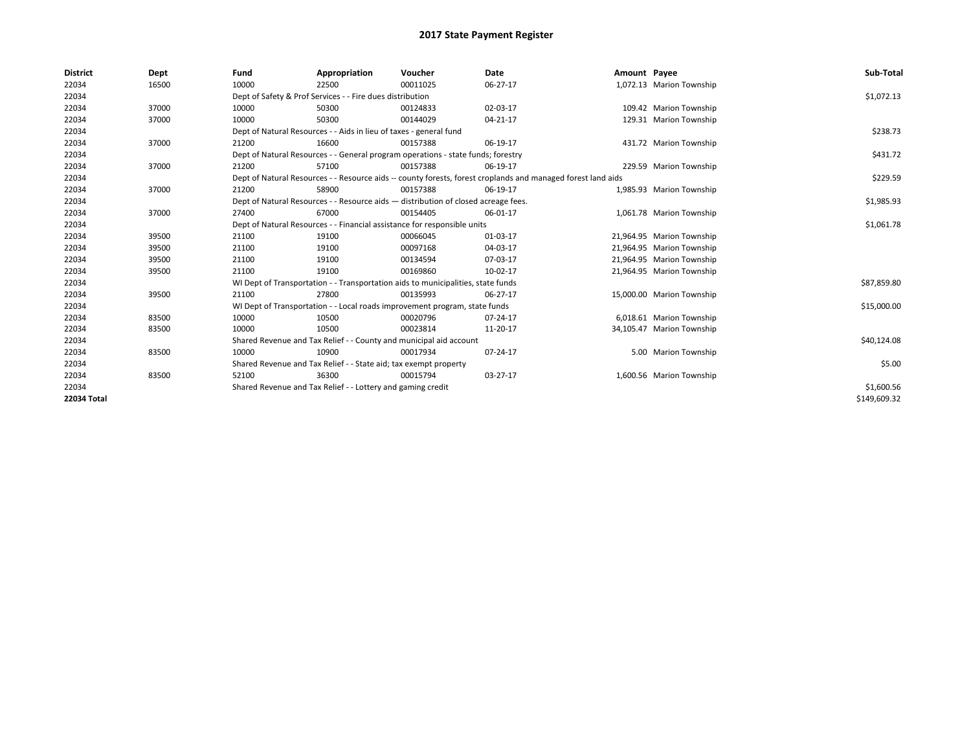| <b>District</b>    | Dept  | Fund  | Appropriation                                                                                                | Voucher  | Date     | Amount Payee |                           | Sub-Total    |  |  |  |
|--------------------|-------|-------|--------------------------------------------------------------------------------------------------------------|----------|----------|--------------|---------------------------|--------------|--|--|--|
| 22034              | 16500 | 10000 | 22500                                                                                                        | 00011025 | 06-27-17 |              | 1,072.13 Marion Township  |              |  |  |  |
| 22034              |       |       | Dept of Safety & Prof Services - - Fire dues distribution                                                    |          |          |              |                           | \$1,072.13   |  |  |  |
| 22034              | 37000 | 10000 | 50300                                                                                                        | 00124833 | 02-03-17 |              | 109.42 Marion Township    |              |  |  |  |
| 22034              | 37000 | 10000 | 50300                                                                                                        | 00144029 | 04-21-17 |              | 129.31 Marion Township    |              |  |  |  |
| 22034              |       |       | Dept of Natural Resources - - Aids in lieu of taxes - general fund                                           |          |          |              |                           |              |  |  |  |
| 22034              | 37000 | 21200 | 16600                                                                                                        | 00157388 | 06-19-17 |              | 431.72 Marion Township    |              |  |  |  |
| 22034              |       |       | Dept of Natural Resources - - General program operations - state funds; forestry                             |          |          |              |                           |              |  |  |  |
| 22034              | 37000 | 21200 | 57100                                                                                                        | 00157388 | 06-19-17 |              | 229.59 Marion Township    |              |  |  |  |
| 22034              |       |       | Dept of Natural Resources - - Resource aids -- county forests, forest croplands and managed forest land aids |          |          |              |                           |              |  |  |  |
| 22034              | 37000 | 21200 | 58900                                                                                                        | 00157388 | 06-19-17 |              | 1,985.93 Marion Township  |              |  |  |  |
| 22034              |       |       | Dept of Natural Resources - - Resource aids - distribution of closed acreage fees.                           |          |          |              |                           |              |  |  |  |
| 22034              | 37000 | 27400 | 67000                                                                                                        | 00154405 | 06-01-17 |              | 1,061.78 Marion Township  |              |  |  |  |
| 22034              |       |       | Dept of Natural Resources - - Financial assistance for responsible units                                     |          |          |              |                           |              |  |  |  |
| 22034              | 39500 | 21100 | 19100                                                                                                        | 00066045 | 01-03-17 |              | 21,964.95 Marion Township |              |  |  |  |
| 22034              | 39500 | 21100 | 19100                                                                                                        | 00097168 | 04-03-17 |              | 21,964.95 Marion Township |              |  |  |  |
| 22034              | 39500 | 21100 | 19100                                                                                                        | 00134594 | 07-03-17 |              | 21,964.95 Marion Township |              |  |  |  |
| 22034              | 39500 | 21100 | 19100                                                                                                        | 00169860 | 10-02-17 |              | 21,964.95 Marion Township |              |  |  |  |
| 22034              |       |       | WI Dept of Transportation - - Transportation aids to municipalities, state funds                             |          |          |              |                           | \$87,859.80  |  |  |  |
| 22034              | 39500 | 21100 | 27800                                                                                                        | 00135993 | 06-27-17 |              | 15,000.00 Marion Township |              |  |  |  |
| 22034              |       |       | WI Dept of Transportation - - Local roads improvement program, state funds                                   |          |          |              |                           | \$15,000.00  |  |  |  |
| 22034              | 83500 | 10000 | 10500                                                                                                        | 00020796 | 07-24-17 |              | 6,018.61 Marion Township  |              |  |  |  |
| 22034              | 83500 | 10000 | 10500                                                                                                        | 00023814 | 11-20-17 |              | 34,105.47 Marion Township |              |  |  |  |
| 22034              |       |       | Shared Revenue and Tax Relief - - County and municipal aid account                                           |          |          |              |                           | \$40,124.08  |  |  |  |
| 22034              | 83500 | 10000 | 10900                                                                                                        | 00017934 | 07-24-17 |              | 5.00 Marion Township      |              |  |  |  |
| 22034              |       |       | Shared Revenue and Tax Relief - - State aid; tax exempt property                                             |          |          |              |                           | \$5.00       |  |  |  |
| 22034              | 83500 | 52100 | 36300                                                                                                        | 00015794 | 03-27-17 |              | 1,600.56 Marion Township  |              |  |  |  |
| 22034              |       |       | Shared Revenue and Tax Relief - - Lottery and gaming credit                                                  |          |          |              |                           | \$1,600.56   |  |  |  |
| <b>22034 Total</b> |       |       |                                                                                                              |          |          |              |                           | \$149,609.32 |  |  |  |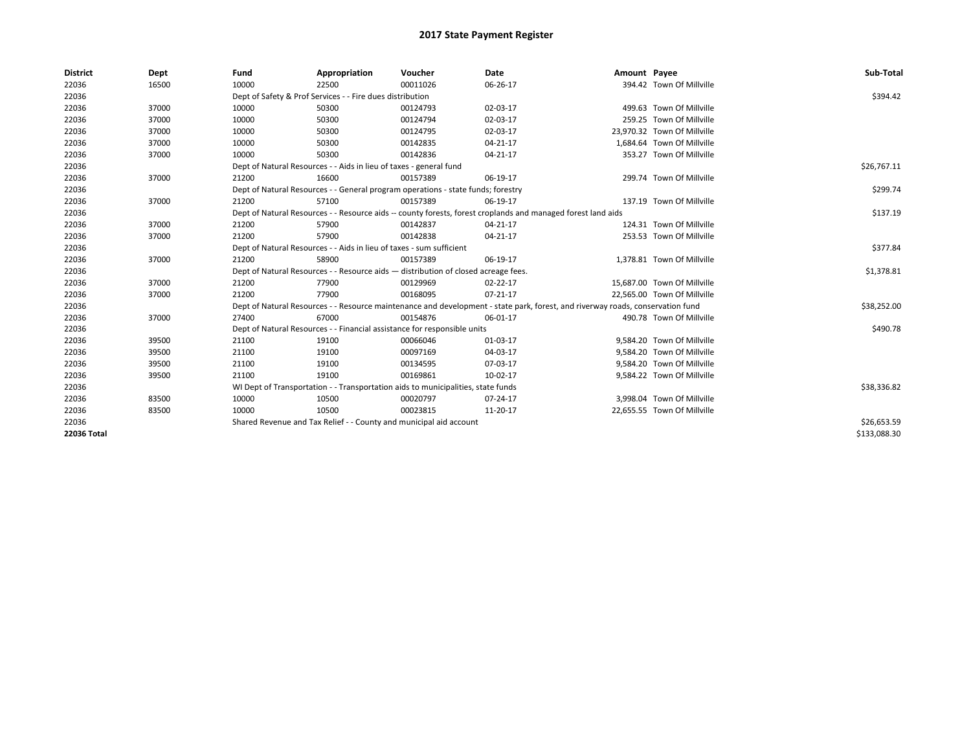| <b>District</b> | Dept  | Fund                                                                             | Appropriation                                                                      | Voucher     | Date                                                                                                                           | Amount Payee |                             | Sub-Total    |
|-----------------|-------|----------------------------------------------------------------------------------|------------------------------------------------------------------------------------|-------------|--------------------------------------------------------------------------------------------------------------------------------|--------------|-----------------------------|--------------|
| 22036           | 16500 | 10000                                                                            | 22500                                                                              | 00011026    | 06-26-17                                                                                                                       |              | 394.42 Town Of Millville    |              |
| 22036           |       |                                                                                  | Dept of Safety & Prof Services - - Fire dues distribution                          |             |                                                                                                                                |              |                             | \$394.42     |
| 22036           | 37000 | 10000                                                                            | 50300                                                                              | 00124793    | 02-03-17                                                                                                                       |              | 499.63 Town Of Millville    |              |
| 22036           | 37000 | 10000                                                                            | 50300                                                                              | 00124794    | 02-03-17                                                                                                                       |              | 259.25 Town Of Millville    |              |
| 22036           | 37000 | 10000                                                                            | 50300                                                                              | 00124795    | 02-03-17                                                                                                                       |              | 23,970.32 Town Of Millville |              |
| 22036           | 37000 | 10000                                                                            | 50300                                                                              | 00142835    | $04 - 21 - 17$                                                                                                                 |              | 1,684.64 Town Of Millville  |              |
| 22036           | 37000 | 10000                                                                            | 50300                                                                              | 00142836    | $04 - 21 - 17$                                                                                                                 |              | 353.27 Town Of Millville    |              |
| 22036           |       | Dept of Natural Resources - - Aids in lieu of taxes - general fund               |                                                                                    | \$26,767.11 |                                                                                                                                |              |                             |              |
| 22036           | 37000 | 21200                                                                            | 16600                                                                              | 00157389    | 06-19-17                                                                                                                       |              | 299.74 Town Of Millville    |              |
| 22036           |       | Dept of Natural Resources - - General program operations - state funds; forestry |                                                                                    | \$299.74    |                                                                                                                                |              |                             |              |
| 22036           | 37000 | 21200                                                                            | 57100                                                                              | 00157389    | 06-19-17                                                                                                                       |              | 137.19 Town Of Millville    |              |
| 22036           |       |                                                                                  |                                                                                    |             | Dept of Natural Resources - - Resource aids -- county forests, forest croplands and managed forest land aids                   |              |                             | \$137.19     |
| 22036           | 37000 | 21200                                                                            | 57900                                                                              | 00142837    | $04 - 21 - 17$                                                                                                                 |              | 124.31 Town Of Millville    |              |
| 22036           | 37000 | 21200                                                                            | 57900                                                                              | 00142838    | 04-21-17                                                                                                                       |              | 253.53 Town Of Millville    |              |
| 22036           |       | Dept of Natural Resources - - Aids in lieu of taxes - sum sufficient             |                                                                                    | \$377.84    |                                                                                                                                |              |                             |              |
| 22036           | 37000 | 21200                                                                            | 58900                                                                              | 00157389    | 06-19-17                                                                                                                       |              | 1,378.81 Town Of Millville  |              |
| 22036           |       |                                                                                  | Dept of Natural Resources - - Resource aids - distribution of closed acreage fees. |             |                                                                                                                                |              |                             | \$1,378.81   |
| 22036           | 37000 | 21200                                                                            | 77900                                                                              | 00129969    | 02-22-17                                                                                                                       |              | 15,687.00 Town Of Millville |              |
| 22036           | 37000 | 21200                                                                            | 77900                                                                              | 00168095    | $07-21-17$                                                                                                                     |              | 22,565.00 Town Of Millville |              |
| 22036           |       |                                                                                  |                                                                                    |             | Dept of Natural Resources - - Resource maintenance and development - state park, forest, and riverway roads, conservation fund |              |                             | \$38,252.00  |
| 22036           | 37000 | 27400                                                                            | 67000                                                                              | 00154876    | 06-01-17                                                                                                                       |              | 490.78 Town Of Millville    |              |
| 22036           |       |                                                                                  | Dept of Natural Resources - - Financial assistance for responsible units           |             |                                                                                                                                |              |                             | \$490.78     |
| 22036           | 39500 | 21100                                                                            | 19100                                                                              | 00066046    | 01-03-17                                                                                                                       |              | 9,584.20 Town Of Millville  |              |
| 22036           | 39500 | 21100                                                                            | 19100                                                                              | 00097169    | 04-03-17                                                                                                                       |              | 9,584.20 Town Of Millville  |              |
| 22036           | 39500 | 21100                                                                            | 19100                                                                              | 00134595    | 07-03-17                                                                                                                       |              | 9,584.20 Town Of Millville  |              |
| 22036           | 39500 | 21100                                                                            | 19100                                                                              | 00169861    | 10-02-17                                                                                                                       |              | 9,584.22 Town Of Millville  |              |
| 22036           |       | WI Dept of Transportation - - Transportation aids to municipalities, state funds |                                                                                    | \$38,336.82 |                                                                                                                                |              |                             |              |
| 22036           | 83500 | 10000                                                                            | 10500                                                                              | 00020797    | 07-24-17                                                                                                                       |              | 3,998.04 Town Of Millville  |              |
| 22036           | 83500 | 10000                                                                            | 10500                                                                              | 00023815    | 11-20-17                                                                                                                       |              | 22,655.55 Town Of Millville |              |
| 22036           |       | Shared Revenue and Tax Relief - - County and municipal aid account               |                                                                                    | \$26,653.59 |                                                                                                                                |              |                             |              |
| 22036 Total     |       |                                                                                  |                                                                                    |             |                                                                                                                                |              |                             | \$133.088.30 |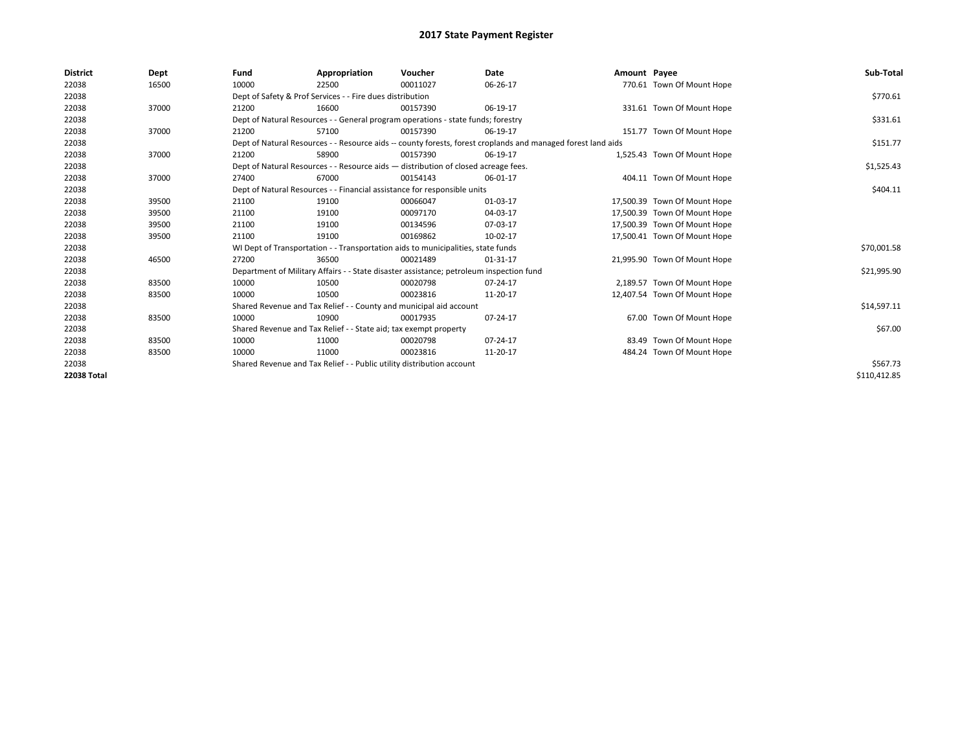| <b>District</b> | Dept  | Fund  | Appropriation                                                                                                | Voucher  | Date           | Amount Payee |                              | Sub-Total    |  |  |
|-----------------|-------|-------|--------------------------------------------------------------------------------------------------------------|----------|----------------|--------------|------------------------------|--------------|--|--|
| 22038           | 16500 | 10000 | 22500                                                                                                        | 00011027 | 06-26-17       |              | 770.61 Town Of Mount Hope    |              |  |  |
| 22038           |       |       | Dept of Safety & Prof Services - - Fire dues distribution                                                    |          |                |              |                              | \$770.61     |  |  |
| 22038           | 37000 | 21200 | 16600                                                                                                        | 00157390 | 06-19-17       |              | 331.61 Town Of Mount Hope    |              |  |  |
| 22038           |       |       | Dept of Natural Resources - - General program operations - state funds; forestry                             |          |                |              |                              |              |  |  |
| 22038           | 37000 | 21200 | 57100                                                                                                        | 00157390 | 06-19-17       |              | 151.77 Town Of Mount Hope    |              |  |  |
| 22038           |       |       | Dept of Natural Resources - - Resource aids -- county forests, forest croplands and managed forest land aids |          |                |              |                              | \$151.77     |  |  |
| 22038           | 37000 | 21200 | 58900                                                                                                        | 00157390 | 06-19-17       |              | 1,525.43 Town Of Mount Hope  |              |  |  |
| 22038           |       |       | Dept of Natural Resources - - Resource aids - distribution of closed acreage fees.                           |          |                |              |                              |              |  |  |
| 22038           | 37000 | 27400 | 67000                                                                                                        | 00154143 | 06-01-17       |              | 404.11 Town Of Mount Hope    |              |  |  |
| 22038           |       |       | Dept of Natural Resources - - Financial assistance for responsible units                                     |          |                |              |                              | \$404.11     |  |  |
| 22038           | 39500 | 21100 | 19100                                                                                                        | 00066047 | 01-03-17       |              | 17,500.39 Town Of Mount Hope |              |  |  |
| 22038           | 39500 | 21100 | 19100                                                                                                        | 00097170 | 04-03-17       |              | 17,500.39 Town Of Mount Hope |              |  |  |
| 22038           | 39500 | 21100 | 19100                                                                                                        | 00134596 | 07-03-17       |              | 17,500.39 Town Of Mount Hope |              |  |  |
| 22038           | 39500 | 21100 | 19100                                                                                                        | 00169862 | 10-02-17       |              | 17,500.41 Town Of Mount Hope |              |  |  |
| 22038           |       |       | WI Dept of Transportation - - Transportation aids to municipalities, state funds                             |          |                |              |                              | \$70,001.58  |  |  |
| 22038           | 46500 | 27200 | 36500                                                                                                        | 00021489 | $01 - 31 - 17$ |              | 21,995.90 Town Of Mount Hope |              |  |  |
| 22038           |       |       | Department of Military Affairs - - State disaster assistance; petroleum inspection fund                      |          |                |              |                              | \$21,995.90  |  |  |
| 22038           | 83500 | 10000 | 10500                                                                                                        | 00020798 | 07-24-17       |              | 2,189.57 Town Of Mount Hope  |              |  |  |
| 22038           | 83500 | 10000 | 10500                                                                                                        | 00023816 | 11-20-17       |              | 12,407.54 Town Of Mount Hope |              |  |  |
| 22038           |       |       | Shared Revenue and Tax Relief - - County and municipal aid account                                           |          |                |              |                              | \$14,597.11  |  |  |
| 22038           | 83500 | 10000 | 10900                                                                                                        | 00017935 | 07-24-17       |              | 67.00 Town Of Mount Hope     |              |  |  |
| 22038           |       |       | Shared Revenue and Tax Relief - - State aid; tax exempt property                                             |          |                |              |                              | \$67.00      |  |  |
| 22038           | 83500 | 10000 | 11000                                                                                                        | 00020798 | 07-24-17       |              | 83.49 Town Of Mount Hope     |              |  |  |
| 22038           | 83500 | 10000 | 11000                                                                                                        | 00023816 | 11-20-17       |              | 484.24 Town Of Mount Hope    |              |  |  |
| 22038           |       |       | Shared Revenue and Tax Relief - - Public utility distribution account                                        |          |                |              |                              |              |  |  |
| 22038 Total     |       |       |                                                                                                              |          |                |              |                              | \$110,412.85 |  |  |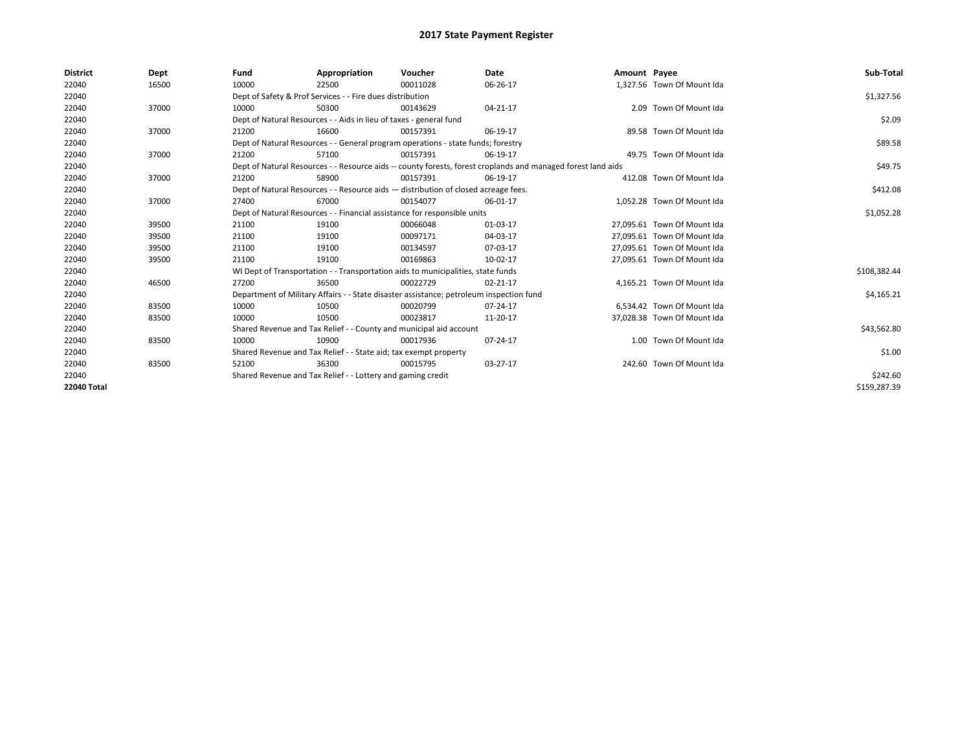| <b>District</b>    | Dept  | Fund  | Appropriation                                                                           | Voucher  | Date                                                                                                         | Amount Payee |                             | Sub-Total    |
|--------------------|-------|-------|-----------------------------------------------------------------------------------------|----------|--------------------------------------------------------------------------------------------------------------|--------------|-----------------------------|--------------|
| 22040              | 16500 | 10000 | 22500                                                                                   | 00011028 | 06-26-17                                                                                                     |              | 1,327.56 Town Of Mount Ida  |              |
| 22040              |       |       | Dept of Safety & Prof Services - - Fire dues distribution                               |          |                                                                                                              |              |                             | \$1,327.56   |
| 22040              | 37000 | 10000 | 50300                                                                                   | 00143629 | 04-21-17                                                                                                     |              | 2.09 Town Of Mount Ida      |              |
| 22040              |       |       | Dept of Natural Resources - - Aids in lieu of taxes - general fund                      |          |                                                                                                              |              |                             | \$2.09       |
| 22040              | 37000 | 21200 | 16600                                                                                   | 00157391 | 06-19-17                                                                                                     |              | 89.58 Town Of Mount Ida     |              |
| 22040              |       |       | Dept of Natural Resources - - General program operations - state funds; forestry        |          |                                                                                                              |              |                             | \$89.58      |
| 22040              | 37000 | 21200 | 57100                                                                                   | 00157391 | 06-19-17                                                                                                     |              | 49.75 Town Of Mount Ida     |              |
| 22040              |       |       |                                                                                         |          | Dept of Natural Resources - - Resource aids -- county forests, forest croplands and managed forest land aids |              |                             | \$49.75      |
| 22040              | 37000 | 21200 | 58900                                                                                   | 00157391 | 06-19-17                                                                                                     |              | 412.08 Town Of Mount Ida    |              |
| 22040              |       |       | Dept of Natural Resources - - Resource aids - distribution of closed acreage fees.      |          |                                                                                                              |              |                             | \$412.08     |
| 22040              | 37000 | 27400 | 67000                                                                                   | 00154077 | 06-01-17                                                                                                     |              | 1,052.28 Town Of Mount Ida  |              |
| 22040              |       |       | Dept of Natural Resources - - Financial assistance for responsible units                |          |                                                                                                              |              |                             | \$1,052.28   |
| 22040              | 39500 | 21100 | 19100                                                                                   | 00066048 | 01-03-17                                                                                                     |              | 27,095.61 Town Of Mount Ida |              |
| 22040              | 39500 | 21100 | 19100                                                                                   | 00097171 | 04-03-17                                                                                                     |              | 27.095.61 Town Of Mount Ida |              |
| 22040              | 39500 | 21100 | 19100                                                                                   | 00134597 | 07-03-17                                                                                                     |              | 27,095.61 Town Of Mount Ida |              |
| 22040              | 39500 | 21100 | 19100                                                                                   | 00169863 | 10-02-17                                                                                                     |              | 27,095.61 Town Of Mount Ida |              |
| 22040              |       |       | WI Dept of Transportation - - Transportation aids to municipalities, state funds        |          |                                                                                                              |              |                             | \$108,382.44 |
| 22040              | 46500 | 27200 | 36500                                                                                   | 00022729 | 02-21-17                                                                                                     |              | 4.165.21 Town Of Mount Ida  |              |
| 22040              |       |       | Department of Military Affairs - - State disaster assistance; petroleum inspection fund |          |                                                                                                              |              |                             | \$4,165.21   |
| 22040              | 83500 | 10000 | 10500                                                                                   | 00020799 | 07-24-17                                                                                                     |              | 6,534.42 Town Of Mount Ida  |              |
| 22040              | 83500 | 10000 | 10500                                                                                   | 00023817 | 11-20-17                                                                                                     |              | 37.028.38 Town Of Mount Ida |              |
| 22040              |       |       | Shared Revenue and Tax Relief - - County and municipal aid account                      |          |                                                                                                              |              |                             | \$43,562.80  |
| 22040              | 83500 | 10000 | 10900                                                                                   | 00017936 | 07-24-17                                                                                                     |              | 1.00 Town Of Mount Ida      |              |
| 22040              |       |       | Shared Revenue and Tax Relief - - State aid; tax exempt property                        |          |                                                                                                              |              |                             | \$1.00       |
| 22040              | 83500 | 52100 | 36300                                                                                   | 00015795 | 03-27-17                                                                                                     |              | 242.60 Town Of Mount Ida    |              |
| 22040              |       |       | Shared Revenue and Tax Relief - - Lottery and gaming credit                             |          |                                                                                                              |              |                             | \$242.60     |
| <b>22040 Total</b> |       |       |                                                                                         |          |                                                                                                              |              |                             | \$159,287.39 |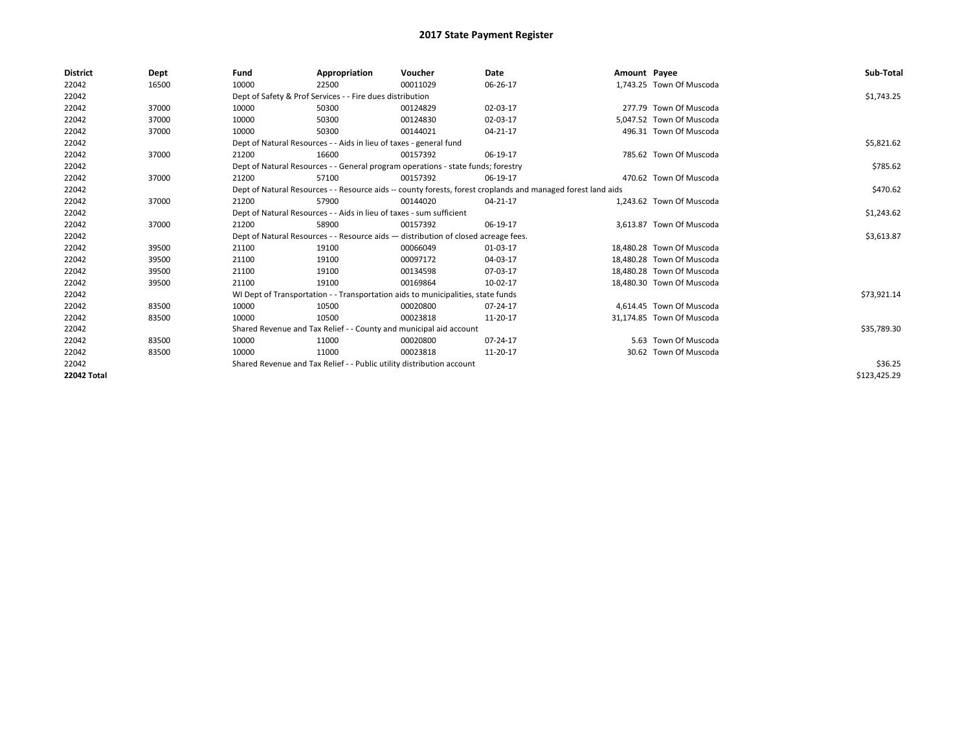| <b>District</b> | Dept  | Fund  | Appropriation                                                                                                | Voucher  | Date     | Amount Payee |                           | Sub-Total    |
|-----------------|-------|-------|--------------------------------------------------------------------------------------------------------------|----------|----------|--------------|---------------------------|--------------|
| 22042           | 16500 | 10000 | 22500                                                                                                        | 00011029 | 06-26-17 |              | 1,743.25 Town Of Muscoda  |              |
| 22042           |       |       | Dept of Safety & Prof Services - - Fire dues distribution                                                    |          |          |              |                           | \$1,743.25   |
| 22042           | 37000 | 10000 | 50300                                                                                                        | 00124829 | 02-03-17 |              | 277.79 Town Of Muscoda    |              |
| 22042           | 37000 | 10000 | 50300                                                                                                        | 00124830 | 02-03-17 |              | 5.047.52 Town Of Muscoda  |              |
| 22042           | 37000 | 10000 | 50300                                                                                                        | 00144021 | 04-21-17 |              | 496.31 Town Of Muscoda    |              |
| 22042           |       |       | Dept of Natural Resources - - Aids in lieu of taxes - general fund                                           |          |          |              |                           | \$5,821.62   |
| 22042           | 37000 | 21200 | 16600                                                                                                        | 00157392 | 06-19-17 |              | 785.62 Town Of Muscoda    |              |
| 22042           |       |       | Dept of Natural Resources - - General program operations - state funds; forestry                             |          |          |              |                           | \$785.62     |
| 22042           | 37000 | 21200 | 57100                                                                                                        | 00157392 | 06-19-17 |              | 470.62 Town Of Muscoda    |              |
| 22042           |       |       | Dept of Natural Resources - - Resource aids -- county forests, forest croplands and managed forest land aids |          |          |              |                           | \$470.62     |
| 22042           | 37000 | 21200 | 57900                                                                                                        | 00144020 | 04-21-17 |              | 1.243.62 Town Of Muscoda  |              |
| 22042           |       |       | Dept of Natural Resources - - Aids in lieu of taxes - sum sufficient                                         |          |          |              |                           | \$1,243.62   |
| 22042           | 37000 | 21200 | 58900                                                                                                        | 00157392 | 06-19-17 |              | 3.613.87 Town Of Muscoda  |              |
| 22042           |       |       | Dept of Natural Resources - - Resource aids - distribution of closed acreage fees.                           |          |          |              |                           | \$3,613.87   |
| 22042           | 39500 | 21100 | 19100                                                                                                        | 00066049 | 01-03-17 |              | 18.480.28 Town Of Muscoda |              |
| 22042           | 39500 | 21100 | 19100                                                                                                        | 00097172 | 04-03-17 |              | 18,480.28 Town Of Muscoda |              |
| 22042           | 39500 | 21100 | 19100                                                                                                        | 00134598 | 07-03-17 |              | 18,480.28 Town Of Muscoda |              |
| 22042           | 39500 | 21100 | 19100                                                                                                        | 00169864 | 10-02-17 |              | 18,480.30 Town Of Muscoda |              |
| 22042           |       |       | WI Dept of Transportation - - Transportation aids to municipalities, state funds                             |          |          |              |                           | \$73,921.14  |
| 22042           | 83500 | 10000 | 10500                                                                                                        | 00020800 | 07-24-17 |              | 4.614.45 Town Of Muscoda  |              |
| 22042           | 83500 | 10000 | 10500                                                                                                        | 00023818 | 11-20-17 |              | 31,174.85 Town Of Muscoda |              |
| 22042           |       |       | Shared Revenue and Tax Relief - - County and municipal aid account                                           |          |          |              |                           | \$35,789.30  |
| 22042           | 83500 | 10000 | 11000                                                                                                        | 00020800 | 07-24-17 |              | 5.63 Town Of Muscoda      |              |
| 22042           | 83500 | 10000 | 11000                                                                                                        | 00023818 | 11-20-17 |              | 30.62 Town Of Muscoda     |              |
| 22042           |       |       | Shared Revenue and Tax Relief - - Public utility distribution account                                        |          |          |              |                           | \$36.25      |
| 22042 Total     |       |       |                                                                                                              |          |          |              |                           | \$123,425.29 |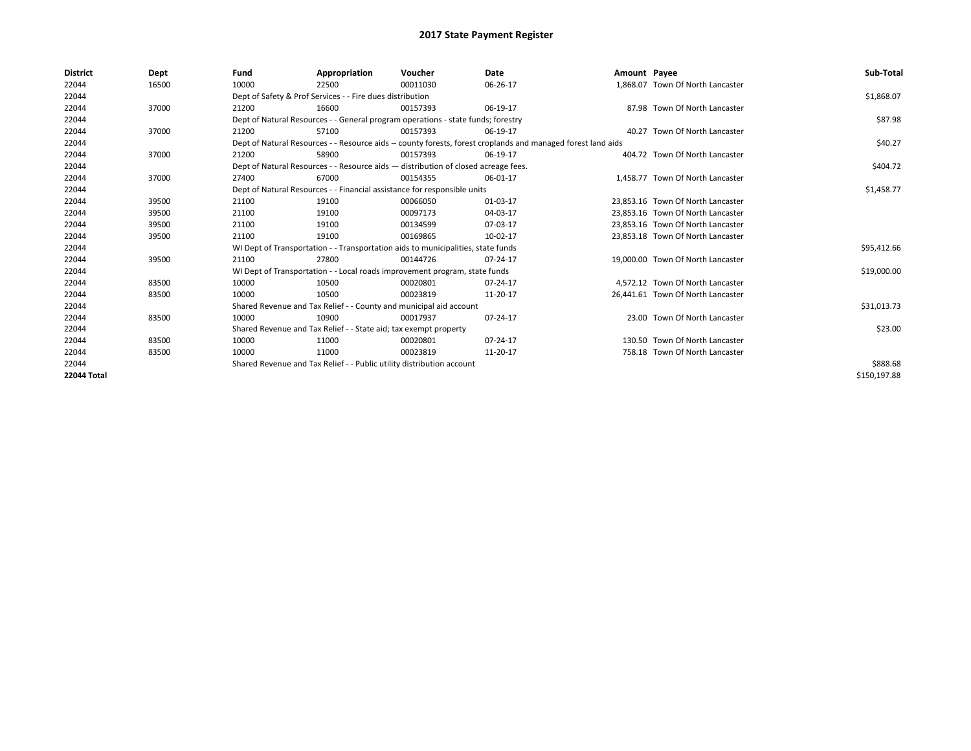| <b>District</b>    | Dept  | Fund  | Appropriation                                                                      | Voucher  | Date                                                                                                         | Amount Payee |                                   | Sub-Total    |
|--------------------|-------|-------|------------------------------------------------------------------------------------|----------|--------------------------------------------------------------------------------------------------------------|--------------|-----------------------------------|--------------|
| 22044              | 16500 | 10000 | 22500                                                                              | 00011030 | 06-26-17                                                                                                     |              | 1,868.07 Town Of North Lancaster  |              |
| 22044              |       |       | Dept of Safety & Prof Services - - Fire dues distribution                          |          |                                                                                                              |              |                                   | \$1,868.07   |
| 22044              | 37000 | 21200 | 16600                                                                              | 00157393 | 06-19-17                                                                                                     |              | 87.98 Town Of North Lancaster     |              |
| 22044              |       |       | Dept of Natural Resources - - General program operations - state funds; forestry   |          |                                                                                                              |              |                                   | \$87.98      |
| 22044              | 37000 | 21200 | 57100                                                                              | 00157393 | 06-19-17                                                                                                     |              | 40.27 Town Of North Lancaster     |              |
| 22044              |       |       |                                                                                    |          | Dept of Natural Resources - - Resource aids -- county forests, forest croplands and managed forest land aids |              |                                   | \$40.27      |
| 22044              | 37000 | 21200 | 58900                                                                              | 00157393 | 06-19-17                                                                                                     |              | 404.72 Town Of North Lancaster    |              |
| 22044              |       |       | Dept of Natural Resources - - Resource aids - distribution of closed acreage fees. |          |                                                                                                              |              |                                   | \$404.72     |
| 22044              | 37000 | 27400 | 67000                                                                              | 00154355 | 06-01-17                                                                                                     |              | 1.458.77 Town Of North Lancaster  |              |
| 22044              |       |       | Dept of Natural Resources - - Financial assistance for responsible units           |          |                                                                                                              |              |                                   | \$1,458.77   |
| 22044              | 39500 | 21100 | 19100                                                                              | 00066050 | 01-03-17                                                                                                     |              | 23.853.16 Town Of North Lancaster |              |
| 22044              | 39500 | 21100 | 19100                                                                              | 00097173 | 04-03-17                                                                                                     |              | 23.853.16 Town Of North Lancaster |              |
| 22044              | 39500 | 21100 | 19100                                                                              | 00134599 | 07-03-17                                                                                                     |              | 23,853.16 Town Of North Lancaster |              |
| 22044              | 39500 | 21100 | 19100                                                                              | 00169865 | 10-02-17                                                                                                     |              | 23,853.18 Town Of North Lancaster |              |
| 22044              |       |       | WI Dept of Transportation - - Transportation aids to municipalities, state funds   |          |                                                                                                              |              |                                   | \$95,412.66  |
| 22044              | 39500 | 21100 | 27800                                                                              | 00144726 | 07-24-17                                                                                                     |              | 19.000.00 Town Of North Lancaster |              |
| 22044              |       |       | WI Dept of Transportation - - Local roads improvement program, state funds         |          |                                                                                                              |              |                                   | \$19,000.00  |
| 22044              | 83500 | 10000 | 10500                                                                              | 00020801 | 07-24-17                                                                                                     |              | 4.572.12 Town Of North Lancaster  |              |
| 22044              | 83500 | 10000 | 10500                                                                              | 00023819 | 11-20-17                                                                                                     |              | 26,441.61 Town Of North Lancaster |              |
| 22044              |       |       | Shared Revenue and Tax Relief - - County and municipal aid account                 |          |                                                                                                              |              |                                   | \$31,013.73  |
| 22044              | 83500 | 10000 | 10900                                                                              | 00017937 | 07-24-17                                                                                                     |              | 23.00 Town Of North Lancaster     |              |
| 22044              |       |       | Shared Revenue and Tax Relief - - State aid; tax exempt property                   |          |                                                                                                              |              |                                   | \$23.00      |
| 22044              | 83500 | 10000 | 11000                                                                              | 00020801 | 07-24-17                                                                                                     |              | 130.50 Town Of North Lancaster    |              |
| 22044              | 83500 | 10000 | 11000                                                                              | 00023819 | 11-20-17                                                                                                     |              | 758.18 Town Of North Lancaster    |              |
| 22044              |       |       | Shared Revenue and Tax Relief - - Public utility distribution account              |          |                                                                                                              |              |                                   | \$888.68     |
| <b>22044 Total</b> |       |       |                                                                                    |          |                                                                                                              |              |                                   | \$150,197.88 |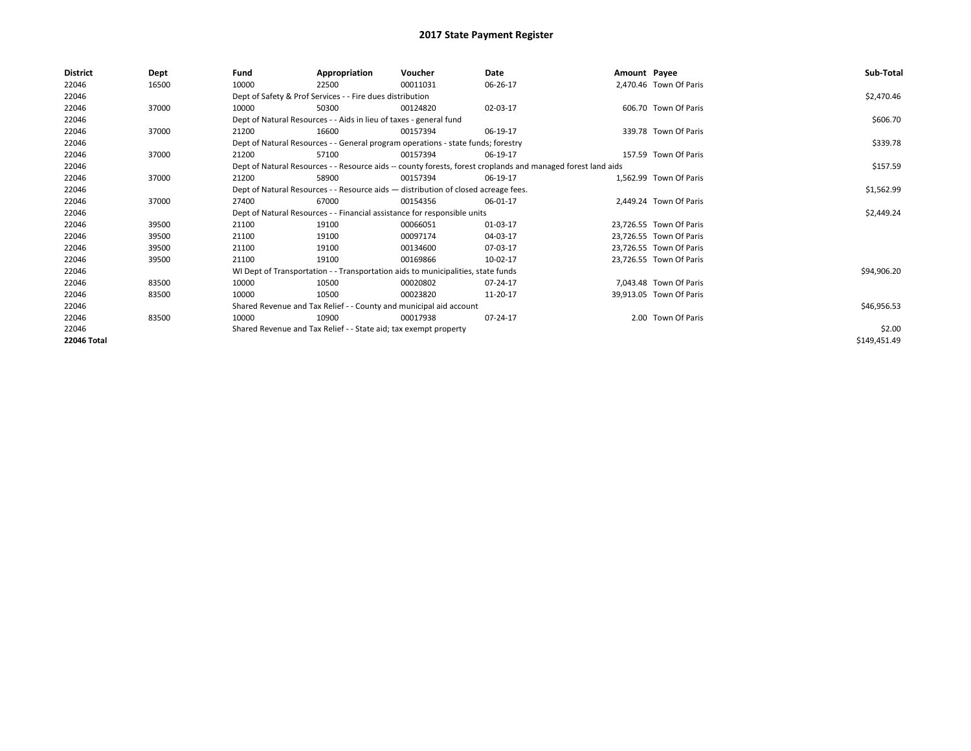| <b>District</b>    | Dept  | Fund  | Appropriation                                                                      | Voucher  | Date                                                                                                         | Amount Payee |                         | Sub-Total    |
|--------------------|-------|-------|------------------------------------------------------------------------------------|----------|--------------------------------------------------------------------------------------------------------------|--------------|-------------------------|--------------|
| 22046              | 16500 | 10000 | 22500                                                                              | 00011031 | 06-26-17                                                                                                     |              | 2,470.46 Town Of Paris  |              |
| 22046              |       |       | Dept of Safety & Prof Services - - Fire dues distribution                          |          |                                                                                                              |              |                         | \$2,470.46   |
| 22046              | 37000 | 10000 | 50300                                                                              | 00124820 | 02-03-17                                                                                                     |              | 606.70 Town Of Paris    |              |
| 22046              |       |       | Dept of Natural Resources - - Aids in lieu of taxes - general fund                 |          |                                                                                                              |              |                         | \$606.70     |
| 22046              | 37000 | 21200 | 16600                                                                              | 00157394 | 06-19-17                                                                                                     |              | 339.78 Town Of Paris    |              |
| 22046              |       |       | Dept of Natural Resources - - General program operations - state funds; forestry   |          |                                                                                                              |              |                         | \$339.78     |
| 22046              | 37000 | 21200 | 57100                                                                              | 00157394 | 06-19-17                                                                                                     |              | 157.59 Town Of Paris    |              |
| 22046              |       |       |                                                                                    |          | Dept of Natural Resources - - Resource aids -- county forests, forest croplands and managed forest land aids |              |                         | \$157.59     |
| 22046              | 37000 | 21200 | 58900                                                                              | 00157394 | 06-19-17                                                                                                     |              | 1.562.99 Town Of Paris  |              |
| 22046              |       |       | Dept of Natural Resources - - Resource aids - distribution of closed acreage fees. |          |                                                                                                              |              |                         | \$1,562.99   |
| 22046              | 37000 | 27400 | 67000                                                                              | 00154356 | 06-01-17                                                                                                     |              | 2.449.24 Town Of Paris  |              |
| 22046              |       |       | Dept of Natural Resources - - Financial assistance for responsible units           |          |                                                                                                              |              |                         | \$2,449.24   |
| 22046              | 39500 | 21100 | 19100                                                                              | 00066051 | 01-03-17                                                                                                     |              | 23.726.55 Town Of Paris |              |
| 22046              | 39500 | 21100 | 19100                                                                              | 00097174 | 04-03-17                                                                                                     |              | 23,726.55 Town Of Paris |              |
| 22046              | 39500 | 21100 | 19100                                                                              | 00134600 | 07-03-17                                                                                                     |              | 23,726.55 Town Of Paris |              |
| 22046              | 39500 | 21100 | 19100                                                                              | 00169866 | 10-02-17                                                                                                     |              | 23,726.55 Town Of Paris |              |
| 22046              |       |       | WI Dept of Transportation - - Transportation aids to municipalities, state funds   |          |                                                                                                              |              |                         | \$94,906.20  |
| 22046              | 83500 | 10000 | 10500                                                                              | 00020802 | 07-24-17                                                                                                     |              | 7,043.48 Town Of Paris  |              |
| 22046              | 83500 | 10000 | 10500                                                                              | 00023820 | 11-20-17                                                                                                     |              | 39,913.05 Town Of Paris |              |
| 22046              |       |       | Shared Revenue and Tax Relief - - County and municipal aid account                 |          |                                                                                                              |              |                         | \$46,956.53  |
| 22046              | 83500 | 10000 | 10900                                                                              | 00017938 | 07-24-17                                                                                                     |              | 2.00 Town Of Paris      |              |
| 22046              |       |       | Shared Revenue and Tax Relief - - State aid; tax exempt property                   |          |                                                                                                              |              |                         | \$2.00       |
| <b>22046 Total</b> |       |       |                                                                                    |          |                                                                                                              |              |                         | \$149,451.49 |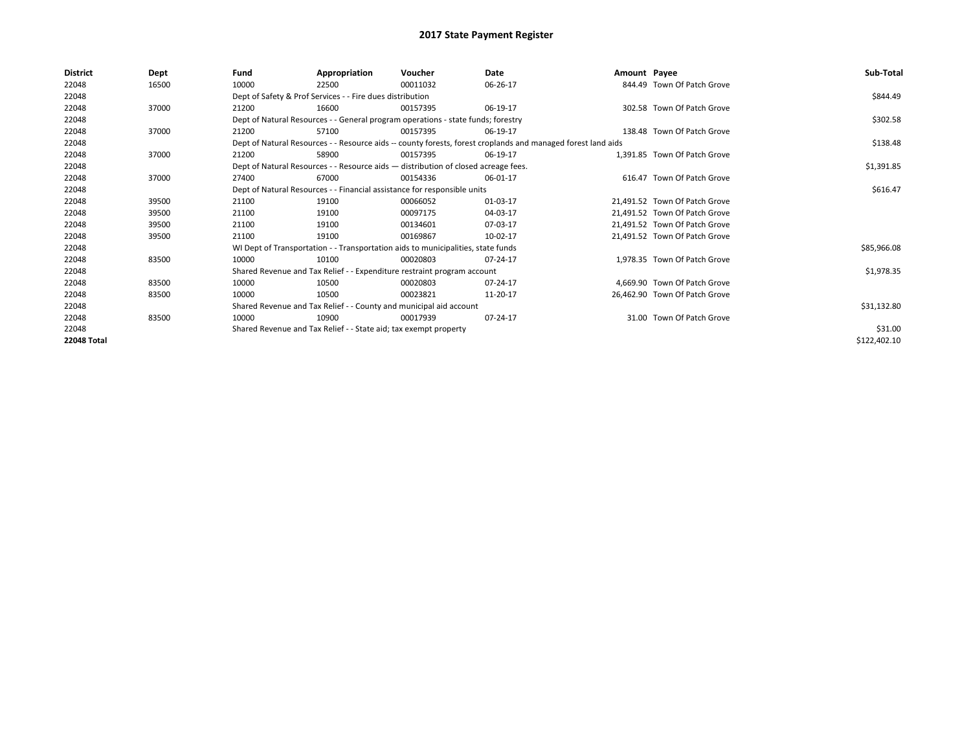| <b>District</b>    | Dept  | Fund  | Appropriation                                                                      | Voucher  | Date                                                                                                         | Amount Payee |                               | Sub-Total    |
|--------------------|-------|-------|------------------------------------------------------------------------------------|----------|--------------------------------------------------------------------------------------------------------------|--------------|-------------------------------|--------------|
| 22048              | 16500 | 10000 | 22500                                                                              | 00011032 | 06-26-17                                                                                                     |              | 844.49 Town Of Patch Grove    |              |
| 22048              |       |       | Dept of Safety & Prof Services - - Fire dues distribution                          |          |                                                                                                              |              |                               | \$844.49     |
| 22048              | 37000 | 21200 | 16600                                                                              | 00157395 | 06-19-17                                                                                                     |              | 302.58 Town Of Patch Grove    |              |
| 22048              |       |       | Dept of Natural Resources - - General program operations - state funds; forestry   |          |                                                                                                              |              |                               | \$302.58     |
| 22048              | 37000 | 21200 | 57100                                                                              | 00157395 | 06-19-17                                                                                                     |              | 138.48 Town Of Patch Grove    |              |
| 22048              |       |       |                                                                                    |          | Dept of Natural Resources - - Resource aids -- county forests, forest croplands and managed forest land aids |              |                               | \$138.48     |
| 22048              | 37000 | 21200 | 58900                                                                              | 00157395 | 06-19-17                                                                                                     |              | 1,391.85 Town Of Patch Grove  |              |
| 22048              |       |       | Dept of Natural Resources - - Resource aids - distribution of closed acreage fees. |          |                                                                                                              |              |                               | \$1,391.85   |
| 22048              | 37000 | 27400 | 67000                                                                              | 00154336 | 06-01-17                                                                                                     |              | 616.47 Town Of Patch Grove    |              |
| 22048              |       |       | Dept of Natural Resources - - Financial assistance for responsible units           |          |                                                                                                              |              |                               | \$616.47     |
| 22048              | 39500 | 21100 | 19100                                                                              | 00066052 | 01-03-17                                                                                                     |              | 21.491.52 Town Of Patch Grove |              |
| 22048              | 39500 | 21100 | 19100                                                                              | 00097175 | 04-03-17                                                                                                     |              | 21.491.52 Town Of Patch Grove |              |
| 22048              | 39500 | 21100 | 19100                                                                              | 00134601 | 07-03-17                                                                                                     |              | 21.491.52 Town Of Patch Grove |              |
| 22048              | 39500 | 21100 | 19100                                                                              | 00169867 | 10-02-17                                                                                                     |              | 21,491.52 Town Of Patch Grove |              |
| 22048              |       |       | WI Dept of Transportation - - Transportation aids to municipalities, state funds   |          |                                                                                                              |              |                               | \$85,966.08  |
| 22048              | 83500 | 10000 | 10100                                                                              | 00020803 | 07-24-17                                                                                                     |              | 1,978.35 Town Of Patch Grove  |              |
| 22048              |       |       | Shared Revenue and Tax Relief - - Expenditure restraint program account            |          |                                                                                                              |              |                               | \$1,978.35   |
| 22048              | 83500 | 10000 | 10500                                                                              | 00020803 | 07-24-17                                                                                                     |              | 4.669.90 Town Of Patch Grove  |              |
| 22048              | 83500 | 10000 | 10500                                                                              | 00023821 | 11-20-17                                                                                                     |              | 26,462.90 Town Of Patch Grove |              |
| 22048              |       |       | Shared Revenue and Tax Relief - - County and municipal aid account                 |          |                                                                                                              |              |                               | \$31,132.80  |
| 22048              | 83500 | 10000 | 10900                                                                              | 00017939 | 07-24-17                                                                                                     |              | 31.00 Town Of Patch Grove     |              |
| 22048              |       |       | Shared Revenue and Tax Relief - - State aid; tax exempt property                   |          |                                                                                                              |              |                               | \$31.00      |
| <b>22048 Total</b> |       |       |                                                                                    |          |                                                                                                              |              |                               | \$122,402.10 |
|                    |       |       |                                                                                    |          |                                                                                                              |              |                               |              |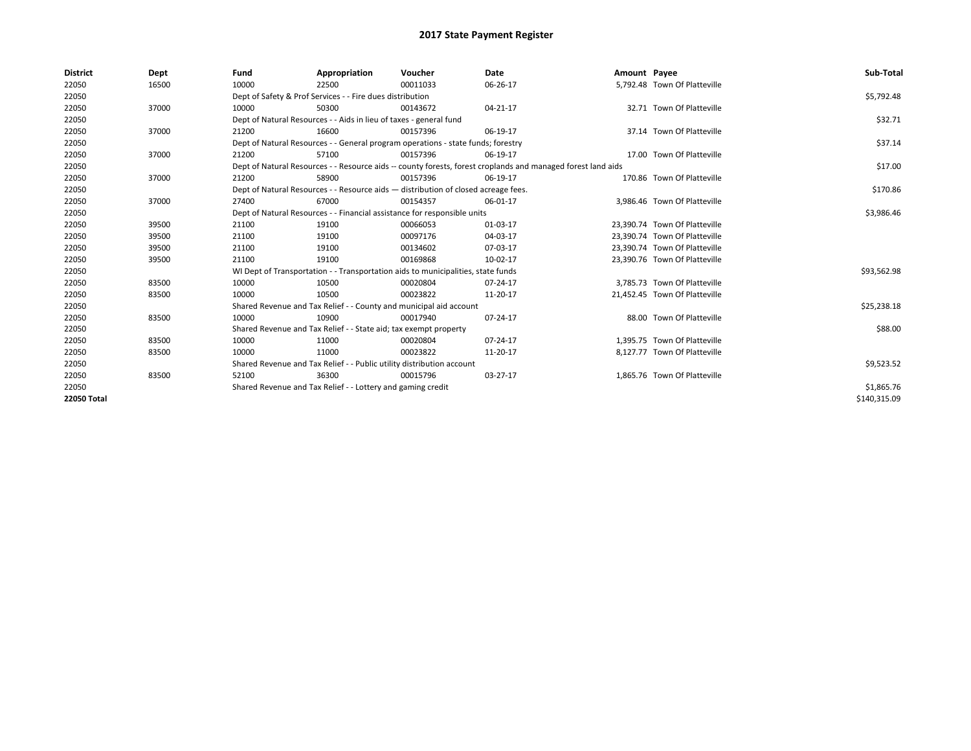| <b>District</b> | Dept  | Fund  | Appropriation                                                                                                | Voucher  | Date           | Amount Payee |                               | Sub-Total    |
|-----------------|-------|-------|--------------------------------------------------------------------------------------------------------------|----------|----------------|--------------|-------------------------------|--------------|
| 22050           | 16500 | 10000 | 22500                                                                                                        | 00011033 | 06-26-17       |              | 5,792.48 Town Of Platteville  |              |
| 22050           |       |       | Dept of Safety & Prof Services - - Fire dues distribution                                                    |          |                |              |                               | \$5,792.48   |
| 22050           | 37000 | 10000 | 50300                                                                                                        | 00143672 | $04 - 21 - 17$ |              | 32.71 Town Of Platteville     |              |
| 22050           |       |       | Dept of Natural Resources - - Aids in lieu of taxes - general fund                                           |          |                |              |                               | \$32.71      |
| 22050           | 37000 | 21200 | 16600                                                                                                        | 00157396 | 06-19-17       |              | 37.14 Town Of Platteville     |              |
| 22050           |       |       | Dept of Natural Resources - - General program operations - state funds; forestry                             |          |                |              |                               | \$37.14      |
| 22050           | 37000 | 21200 | 57100                                                                                                        | 00157396 | 06-19-17       |              | 17.00 Town Of Platteville     |              |
| 22050           |       |       | Dept of Natural Resources - - Resource aids -- county forests, forest croplands and managed forest land aids |          |                |              |                               | \$17.00      |
| 22050           | 37000 | 21200 | 58900                                                                                                        | 00157396 | 06-19-17       |              | 170.86 Town Of Platteville    |              |
| 22050           |       |       | Dept of Natural Resources - - Resource aids - distribution of closed acreage fees.                           |          |                |              |                               | \$170.86     |
| 22050           | 37000 | 27400 | 67000                                                                                                        | 00154357 | 06-01-17       |              | 3.986.46 Town Of Platteville  |              |
| 22050           |       |       | Dept of Natural Resources - - Financial assistance for responsible units                                     |          |                |              |                               | \$3,986.46   |
| 22050           | 39500 | 21100 | 19100                                                                                                        | 00066053 | 01-03-17       |              | 23,390.74 Town Of Platteville |              |
| 22050           | 39500 | 21100 | 19100                                                                                                        | 00097176 | 04-03-17       |              | 23,390.74 Town Of Platteville |              |
| 22050           | 39500 | 21100 | 19100                                                                                                        | 00134602 | 07-03-17       |              | 23,390.74 Town Of Platteville |              |
| 22050           | 39500 | 21100 | 19100                                                                                                        | 00169868 | 10-02-17       |              | 23,390.76 Town Of Platteville |              |
| 22050           |       |       | WI Dept of Transportation - - Transportation aids to municipalities, state funds                             |          |                |              |                               | \$93,562.98  |
| 22050           | 83500 | 10000 | 10500                                                                                                        | 00020804 | $07 - 24 - 17$ |              | 3,785.73 Town Of Platteville  |              |
| 22050           | 83500 | 10000 | 10500                                                                                                        | 00023822 | 11-20-17       |              | 21,452.45 Town Of Platteville |              |
| 22050           |       |       | Shared Revenue and Tax Relief - - County and municipal aid account                                           |          |                |              |                               | \$25,238.18  |
| 22050           | 83500 | 10000 | 10900                                                                                                        | 00017940 | 07-24-17       |              | 88.00 Town Of Platteville     |              |
| 22050           |       |       | Shared Revenue and Tax Relief - - State aid; tax exempt property                                             |          |                |              |                               | \$88.00      |
| 22050           | 83500 | 10000 | 11000                                                                                                        | 00020804 | $07 - 24 - 17$ |              | 1,395.75 Town Of Platteville  |              |
| 22050           | 83500 | 10000 | 11000                                                                                                        | 00023822 | 11-20-17       |              | 8,127.77 Town Of Platteville  |              |
| 22050           |       |       | Shared Revenue and Tax Relief - - Public utility distribution account                                        |          |                |              |                               | \$9,523.52   |
| 22050           | 83500 | 52100 | 36300                                                                                                        | 00015796 | 03-27-17       |              | 1.865.76 Town Of Platteville  |              |
| 22050           |       |       | Shared Revenue and Tax Relief - - Lottery and gaming credit                                                  |          |                |              |                               | \$1,865.76   |
| 22050 Total     |       |       |                                                                                                              |          |                |              |                               | \$140,315.09 |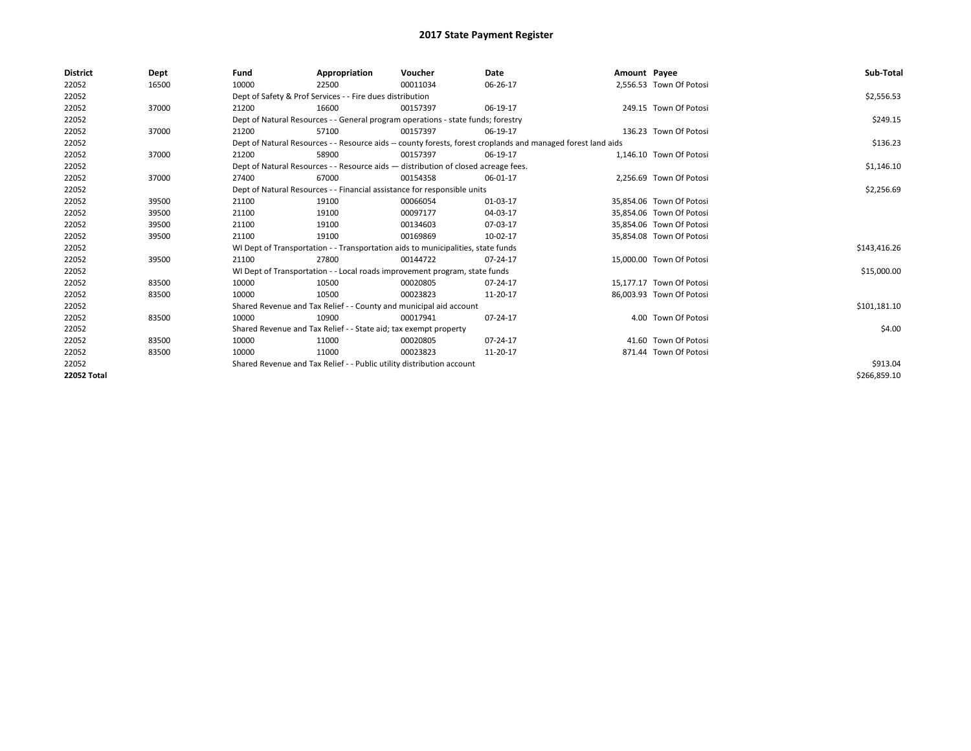| <b>District</b> | Dept  | Fund  | Appropriation                                                                      | Voucher  | Date                                                                                                         | Amount Payee |                          | Sub-Total    |
|-----------------|-------|-------|------------------------------------------------------------------------------------|----------|--------------------------------------------------------------------------------------------------------------|--------------|--------------------------|--------------|
| 22052           | 16500 | 10000 | 22500                                                                              | 00011034 | 06-26-17                                                                                                     |              | 2,556.53 Town Of Potosi  |              |
| 22052           |       |       | Dept of Safety & Prof Services - - Fire dues distribution                          |          |                                                                                                              |              |                          | \$2,556.53   |
| 22052           | 37000 | 21200 | 16600                                                                              | 00157397 | 06-19-17                                                                                                     |              | 249.15 Town Of Potosi    |              |
| 22052           |       |       | Dept of Natural Resources - - General program operations - state funds; forestry   |          |                                                                                                              |              |                          | \$249.15     |
| 22052           | 37000 | 21200 | 57100                                                                              | 00157397 | 06-19-17                                                                                                     |              | 136.23 Town Of Potosi    |              |
| 22052           |       |       |                                                                                    |          | Dept of Natural Resources - - Resource aids -- county forests, forest croplands and managed forest land aids |              |                          | \$136.23     |
| 22052           | 37000 | 21200 | 58900                                                                              | 00157397 | 06-19-17                                                                                                     |              | 1,146.10 Town Of Potosi  |              |
| 22052           |       |       | Dept of Natural Resources - - Resource aids - distribution of closed acreage fees. |          |                                                                                                              |              |                          | \$1,146.10   |
| 22052           | 37000 | 27400 | 67000                                                                              | 00154358 | 06-01-17                                                                                                     |              | 2.256.69 Town Of Potosi  |              |
| 22052           |       |       | Dept of Natural Resources - - Financial assistance for responsible units           |          |                                                                                                              |              |                          | \$2,256.69   |
| 22052           | 39500 | 21100 | 19100                                                                              | 00066054 | 01-03-17                                                                                                     |              | 35.854.06 Town Of Potosi |              |
| 22052           | 39500 | 21100 | 19100                                                                              | 00097177 | 04-03-17                                                                                                     |              | 35,854.06 Town Of Potosi |              |
| 22052           | 39500 | 21100 | 19100                                                                              | 00134603 | 07-03-17                                                                                                     |              | 35,854.06 Town Of Potosi |              |
| 22052           | 39500 | 21100 | 19100                                                                              | 00169869 | 10-02-17                                                                                                     |              | 35,854.08 Town Of Potosi |              |
| 22052           |       |       | WI Dept of Transportation - - Transportation aids to municipalities, state funds   |          |                                                                                                              |              |                          | \$143,416.26 |
| 22052           | 39500 | 21100 | 27800                                                                              | 00144722 | 07-24-17                                                                                                     |              | 15,000.00 Town Of Potosi |              |
| 22052           |       |       | WI Dept of Transportation - - Local roads improvement program, state funds         |          |                                                                                                              |              |                          | \$15,000.00  |
| 22052           | 83500 | 10000 | 10500                                                                              | 00020805 | 07-24-17                                                                                                     |              | 15.177.17 Town Of Potosi |              |
| 22052           | 83500 | 10000 | 10500                                                                              | 00023823 | 11-20-17                                                                                                     |              | 86,003.93 Town Of Potosi |              |
| 22052           |       |       | Shared Revenue and Tax Relief - - County and municipal aid account                 |          |                                                                                                              |              |                          | \$101,181.10 |
| 22052           | 83500 | 10000 | 10900                                                                              | 00017941 | 07-24-17                                                                                                     |              | 4.00 Town Of Potosi      |              |
| 22052           |       |       | Shared Revenue and Tax Relief - - State aid; tax exempt property                   |          |                                                                                                              |              |                          | \$4.00       |
| 22052           | 83500 | 10000 | 11000                                                                              | 00020805 | 07-24-17                                                                                                     |              | 41.60 Town Of Potosi     |              |
| 22052           | 83500 | 10000 | 11000                                                                              | 00023823 | 11-20-17                                                                                                     |              | 871.44 Town Of Potosi    |              |
| 22052           |       |       | Shared Revenue and Tax Relief - - Public utility distribution account              |          |                                                                                                              |              |                          | \$913.04     |
| 22052 Total     |       |       |                                                                                    |          |                                                                                                              |              |                          | \$266,859.10 |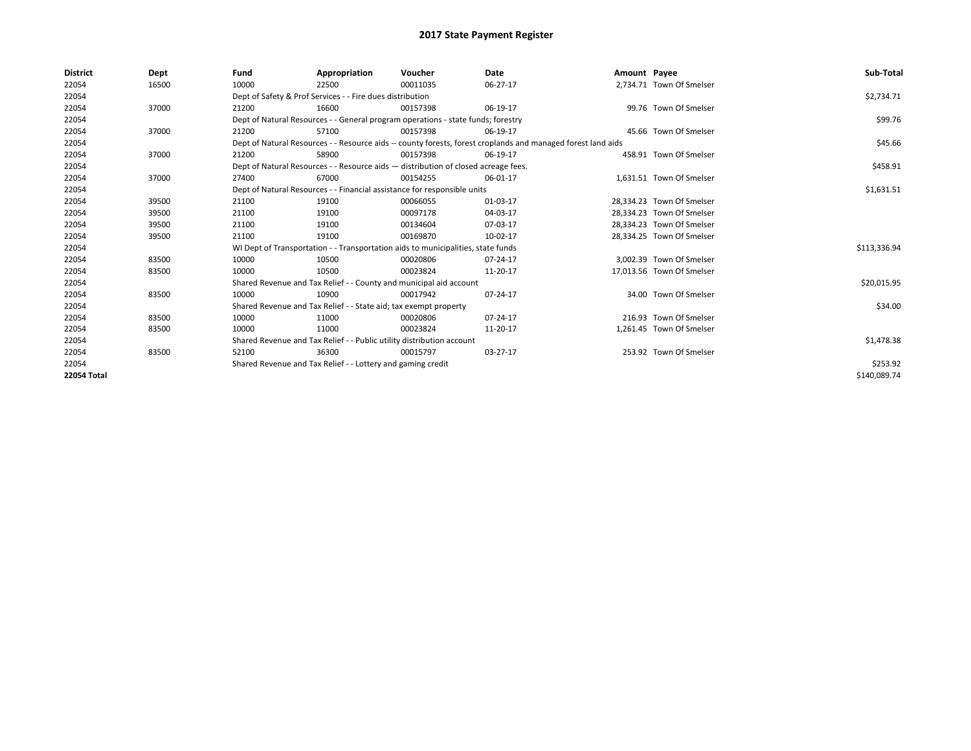| <b>District</b>    | Dept  | Fund  | Appropriation                                                                                                | Voucher  | Date     | Amount Payee |                           | Sub-Total    |
|--------------------|-------|-------|--------------------------------------------------------------------------------------------------------------|----------|----------|--------------|---------------------------|--------------|
| 22054              | 16500 | 10000 | 22500                                                                                                        | 00011035 | 06-27-17 |              | 2,734.71 Town Of Smelser  |              |
| 22054              |       |       | Dept of Safety & Prof Services - - Fire dues distribution                                                    |          |          |              |                           | \$2,734.71   |
| 22054              | 37000 | 21200 | 16600                                                                                                        | 00157398 | 06-19-17 |              | 99.76 Town Of Smelser     |              |
| 22054              |       |       | Dept of Natural Resources - - General program operations - state funds; forestry                             |          |          |              |                           | \$99.76      |
| 22054              | 37000 | 21200 | 57100                                                                                                        | 00157398 | 06-19-17 |              | 45.66 Town Of Smelser     |              |
| 22054              |       |       | Dept of Natural Resources - - Resource aids -- county forests, forest croplands and managed forest land aids |          |          |              |                           | \$45.66      |
| 22054              | 37000 | 21200 | 58900                                                                                                        | 00157398 | 06-19-17 |              | 458.91 Town Of Smelser    |              |
| 22054              |       |       | Dept of Natural Resources - - Resource aids - distribution of closed acreage fees.                           |          |          |              |                           | \$458.91     |
| 22054              | 37000 | 27400 | 67000                                                                                                        | 00154255 | 06-01-17 |              | 1,631.51 Town Of Smelser  |              |
| 22054              |       |       | Dept of Natural Resources - - Financial assistance for responsible units                                     |          |          |              |                           | \$1,631.51   |
| 22054              | 39500 | 21100 | 19100                                                                                                        | 00066055 | 01-03-17 |              | 28.334.23 Town Of Smelser |              |
| 22054              | 39500 | 21100 | 19100                                                                                                        | 00097178 | 04-03-17 |              | 28.334.23 Town Of Smelser |              |
| 22054              | 39500 | 21100 | 19100                                                                                                        | 00134604 | 07-03-17 |              | 28,334.23 Town Of Smelser |              |
| 22054              | 39500 | 21100 | 19100                                                                                                        | 00169870 | 10-02-17 |              | 28,334.25 Town Of Smelser |              |
| 22054              |       |       | WI Dept of Transportation - - Transportation aids to municipalities, state funds                             |          |          |              |                           | \$113,336.94 |
| 22054              | 83500 | 10000 | 10500                                                                                                        | 00020806 | 07-24-17 |              | 3.002.39 Town Of Smelser  |              |
| 22054              | 83500 | 10000 | 10500                                                                                                        | 00023824 | 11-20-17 |              | 17,013.56 Town Of Smelser |              |
| 22054              |       |       | Shared Revenue and Tax Relief - - County and municipal aid account                                           |          |          |              |                           | \$20,015.95  |
| 22054              | 83500 | 10000 | 10900                                                                                                        | 00017942 | 07-24-17 |              | 34.00 Town Of Smelser     |              |
| 22054              |       |       | Shared Revenue and Tax Relief - - State aid; tax exempt property                                             |          |          |              |                           | \$34.00      |
| 22054              | 83500 | 10000 | 11000                                                                                                        | 00020806 | 07-24-17 |              | 216.93 Town Of Smelser    |              |
| 22054              | 83500 | 10000 | 11000                                                                                                        | 00023824 | 11-20-17 |              | 1,261.45 Town Of Smelser  |              |
| 22054              |       |       | Shared Revenue and Tax Relief - - Public utility distribution account                                        |          |          |              |                           | \$1,478.38   |
| 22054              | 83500 | 52100 | 36300                                                                                                        | 00015797 | 03-27-17 |              | 253.92 Town Of Smelser    |              |
| 22054              |       |       | Shared Revenue and Tax Relief - - Lottery and gaming credit                                                  |          |          |              |                           | \$253.92     |
| <b>22054 Total</b> |       |       |                                                                                                              |          |          |              |                           | \$140,089.74 |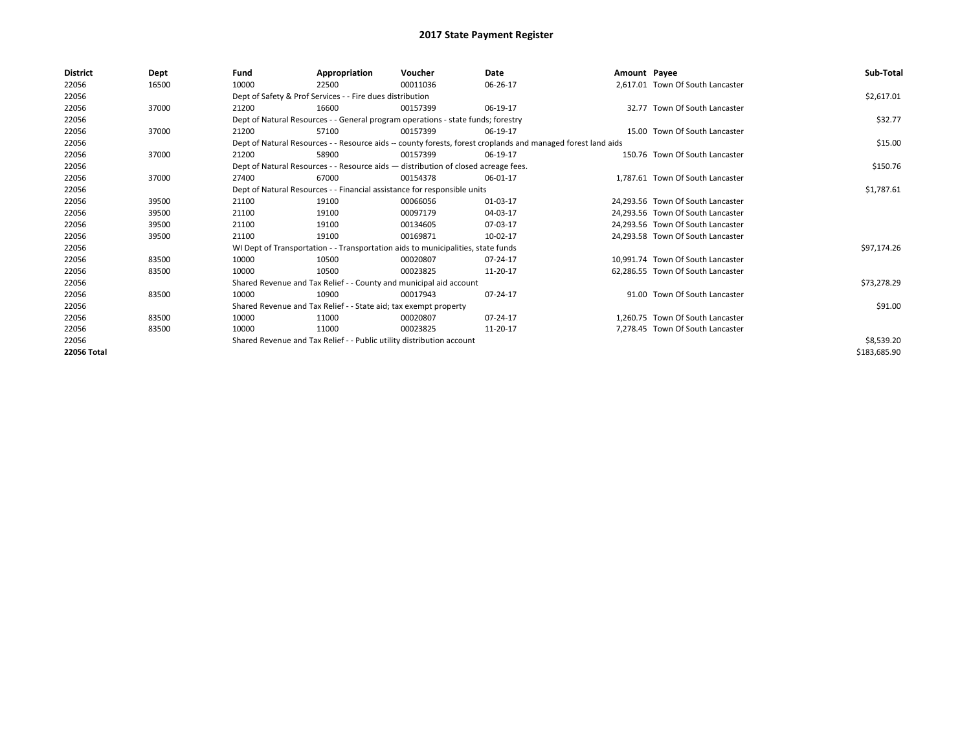| <b>District</b> | Dept  | Fund  | Appropriation                                                         | Voucher                                                                            | Date                                                                                                         | Amount Payee |                                   | Sub-Total    |
|-----------------|-------|-------|-----------------------------------------------------------------------|------------------------------------------------------------------------------------|--------------------------------------------------------------------------------------------------------------|--------------|-----------------------------------|--------------|
| 22056           | 16500 | 10000 | 22500                                                                 | 00011036                                                                           | 06-26-17                                                                                                     |              | 2,617.01 Town Of South Lancaster  |              |
| 22056           |       |       | Dept of Safety & Prof Services - - Fire dues distribution             |                                                                                    |                                                                                                              |              |                                   | \$2,617.01   |
| 22056           | 37000 | 21200 | 16600                                                                 | 00157399                                                                           | 06-19-17                                                                                                     |              | 32.77 Town Of South Lancaster     |              |
| 22056           |       |       |                                                                       | Dept of Natural Resources - - General program operations - state funds; forestry   |                                                                                                              |              |                                   | \$32.77      |
| 22056           | 37000 | 21200 | 57100                                                                 | 00157399                                                                           | 06-19-17                                                                                                     |              | 15.00 Town Of South Lancaster     |              |
| 22056           |       |       |                                                                       |                                                                                    | Dept of Natural Resources - - Resource aids -- county forests, forest croplands and managed forest land aids |              |                                   | \$15.00      |
| 22056           | 37000 | 21200 | 58900                                                                 | 00157399                                                                           | 06-19-17                                                                                                     |              | 150.76 Town Of South Lancaster    |              |
| 22056           |       |       |                                                                       | Dept of Natural Resources - - Resource aids - distribution of closed acreage fees. |                                                                                                              |              |                                   | \$150.76     |
| 22056           | 37000 | 27400 | 67000                                                                 | 00154378                                                                           | 06-01-17                                                                                                     |              | 1,787.61 Town Of South Lancaster  |              |
| 22056           |       |       |                                                                       | Dept of Natural Resources - - Financial assistance for responsible units           |                                                                                                              |              |                                   | \$1,787.61   |
| 22056           | 39500 | 21100 | 19100                                                                 | 00066056                                                                           | 01-03-17                                                                                                     |              | 24,293.56 Town Of South Lancaster |              |
| 22056           | 39500 | 21100 | 19100                                                                 | 00097179                                                                           | 04-03-17                                                                                                     |              | 24,293.56 Town Of South Lancaster |              |
| 22056           | 39500 | 21100 | 19100                                                                 | 00134605                                                                           | 07-03-17                                                                                                     |              | 24.293.56 Town Of South Lancaster |              |
| 22056           | 39500 | 21100 | 19100                                                                 | 00169871                                                                           | 10-02-17                                                                                                     |              | 24,293.58 Town Of South Lancaster |              |
| 22056           |       |       |                                                                       | WI Dept of Transportation - - Transportation aids to municipalities, state funds   |                                                                                                              |              |                                   | \$97,174.26  |
| 22056           | 83500 | 10000 | 10500                                                                 | 00020807                                                                           | 07-24-17                                                                                                     |              | 10.991.74 Town Of South Lancaster |              |
| 22056           | 83500 | 10000 | 10500                                                                 | 00023825                                                                           | 11-20-17                                                                                                     |              | 62,286.55 Town Of South Lancaster |              |
| 22056           |       |       | Shared Revenue and Tax Relief - - County and municipal aid account    |                                                                                    |                                                                                                              |              |                                   | \$73,278.29  |
| 22056           | 83500 | 10000 | 10900                                                                 | 00017943                                                                           | 07-24-17                                                                                                     |              | 91.00 Town Of South Lancaster     |              |
| 22056           |       |       | Shared Revenue and Tax Relief - - State aid; tax exempt property      |                                                                                    |                                                                                                              |              |                                   | \$91.00      |
| 22056           | 83500 | 10000 | 11000                                                                 | 00020807                                                                           | 07-24-17                                                                                                     |              | 1.260.75 Town Of South Lancaster  |              |
| 22056           | 83500 | 10000 | 11000                                                                 | 00023825                                                                           | 11-20-17                                                                                                     |              | 7,278.45 Town Of South Lancaster  |              |
| 22056           |       |       | Shared Revenue and Tax Relief - - Public utility distribution account |                                                                                    |                                                                                                              |              |                                   | \$8,539.20   |
| 22056 Total     |       |       |                                                                       |                                                                                    |                                                                                                              |              |                                   | \$183,685.90 |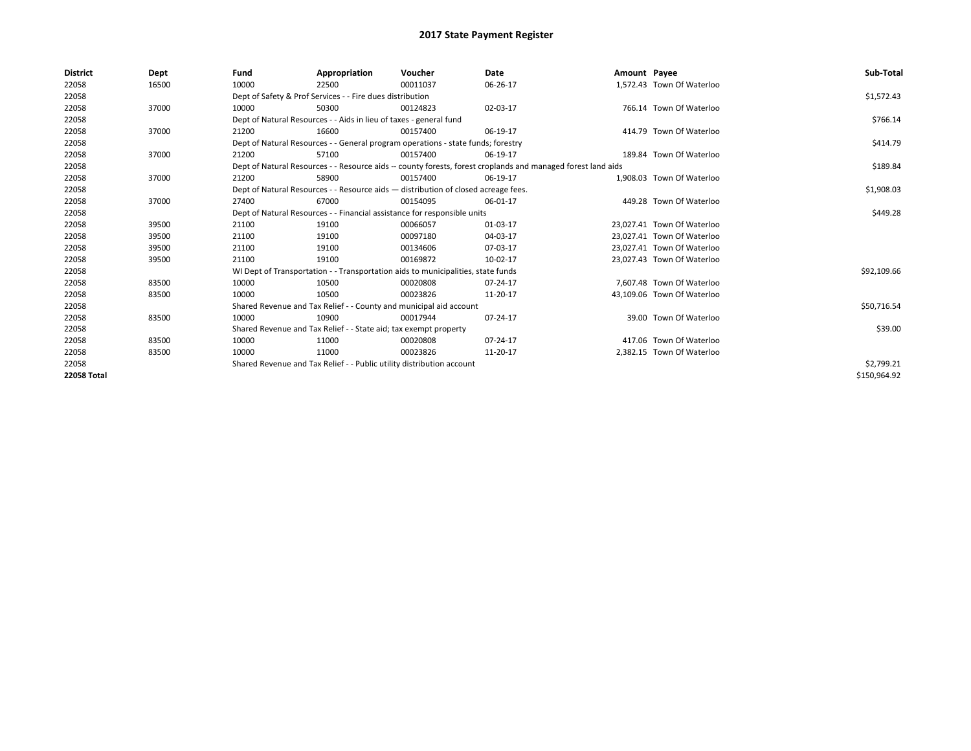| <b>District</b> | Dept  | Fund  | Appropriation                                                                                                | Voucher  | Date     | Amount Payee |                            | Sub-Total    |
|-----------------|-------|-------|--------------------------------------------------------------------------------------------------------------|----------|----------|--------------|----------------------------|--------------|
| 22058           | 16500 | 10000 | 22500                                                                                                        | 00011037 | 06-26-17 |              | 1,572.43 Town Of Waterloo  |              |
| 22058           |       |       | Dept of Safety & Prof Services - - Fire dues distribution                                                    |          |          |              |                            | \$1,572.43   |
| 22058           | 37000 | 10000 | 50300                                                                                                        | 00124823 | 02-03-17 |              | 766.14 Town Of Waterloo    |              |
| 22058           |       |       | Dept of Natural Resources - - Aids in lieu of taxes - general fund                                           |          |          |              |                            | \$766.14     |
| 22058           | 37000 | 21200 | 16600                                                                                                        | 00157400 | 06-19-17 |              | 414.79 Town Of Waterloo    |              |
| 22058           |       |       | Dept of Natural Resources - - General program operations - state funds; forestry                             |          |          |              |                            | \$414.79     |
| 22058           | 37000 | 21200 | 57100                                                                                                        | 00157400 | 06-19-17 |              | 189.84 Town Of Waterloo    |              |
| 22058           |       |       | Dept of Natural Resources - - Resource aids -- county forests, forest croplands and managed forest land aids |          |          |              |                            | \$189.84     |
| 22058           | 37000 | 21200 | 58900                                                                                                        | 00157400 | 06-19-17 |              | 1,908.03 Town Of Waterloo  |              |
| 22058           |       |       | Dept of Natural Resources - - Resource aids - distribution of closed acreage fees.                           |          |          |              |                            | \$1,908.03   |
| 22058           | 37000 | 27400 | 67000                                                                                                        | 00154095 | 06-01-17 |              | 449.28 Town Of Waterloo    |              |
| 22058           |       |       | Dept of Natural Resources - - Financial assistance for responsible units                                     |          |          |              |                            | \$449.28     |
| 22058           | 39500 | 21100 | 19100                                                                                                        | 00066057 | 01-03-17 |              | 23.027.41 Town Of Waterloo |              |
| 22058           | 39500 | 21100 | 19100                                                                                                        | 00097180 | 04-03-17 |              | 23.027.41 Town Of Waterloo |              |
| 22058           | 39500 | 21100 | 19100                                                                                                        | 00134606 | 07-03-17 |              | 23,027.41 Town Of Waterloo |              |
| 22058           | 39500 | 21100 | 19100                                                                                                        | 00169872 | 10-02-17 |              | 23,027.43 Town Of Waterloo |              |
| 22058           |       |       | WI Dept of Transportation - - Transportation aids to municipalities, state funds                             |          |          |              |                            | \$92,109.66  |
| 22058           | 83500 | 10000 | 10500                                                                                                        | 00020808 | 07-24-17 |              | 7.607.48 Town Of Waterloo  |              |
| 22058           | 83500 | 10000 | 10500                                                                                                        | 00023826 | 11-20-17 |              | 43,109.06 Town Of Waterloo |              |
| 22058           |       |       | Shared Revenue and Tax Relief - - County and municipal aid account                                           |          |          |              |                            | \$50,716.54  |
| 22058           | 83500 | 10000 | 10900                                                                                                        | 00017944 | 07-24-17 |              | 39.00 Town Of Waterloo     |              |
| 22058           |       |       | Shared Revenue and Tax Relief - - State aid; tax exempt property                                             |          |          |              |                            | \$39.00      |
| 22058           | 83500 | 10000 | 11000                                                                                                        | 00020808 | 07-24-17 |              | 417.06 Town Of Waterloo    |              |
| 22058           | 83500 | 10000 | 11000                                                                                                        | 00023826 | 11-20-17 |              | 2,382.15 Town Of Waterloo  |              |
| 22058           |       |       | Shared Revenue and Tax Relief - - Public utility distribution account                                        |          |          |              |                            | \$2,799.21   |
| 22058 Total     |       |       |                                                                                                              |          |          |              |                            | \$150,964.92 |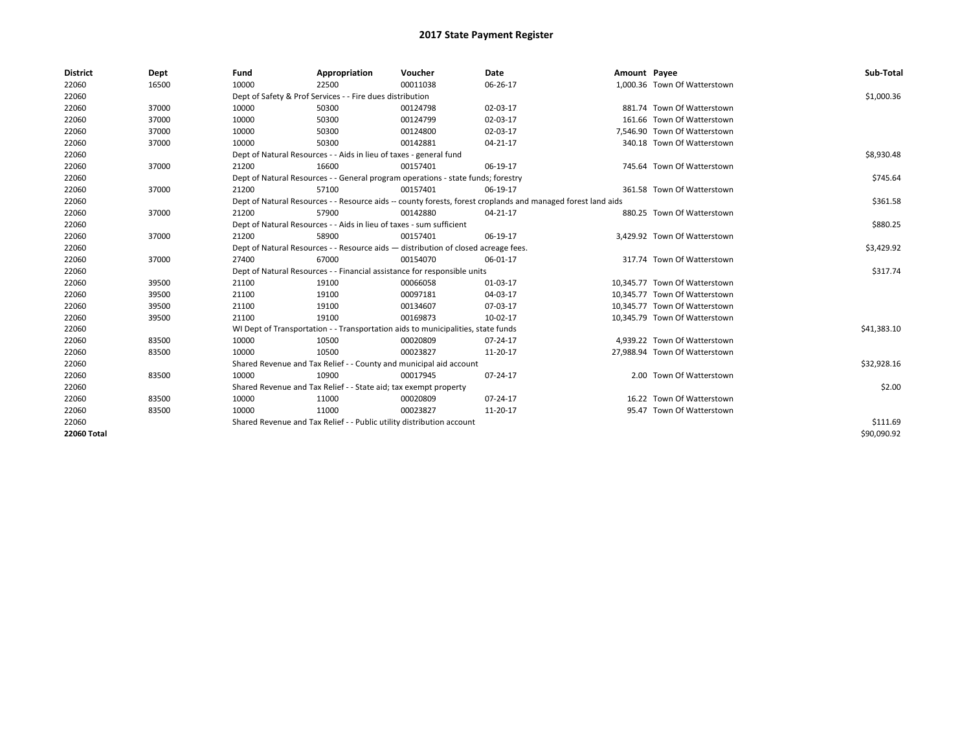| <b>District</b> | Dept  | Fund  | Appropriation                                                                                                | Voucher  | Date     | Amount Payee |                               | Sub-Total   |
|-----------------|-------|-------|--------------------------------------------------------------------------------------------------------------|----------|----------|--------------|-------------------------------|-------------|
| 22060           | 16500 | 10000 | 22500                                                                                                        | 00011038 | 06-26-17 |              | 1,000.36 Town Of Watterstown  |             |
| 22060           |       |       | Dept of Safety & Prof Services - - Fire dues distribution                                                    |          |          |              |                               | \$1,000.36  |
| 22060           | 37000 | 10000 | 50300                                                                                                        | 00124798 | 02-03-17 |              | 881.74 Town Of Watterstown    |             |
| 22060           | 37000 | 10000 | 50300                                                                                                        | 00124799 | 02-03-17 |              | 161.66 Town Of Watterstown    |             |
| 22060           | 37000 | 10000 | 50300                                                                                                        | 00124800 | 02-03-17 |              | 7,546.90 Town Of Watterstown  |             |
| 22060           | 37000 | 10000 | 50300                                                                                                        | 00142881 | 04-21-17 |              | 340.18 Town Of Watterstown    |             |
| 22060           |       |       | Dept of Natural Resources - - Aids in lieu of taxes - general fund                                           |          |          |              |                               | \$8,930.48  |
| 22060           | 37000 | 21200 | 16600                                                                                                        | 00157401 | 06-19-17 |              | 745.64 Town Of Watterstown    |             |
| 22060           |       |       | Dept of Natural Resources - - General program operations - state funds; forestry                             |          |          |              |                               | \$745.64    |
| 22060           | 37000 | 21200 | 57100                                                                                                        | 00157401 | 06-19-17 |              | 361.58 Town Of Watterstown    |             |
| 22060           |       |       | Dept of Natural Resources - - Resource aids -- county forests, forest croplands and managed forest land aids |          |          |              |                               | \$361.58    |
| 22060           | 37000 | 21200 | 57900                                                                                                        | 00142880 | 04-21-17 |              | 880.25 Town Of Watterstown    |             |
| 22060           |       |       | Dept of Natural Resources - - Aids in lieu of taxes - sum sufficient                                         |          |          |              |                               | \$880.25    |
| 22060           | 37000 | 21200 | 58900                                                                                                        | 00157401 | 06-19-17 |              | 3,429.92 Town Of Watterstown  |             |
| 22060           |       |       | Dept of Natural Resources - - Resource aids - distribution of closed acreage fees.                           |          |          |              |                               | \$3,429.92  |
| 22060           | 37000 | 27400 | 67000                                                                                                        | 00154070 | 06-01-17 |              | 317.74 Town Of Watterstown    |             |
| 22060           |       |       | Dept of Natural Resources - - Financial assistance for responsible units                                     |          |          |              |                               | \$317.74    |
| 22060           | 39500 | 21100 | 19100                                                                                                        | 00066058 | 01-03-17 |              | 10,345.77 Town Of Watterstown |             |
| 22060           | 39500 | 21100 | 19100                                                                                                        | 00097181 | 04-03-17 |              | 10,345.77 Town Of Watterstown |             |
| 22060           | 39500 | 21100 | 19100                                                                                                        | 00134607 | 07-03-17 |              | 10,345.77 Town Of Watterstown |             |
| 22060           | 39500 | 21100 | 19100                                                                                                        | 00169873 | 10-02-17 |              | 10,345.79 Town Of Watterstown |             |
| 22060           |       |       | WI Dept of Transportation - - Transportation aids to municipalities, state funds                             |          |          |              |                               | \$41,383.10 |
| 22060           | 83500 | 10000 | 10500                                                                                                        | 00020809 | 07-24-17 |              | 4.939.22 Town Of Watterstown  |             |
| 22060           | 83500 | 10000 | 10500                                                                                                        | 00023827 | 11-20-17 |              | 27,988.94 Town Of Watterstown |             |
| 22060           |       |       | Shared Revenue and Tax Relief - - County and municipal aid account                                           |          |          |              |                               | \$32,928.16 |
| 22060           | 83500 | 10000 | 10900                                                                                                        | 00017945 | 07-24-17 |              | 2.00 Town Of Watterstown      |             |
| 22060           |       |       | Shared Revenue and Tax Relief - - State aid; tax exempt property                                             |          |          |              |                               | \$2.00      |
| 22060           | 83500 | 10000 | 11000                                                                                                        | 00020809 | 07-24-17 |              | 16.22 Town Of Watterstown     |             |
| 22060           | 83500 | 10000 | 11000                                                                                                        | 00023827 | 11-20-17 |              | 95.47 Town Of Watterstown     |             |
| 22060           |       |       | Shared Revenue and Tax Relief - - Public utility distribution account                                        |          |          |              |                               | \$111.69    |
| 22060 Total     |       |       |                                                                                                              |          |          |              |                               | \$90,090.92 |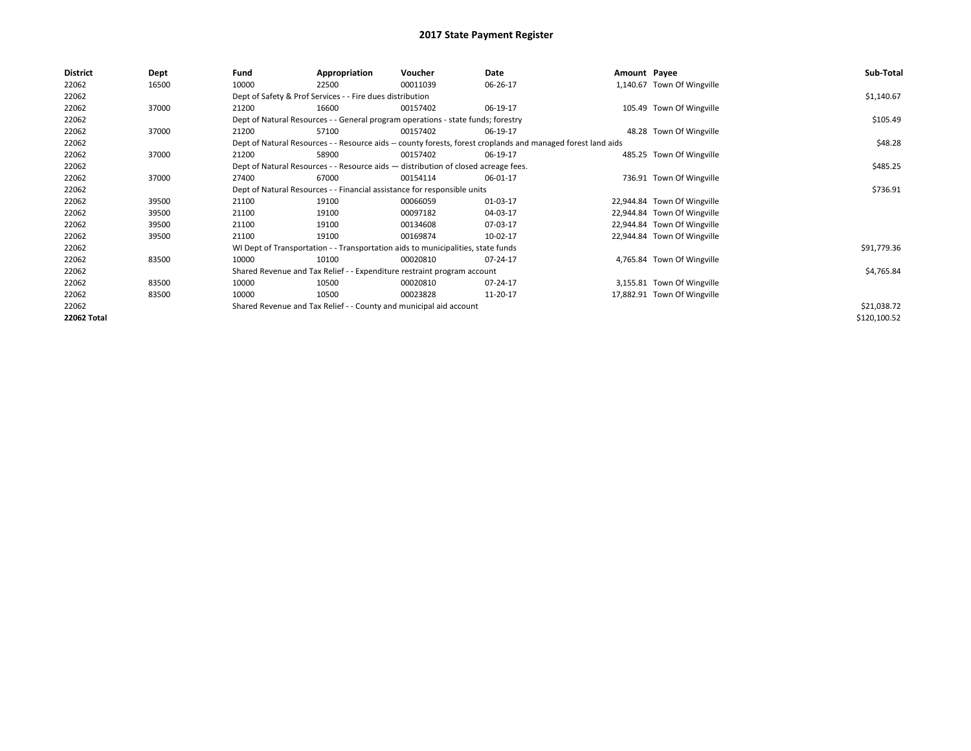| 22062<br>1,140.67 Town Of Wingville<br>16500<br>10000<br>00011039<br>06-26-17<br>22500                                | \$1,140.67   |
|-----------------------------------------------------------------------------------------------------------------------|--------------|
|                                                                                                                       |              |
| 22062<br>Dept of Safety & Prof Services - - Fire dues distribution                                                    |              |
| 22062<br>37000<br>16600<br>06-19-17<br>105.49 Town Of Wingville<br>21200<br>00157402                                  |              |
| 22062<br>Dept of Natural Resources - - General program operations - state funds; forestry                             | \$105.49     |
| 22062<br>37000<br>57100<br>48.28 Town Of Wingville<br>21200<br>00157402<br>06-19-17                                   |              |
| Dept of Natural Resources - - Resource aids -- county forests, forest croplands and managed forest land aids<br>22062 | \$48.28      |
| 22062<br>485.25 Town Of Wingville<br>37000<br>21200<br>58900<br>00157402<br>06-19-17                                  |              |
| 22062<br>Dept of Natural Resources - - Resource aids - distribution of closed acreage fees.                           | \$485.25     |
| 22062<br>37000<br>67000<br>00154114<br>736.91 Town Of Wingville<br>27400<br>06-01-17                                  |              |
| 22062<br>Dept of Natural Resources - - Financial assistance for responsible units                                     | \$736.91     |
| 22062<br>39500<br>21100<br>19100<br>01-03-17<br>22,944.84 Town Of Wingville<br>00066059                               |              |
| 22062<br>21100<br>00097182<br>04-03-17<br>22,944.84 Town Of Wingville<br>39500<br>19100                               |              |
| 22062<br>21100<br>19100<br>00134608<br>07-03-17<br>22,944.84 Town Of Wingville<br>39500                               |              |
| 22062<br>39500<br>21100<br>19100<br>00169874<br>10-02-17<br>22,944.84 Town Of Wingville                               |              |
| 22062<br>WI Dept of Transportation - - Transportation aids to municipalities, state funds                             | \$91,779.36  |
| 22062<br>4,765.84 Town Of Wingville<br>83500<br>10000<br>10100<br>00020810<br>07-24-17                                |              |
| 22062<br>Shared Revenue and Tax Relief - - Expenditure restraint program account                                      | \$4,765.84   |
| 22062<br>83500<br>10000<br>3,155.81 Town Of Wingville<br>10500<br>00020810<br>07-24-17                                |              |
| 22062<br>83500<br>10500<br>17,882.91 Town Of Wingville<br>10000<br>00023828<br>11-20-17                               |              |
| 22062<br>Shared Revenue and Tax Relief - - County and municipal aid account                                           | \$21,038.72  |
| 22062 Total                                                                                                           | \$120,100.52 |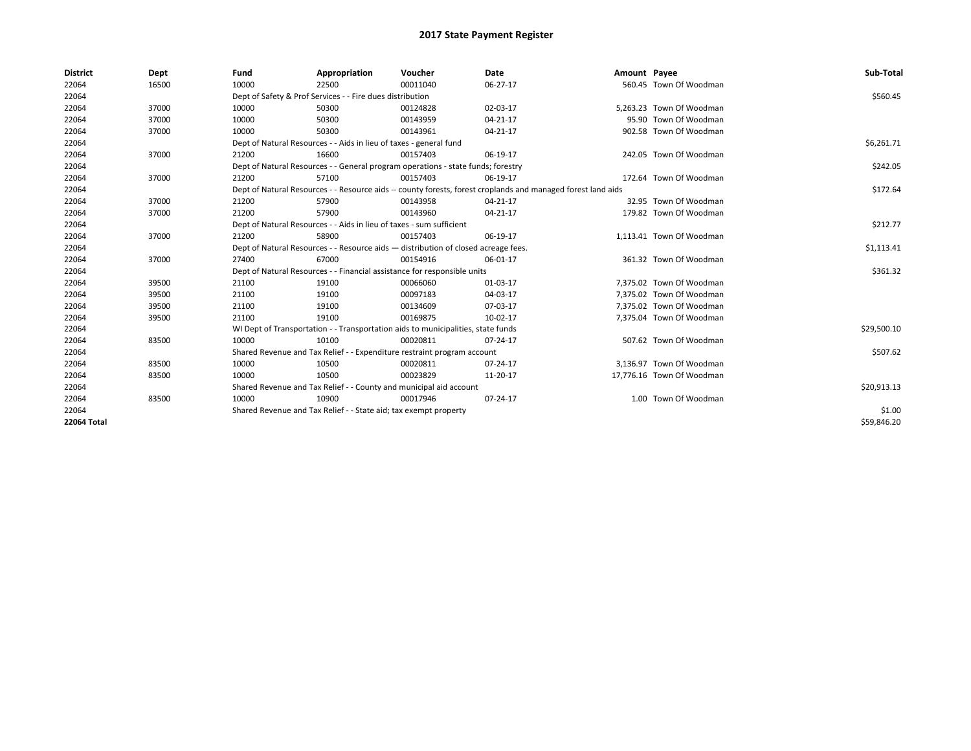| <b>District</b>    | Dept  | Fund  | Appropriation                                                                      | Voucher  | Date                                                                                                         | Amount Payee |                           | Sub-Total   |
|--------------------|-------|-------|------------------------------------------------------------------------------------|----------|--------------------------------------------------------------------------------------------------------------|--------------|---------------------------|-------------|
| 22064              | 16500 | 10000 | 22500                                                                              | 00011040 | 06-27-17                                                                                                     |              | 560.45 Town Of Woodman    |             |
| 22064              |       |       | Dept of Safety & Prof Services - - Fire dues distribution                          |          |                                                                                                              |              |                           | \$560.45    |
| 22064              | 37000 | 10000 | 50300                                                                              | 00124828 | 02-03-17                                                                                                     |              | 5.263.23 Town Of Woodman  |             |
| 22064              | 37000 | 10000 | 50300                                                                              | 00143959 | 04-21-17                                                                                                     |              | 95.90 Town Of Woodman     |             |
| 22064              | 37000 | 10000 | 50300                                                                              | 00143961 | 04-21-17                                                                                                     |              | 902.58 Town Of Woodman    |             |
| 22064              |       |       | Dept of Natural Resources - - Aids in lieu of taxes - general fund                 |          |                                                                                                              |              |                           | \$6,261.71  |
| 22064              | 37000 | 21200 | 16600                                                                              | 00157403 | 06-19-17                                                                                                     |              | 242.05 Town Of Woodman    |             |
| 22064              |       |       | Dept of Natural Resources - - General program operations - state funds; forestry   |          |                                                                                                              |              |                           | \$242.05    |
| 22064              | 37000 | 21200 | 57100                                                                              | 00157403 | 06-19-17                                                                                                     |              | 172.64 Town Of Woodman    |             |
| 22064              |       |       |                                                                                    |          | Dept of Natural Resources - - Resource aids -- county forests, forest croplands and managed forest land aids |              |                           | \$172.64    |
| 22064              | 37000 | 21200 | 57900                                                                              | 00143958 | $04 - 21 - 17$                                                                                               |              | 32.95 Town Of Woodman     |             |
| 22064              | 37000 | 21200 | 57900                                                                              | 00143960 | 04-21-17                                                                                                     |              | 179.82 Town Of Woodman    |             |
| 22064              |       |       | Dept of Natural Resources - - Aids in lieu of taxes - sum sufficient               |          |                                                                                                              |              |                           | \$212.77    |
| 22064              | 37000 | 21200 | 58900                                                                              | 00157403 | 06-19-17                                                                                                     |              | 1,113.41 Town Of Woodman  |             |
| 22064              |       |       | Dept of Natural Resources - - Resource aids - distribution of closed acreage fees. |          |                                                                                                              |              |                           | \$1,113.41  |
| 22064              | 37000 | 27400 | 67000                                                                              | 00154916 | 06-01-17                                                                                                     |              | 361.32 Town Of Woodman    |             |
| 22064              |       |       | Dept of Natural Resources - - Financial assistance for responsible units           |          |                                                                                                              |              |                           | \$361.32    |
| 22064              | 39500 | 21100 | 19100                                                                              | 00066060 | 01-03-17                                                                                                     |              | 7.375.02 Town Of Woodman  |             |
| 22064              | 39500 | 21100 | 19100                                                                              | 00097183 | 04-03-17                                                                                                     |              | 7.375.02 Town Of Woodman  |             |
| 22064              | 39500 | 21100 | 19100                                                                              | 00134609 | 07-03-17                                                                                                     |              | 7.375.02 Town Of Woodman  |             |
| 22064              | 39500 | 21100 | 19100                                                                              | 00169875 | 10-02-17                                                                                                     |              | 7,375.04 Town Of Woodman  |             |
| 22064              |       |       | WI Dept of Transportation - - Transportation aids to municipalities, state funds   |          |                                                                                                              |              |                           | \$29,500.10 |
| 22064              | 83500 | 10000 | 10100                                                                              | 00020811 | 07-24-17                                                                                                     |              | 507.62 Town Of Woodman    |             |
| 22064              |       |       | Shared Revenue and Tax Relief - - Expenditure restraint program account            |          |                                                                                                              |              |                           | \$507.62    |
| 22064              | 83500 | 10000 | 10500                                                                              | 00020811 | 07-24-17                                                                                                     |              | 3,136.97 Town Of Woodman  |             |
| 22064              | 83500 | 10000 | 10500                                                                              | 00023829 | 11-20-17                                                                                                     |              | 17,776.16 Town Of Woodman |             |
| 22064              |       |       | Shared Revenue and Tax Relief - - County and municipal aid account                 |          |                                                                                                              |              |                           | \$20,913.13 |
| 22064              | 83500 | 10000 | 10900                                                                              | 00017946 | 07-24-17                                                                                                     |              | 1.00 Town Of Woodman      |             |
| 22064              |       |       | Shared Revenue and Tax Relief - - State aid; tax exempt property                   |          |                                                                                                              |              |                           | \$1.00      |
| <b>22064 Total</b> |       |       |                                                                                    |          |                                                                                                              |              |                           | \$59,846.20 |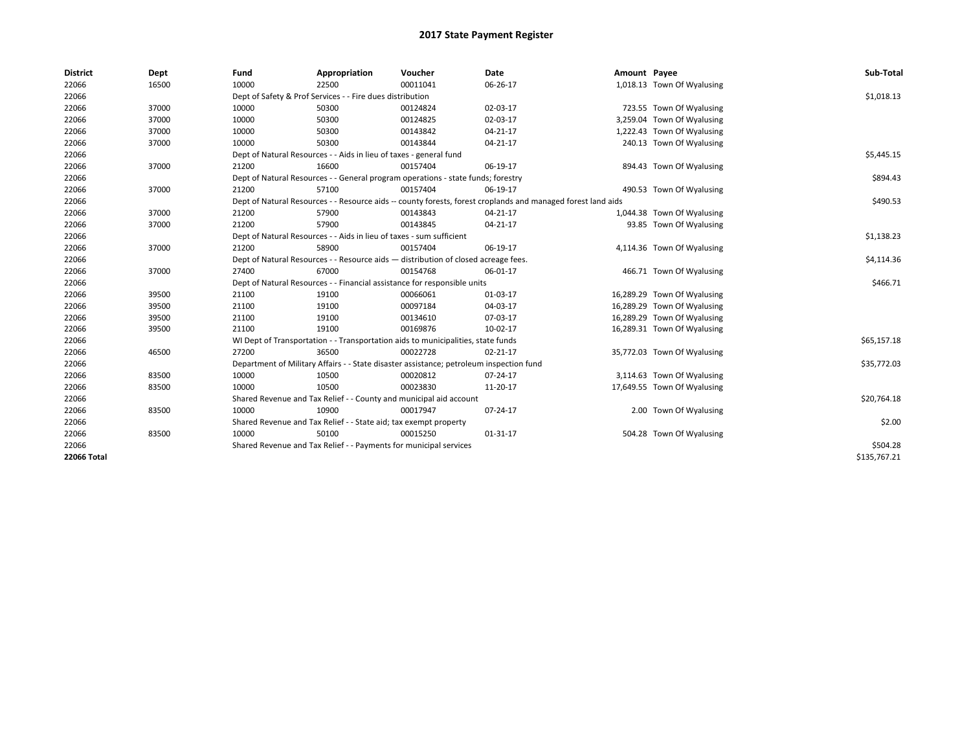| <b>District</b> | Dept  | Fund  | Appropriation                                                                           | Voucher  | Date                                                                                                         | Amount Payee |                             | Sub-Total    |
|-----------------|-------|-------|-----------------------------------------------------------------------------------------|----------|--------------------------------------------------------------------------------------------------------------|--------------|-----------------------------|--------------|
| 22066           | 16500 | 10000 | 22500                                                                                   | 00011041 | 06-26-17                                                                                                     |              | 1,018.13 Town Of Wyalusing  |              |
| 22066           |       |       | Dept of Safety & Prof Services - - Fire dues distribution                               |          |                                                                                                              |              |                             | \$1,018.13   |
| 22066           | 37000 | 10000 | 50300                                                                                   | 00124824 | 02-03-17                                                                                                     |              | 723.55 Town Of Wyalusing    |              |
| 22066           | 37000 | 10000 | 50300                                                                                   | 00124825 | 02-03-17                                                                                                     |              | 3,259.04 Town Of Wyalusing  |              |
| 22066           | 37000 | 10000 | 50300                                                                                   | 00143842 | 04-21-17                                                                                                     |              | 1,222.43 Town Of Wyalusing  |              |
| 22066           | 37000 | 10000 | 50300                                                                                   | 00143844 | 04-21-17                                                                                                     |              | 240.13 Town Of Wyalusing    |              |
| 22066           |       |       | Dept of Natural Resources - - Aids in lieu of taxes - general fund                      |          |                                                                                                              |              |                             | \$5,445.15   |
| 22066           | 37000 | 21200 | 16600                                                                                   | 00157404 | 06-19-17                                                                                                     |              | 894.43 Town Of Wyalusing    |              |
| 22066           |       |       | Dept of Natural Resources - - General program operations - state funds; forestry        |          |                                                                                                              |              |                             | \$894.43     |
| 22066           | 37000 | 21200 | 57100                                                                                   | 00157404 | 06-19-17                                                                                                     |              | 490.53 Town Of Wyalusing    |              |
| 22066           |       |       |                                                                                         |          | Dept of Natural Resources - - Resource aids -- county forests, forest croplands and managed forest land aids |              |                             | \$490.53     |
| 22066           | 37000 | 21200 | 57900                                                                                   | 00143843 | 04-21-17                                                                                                     |              | 1,044.38 Town Of Wyalusing  |              |
| 22066           | 37000 | 21200 | 57900                                                                                   | 00143845 | 04-21-17                                                                                                     |              | 93.85 Town Of Wyalusing     |              |
| 22066           |       |       | Dept of Natural Resources - - Aids in lieu of taxes - sum sufficient                    |          |                                                                                                              |              |                             | \$1,138.23   |
| 22066           | 37000 | 21200 | 58900                                                                                   | 00157404 | 06-19-17                                                                                                     |              | 4,114.36 Town Of Wyalusing  |              |
| 22066           |       |       | Dept of Natural Resources - - Resource aids - distribution of closed acreage fees.      |          |                                                                                                              |              |                             | \$4,114.36   |
| 22066           | 37000 | 27400 | 67000                                                                                   | 00154768 | 06-01-17                                                                                                     |              | 466.71 Town Of Wyalusing    |              |
| 22066           |       |       | Dept of Natural Resources - - Financial assistance for responsible units                |          |                                                                                                              |              |                             | \$466.71     |
| 22066           | 39500 | 21100 | 19100                                                                                   | 00066061 | 01-03-17                                                                                                     |              | 16,289.29 Town Of Wyalusing |              |
| 22066           | 39500 | 21100 | 19100                                                                                   | 00097184 | 04-03-17                                                                                                     |              | 16,289.29 Town Of Wyalusing |              |
| 22066           | 39500 | 21100 | 19100                                                                                   | 00134610 | 07-03-17                                                                                                     |              | 16,289.29 Town Of Wyalusing |              |
| 22066           | 39500 | 21100 | 19100                                                                                   | 00169876 | 10-02-17                                                                                                     |              | 16,289.31 Town Of Wyalusing |              |
| 22066           |       |       | WI Dept of Transportation - - Transportation aids to municipalities, state funds        |          |                                                                                                              |              |                             | \$65,157.18  |
| 22066           | 46500 | 27200 | 36500                                                                                   | 00022728 | $02 - 21 - 17$                                                                                               |              | 35,772.03 Town Of Wyalusing |              |
| 22066           |       |       | Department of Military Affairs - - State disaster assistance; petroleum inspection fund |          |                                                                                                              |              |                             | \$35,772.03  |
| 22066           | 83500 | 10000 | 10500                                                                                   | 00020812 | 07-24-17                                                                                                     |              | 3,114.63 Town Of Wyalusing  |              |
| 22066           | 83500 | 10000 | 10500                                                                                   | 00023830 | 11-20-17                                                                                                     |              | 17,649.55 Town Of Wyalusing |              |
| 22066           |       |       | Shared Revenue and Tax Relief - - County and municipal aid account                      |          |                                                                                                              |              |                             | \$20,764.18  |
| 22066           | 83500 | 10000 | 10900                                                                                   | 00017947 | 07-24-17                                                                                                     |              | 2.00 Town Of Wyalusing      |              |
| 22066           |       |       | Shared Revenue and Tax Relief - - State aid; tax exempt property                        |          |                                                                                                              |              |                             | \$2.00       |
| 22066           | 83500 | 10000 | 50100                                                                                   | 00015250 | $01 - 31 - 17$                                                                                               |              | 504.28 Town Of Wyalusing    |              |
| 22066           |       |       | Shared Revenue and Tax Relief - - Payments for municipal services                       |          |                                                                                                              |              |                             | \$504.28     |
| 22066 Total     |       |       |                                                                                         |          |                                                                                                              |              |                             | \$135,767.21 |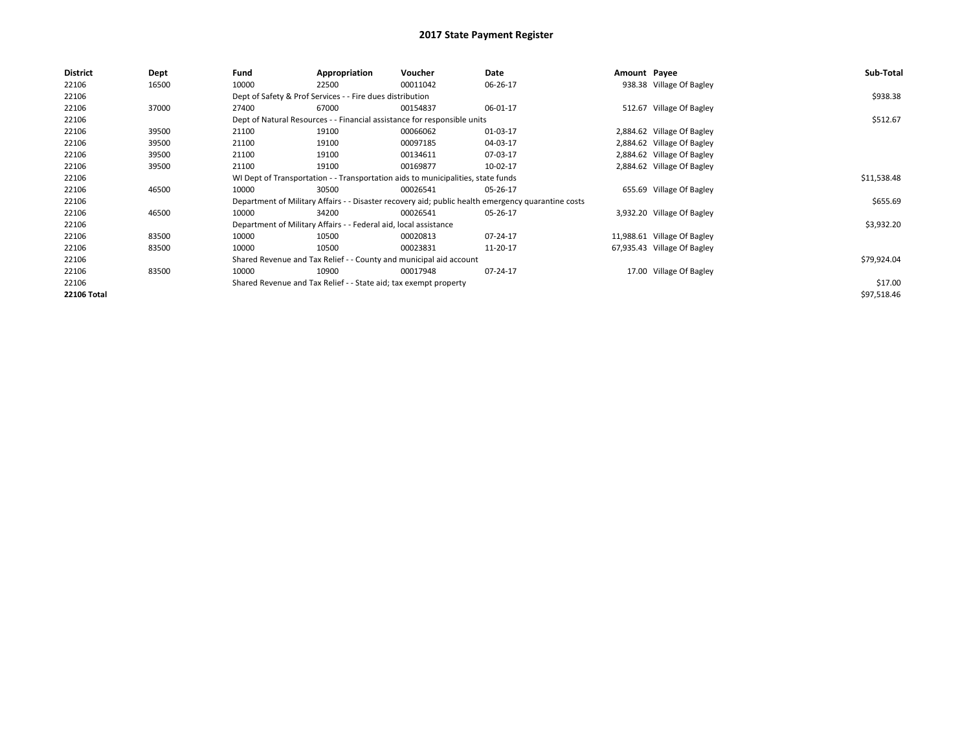| District           | <b>Dept</b> | Fund  | Appropriation                                                    | Voucher                                                                          | Date                                                                                               | Amount Payee |                             | Sub-Total   |
|--------------------|-------------|-------|------------------------------------------------------------------|----------------------------------------------------------------------------------|----------------------------------------------------------------------------------------------------|--------------|-----------------------------|-------------|
| 22106              | 16500       | 10000 | 22500                                                            | 00011042                                                                         | 06-26-17                                                                                           |              | 938.38 Village Of Bagley    |             |
| 22106              |             |       | Dept of Safety & Prof Services - - Fire dues distribution        |                                                                                  |                                                                                                    |              |                             | \$938.38    |
| 22106              | 37000       | 27400 | 67000                                                            | 00154837                                                                         | 06-01-17                                                                                           |              | 512.67 Village Of Bagley    |             |
| 22106              |             |       |                                                                  | Dept of Natural Resources - - Financial assistance for responsible units         |                                                                                                    |              |                             | \$512.67    |
| 22106              | 39500       | 21100 | 19100                                                            | 00066062                                                                         | 01-03-17                                                                                           |              | 2,884.62 Village Of Bagley  |             |
| 22106              | 39500       | 21100 | 19100                                                            | 00097185                                                                         | 04-03-17                                                                                           |              | 2,884.62 Village Of Bagley  |             |
| 22106              | 39500       | 21100 | 19100                                                            | 00134611                                                                         | 07-03-17                                                                                           |              | 2,884.62 Village Of Bagley  |             |
| 22106              | 39500       | 21100 | 19100                                                            | 00169877                                                                         | 10-02-17                                                                                           |              | 2,884.62 Village Of Bagley  |             |
| 22106              |             |       |                                                                  | WI Dept of Transportation - - Transportation aids to municipalities, state funds |                                                                                                    |              |                             | \$11,538.48 |
| 22106              | 46500       | 10000 | 30500                                                            | 00026541                                                                         | 05-26-17                                                                                           |              | 655.69 Village Of Bagley    |             |
| 22106              |             |       |                                                                  |                                                                                  | Department of Military Affairs - - Disaster recovery aid; public health emergency quarantine costs |              |                             | \$655.69    |
| 22106              | 46500       | 10000 | 34200                                                            | 00026541                                                                         | 05-26-17                                                                                           |              | 3,932.20 Village Of Bagley  |             |
| 22106              |             |       | Department of Military Affairs - - Federal aid, local assistance |                                                                                  |                                                                                                    |              |                             | \$3,932.20  |
| 22106              | 83500       | 10000 | 10500                                                            | 00020813                                                                         | 07-24-17                                                                                           |              | 11,988.61 Village Of Bagley |             |
| 22106              | 83500       | 10000 | 10500                                                            | 00023831                                                                         | 11-20-17                                                                                           |              | 67,935.43 Village Of Bagley |             |
| 22106              |             |       |                                                                  | Shared Revenue and Tax Relief - - County and municipal aid account               |                                                                                                    |              |                             | \$79,924.04 |
| 22106              | 83500       | 10000 | 10900                                                            | 00017948                                                                         | 07-24-17                                                                                           |              | 17.00 Village Of Bagley     |             |
| 22106              |             |       | Shared Revenue and Tax Relief - - State aid; tax exempt property |                                                                                  |                                                                                                    |              |                             | \$17.00     |
| <b>22106 Total</b> |             |       |                                                                  |                                                                                  |                                                                                                    |              |                             | \$97,518.46 |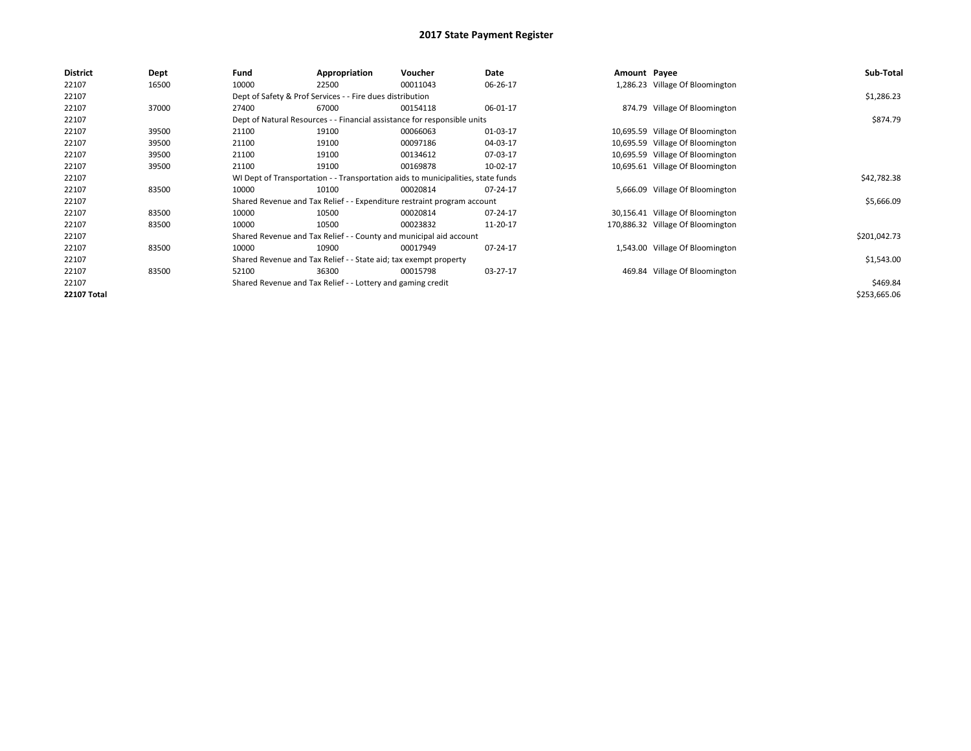| <b>District</b>    | <b>Dept</b> | Fund                                                        | Appropriation                                                                    | Voucher  | Date     | Amount Payee |                                   | Sub-Total    |
|--------------------|-------------|-------------------------------------------------------------|----------------------------------------------------------------------------------|----------|----------|--------------|-----------------------------------|--------------|
| 22107              | 16500       | 10000                                                       | 22500                                                                            | 00011043 | 06-26-17 |              | 1,286.23 Village Of Bloomington   |              |
| 22107              |             |                                                             | Dept of Safety & Prof Services - - Fire dues distribution                        |          |          |              |                                   | \$1,286.23   |
| 22107              | 37000       | 27400                                                       | 67000                                                                            | 00154118 | 06-01-17 |              | 874.79 Village Of Bloomington     |              |
| 22107              |             |                                                             | Dept of Natural Resources - - Financial assistance for responsible units         |          |          |              |                                   | \$874.79     |
| 22107              | 39500       | 21100                                                       | 19100                                                                            | 00066063 | 01-03-17 |              | 10,695.59 Village Of Bloomington  |              |
| 22107              | 39500       | 21100                                                       | 19100                                                                            | 00097186 | 04-03-17 |              | 10,695.59 Village Of Bloomington  |              |
| 22107              | 39500       | 21100                                                       | 19100                                                                            | 00134612 | 07-03-17 |              | 10,695.59 Village Of Bloomington  |              |
| 22107              | 39500       | 21100                                                       | 19100                                                                            | 00169878 | 10-02-17 |              | 10,695.61 Village Of Bloomington  |              |
| 22107              |             |                                                             | WI Dept of Transportation - - Transportation aids to municipalities, state funds |          |          |              |                                   | \$42,782.38  |
| 22107              | 83500       | 10000                                                       | 10100                                                                            | 00020814 | 07-24-17 |              | 5,666.09 Village Of Bloomington   |              |
| 22107              |             |                                                             | Shared Revenue and Tax Relief - - Expenditure restraint program account          |          |          |              |                                   | \$5,666.09   |
| 22107              | 83500       | 10000                                                       | 10500                                                                            | 00020814 | 07-24-17 |              | 30,156.41 Village Of Bloomington  |              |
| 22107              | 83500       | 10000                                                       | 10500                                                                            | 00023832 | 11-20-17 |              | 170,886.32 Village Of Bloomington |              |
| 22107              |             |                                                             | Shared Revenue and Tax Relief - - County and municipal aid account               |          |          |              |                                   | \$201,042.73 |
| 22107              | 83500       | 10000                                                       | 10900                                                                            | 00017949 | 07-24-17 |              | 1,543.00 Village Of Bloomington   |              |
| 22107              |             |                                                             | Shared Revenue and Tax Relief - - State aid; tax exempt property                 |          |          |              |                                   | \$1,543.00   |
| 22107              | 83500       | 52100                                                       | 36300                                                                            | 00015798 | 03-27-17 |              | 469.84 Village Of Bloomington     |              |
| 22107              |             | Shared Revenue and Tax Relief - - Lottery and gaming credit |                                                                                  | \$469.84 |          |              |                                   |              |
| <b>22107 Total</b> |             |                                                             |                                                                                  |          |          |              |                                   | \$253,665.06 |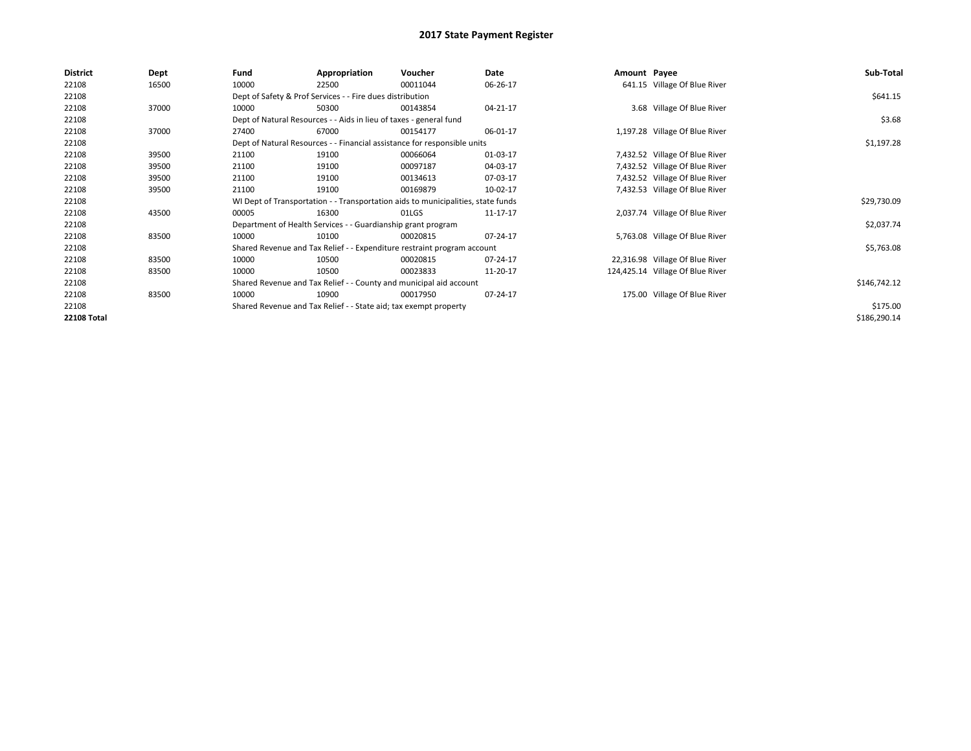| <b>District</b>    | Dept  | Fund  | Appropriation                                                      | Voucher                                                                          | Date     | Amount Payee |                                  | Sub-Total    |
|--------------------|-------|-------|--------------------------------------------------------------------|----------------------------------------------------------------------------------|----------|--------------|----------------------------------|--------------|
| 22108              | 16500 | 10000 | 22500                                                              | 00011044                                                                         | 06-26-17 |              | 641.15 Village Of Blue River     |              |
| 22108              |       |       | Dept of Safety & Prof Services - - Fire dues distribution          |                                                                                  |          |              |                                  | \$641.15     |
| 22108              | 37000 | 10000 | 50300                                                              | 00143854                                                                         | 04-21-17 |              | 3.68 Village Of Blue River       |              |
| 22108              |       |       | Dept of Natural Resources - - Aids in lieu of taxes - general fund |                                                                                  |          |              |                                  | \$3.68       |
| 22108              | 37000 | 27400 | 67000                                                              | 00154177                                                                         | 06-01-17 |              | 1,197.28 Village Of Blue River   |              |
| 22108              |       |       |                                                                    | Dept of Natural Resources - - Financial assistance for responsible units         |          |              |                                  | \$1,197.28   |
| 22108              | 39500 | 21100 | 19100                                                              | 00066064                                                                         | 01-03-17 |              | 7,432.52 Village Of Blue River   |              |
| 22108              | 39500 | 21100 | 19100                                                              | 00097187                                                                         | 04-03-17 |              | 7,432.52 Village Of Blue River   |              |
| 22108              | 39500 | 21100 | 19100                                                              | 00134613                                                                         | 07-03-17 |              | 7,432.52 Village Of Blue River   |              |
| 22108              | 39500 | 21100 | 19100                                                              | 00169879                                                                         | 10-02-17 |              | 7,432.53 Village Of Blue River   |              |
| 22108              |       |       |                                                                    | WI Dept of Transportation - - Transportation aids to municipalities, state funds |          |              |                                  | \$29,730.09  |
| 22108              | 43500 | 00005 | 16300                                                              | 01LGS                                                                            | 11-17-17 |              | 2,037.74 Village Of Blue River   |              |
| 22108              |       |       | Department of Health Services - - Guardianship grant program       |                                                                                  |          |              |                                  | \$2,037.74   |
| 22108              | 83500 | 10000 | 10100                                                              | 00020815                                                                         | 07-24-17 |              | 5,763.08 Village Of Blue River   |              |
| 22108              |       |       |                                                                    | Shared Revenue and Tax Relief - - Expenditure restraint program account          |          |              |                                  | \$5,763.08   |
| 22108              | 83500 | 10000 | 10500                                                              | 00020815                                                                         | 07-24-17 |              | 22,316.98 Village Of Blue River  |              |
| 22108              | 83500 | 10000 | 10500                                                              | 00023833                                                                         | 11-20-17 |              | 124,425.14 Village Of Blue River |              |
| 22108              |       |       |                                                                    | Shared Revenue and Tax Relief - - County and municipal aid account               |          |              |                                  | \$146,742.12 |
| 22108              | 83500 | 10000 | 10900                                                              | 00017950                                                                         | 07-24-17 |              | 175.00 Village Of Blue River     |              |
| 22108              |       |       | Shared Revenue and Tax Relief - - State aid; tax exempt property   |                                                                                  |          |              |                                  | \$175.00     |
| <b>22108 Total</b> |       |       |                                                                    |                                                                                  |          |              |                                  | \$186,290.14 |
|                    |       |       |                                                                    |                                                                                  |          |              |                                  |              |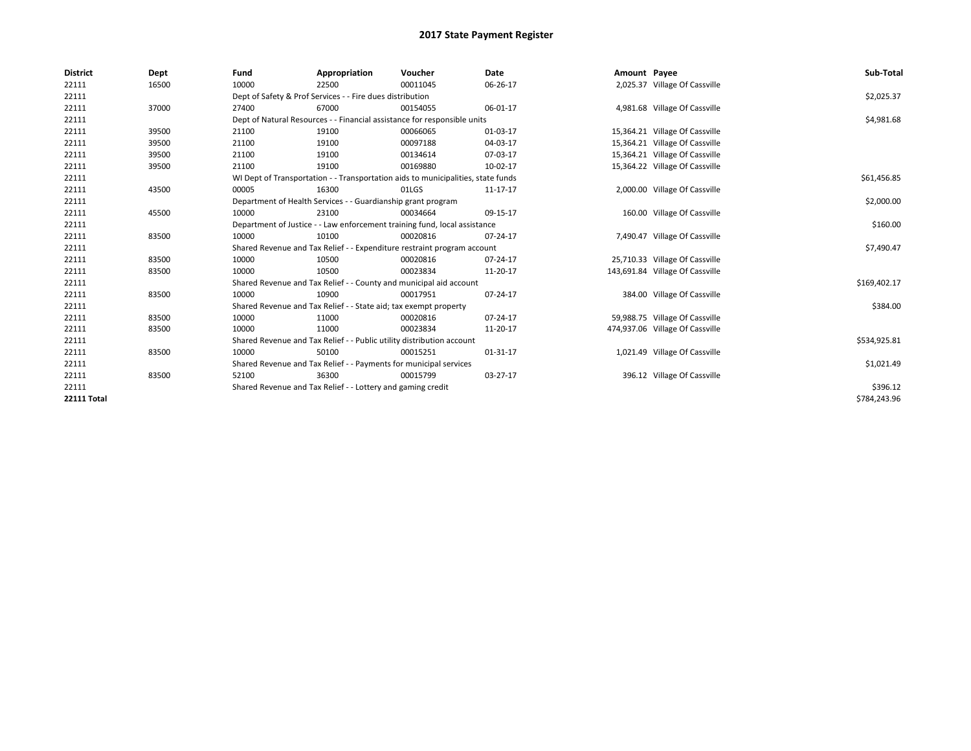| <b>District</b>    | Dept  | Fund  | Appropriation                                                                    | Voucher  | <b>Date</b> | Amount Payee |                                 | Sub-Total    |
|--------------------|-------|-------|----------------------------------------------------------------------------------|----------|-------------|--------------|---------------------------------|--------------|
| 22111              | 16500 | 10000 | 22500                                                                            | 00011045 | 06-26-17    |              | 2,025.37 Village Of Cassville   |              |
| 22111              |       |       | Dept of Safety & Prof Services - - Fire dues distribution                        |          |             |              |                                 | \$2,025.37   |
| 22111              | 37000 | 27400 | 67000                                                                            | 00154055 | 06-01-17    |              | 4,981.68 Village Of Cassville   |              |
| 22111              |       |       | Dept of Natural Resources - - Financial assistance for responsible units         |          |             |              |                                 | \$4,981.68   |
| 22111              | 39500 | 21100 | 19100                                                                            | 00066065 | 01-03-17    |              | 15,364.21 Village Of Cassville  |              |
| 22111              | 39500 | 21100 | 19100                                                                            | 00097188 | 04-03-17    |              | 15,364.21 Village Of Cassville  |              |
| 22111              | 39500 | 21100 | 19100                                                                            | 00134614 | 07-03-17    |              | 15,364.21 Village Of Cassville  |              |
| 22111              | 39500 | 21100 | 19100                                                                            | 00169880 | 10-02-17    |              | 15,364.22 Village Of Cassville  |              |
| 22111              |       |       | WI Dept of Transportation - - Transportation aids to municipalities, state funds |          |             |              |                                 | \$61,456.85  |
| 22111              | 43500 | 00005 | 16300                                                                            | 01LGS    | 11-17-17    |              | 2,000.00 Village Of Cassville   |              |
| 22111              |       |       | Department of Health Services - - Guardianship grant program                     |          |             |              |                                 | \$2,000.00   |
| 22111              | 45500 | 10000 | 23100                                                                            | 00034664 | 09-15-17    |              | 160.00 Village Of Cassville     |              |
| 22111              |       |       | Department of Justice - - Law enforcement training fund, local assistance        |          |             |              |                                 | \$160.00     |
| 22111              | 83500 | 10000 | 10100                                                                            | 00020816 | 07-24-17    |              | 7,490.47 Village Of Cassville   |              |
| 22111              |       |       | Shared Revenue and Tax Relief - - Expenditure restraint program account          |          |             |              |                                 | \$7,490.47   |
| 22111              | 83500 | 10000 | 10500                                                                            | 00020816 | 07-24-17    |              | 25,710.33 Village Of Cassville  |              |
| 22111              | 83500 | 10000 | 10500                                                                            | 00023834 | 11-20-17    |              | 143,691.84 Village Of Cassville |              |
| 22111              |       |       | Shared Revenue and Tax Relief - - County and municipal aid account               |          |             |              |                                 | \$169,402.17 |
| 22111              | 83500 | 10000 | 10900                                                                            | 00017951 | 07-24-17    |              | 384.00 Village Of Cassville     |              |
| 22111              |       |       | Shared Revenue and Tax Relief - - State aid; tax exempt property                 |          |             |              |                                 | \$384.00     |
| 22111              | 83500 | 10000 | 11000                                                                            | 00020816 | 07-24-17    |              | 59,988.75 Village Of Cassville  |              |
| 22111              | 83500 | 10000 | 11000                                                                            | 00023834 | 11-20-17    |              | 474,937.06 Village Of Cassville |              |
| 22111              |       |       | Shared Revenue and Tax Relief - - Public utility distribution account            |          |             |              |                                 | \$534,925.81 |
| 22111              | 83500 | 10000 | 50100                                                                            | 00015251 | 01-31-17    |              | 1,021.49 Village Of Cassville   |              |
| 22111              |       |       | Shared Revenue and Tax Relief - - Payments for municipal services                |          |             |              |                                 | \$1,021.49   |
| 22111              | 83500 | 52100 | 36300                                                                            | 00015799 | 03-27-17    |              | 396.12 Village Of Cassville     |              |
| 22111              |       |       | Shared Revenue and Tax Relief - - Lottery and gaming credit                      |          |             |              |                                 | \$396.12     |
| <b>22111 Total</b> |       |       |                                                                                  |          |             |              |                                 | \$784.243.96 |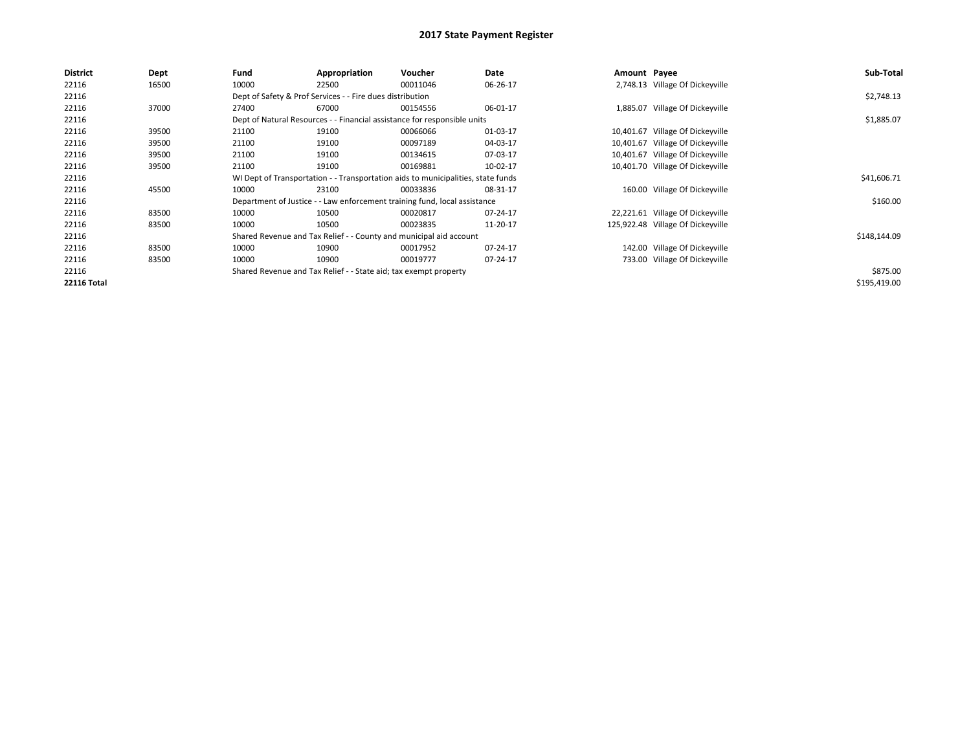| <b>District</b>    | <b>Dept</b> | Fund  | Appropriation                                                                    | Voucher  | Date     | Amount Payee |                                   | Sub-Total    |
|--------------------|-------------|-------|----------------------------------------------------------------------------------|----------|----------|--------------|-----------------------------------|--------------|
| 22116              | 16500       | 10000 | 22500                                                                            | 00011046 | 06-26-17 |              | 2,748.13 Village Of Dickeyville   |              |
| 22116              |             |       | Dept of Safety & Prof Services - - Fire dues distribution                        |          |          |              |                                   | \$2,748.13   |
| 22116              | 37000       | 27400 | 67000                                                                            | 00154556 | 06-01-17 |              | 1,885.07 Village Of Dickeyville   |              |
| 22116              |             |       | Dept of Natural Resources - - Financial assistance for responsible units         |          |          |              |                                   | \$1,885.07   |
| 22116              | 39500       | 21100 | 19100                                                                            | 00066066 | 01-03-17 |              | 10,401.67 Village Of Dickeyville  |              |
| 22116              | 39500       | 21100 | 19100                                                                            | 00097189 | 04-03-17 |              | 10,401.67 Village Of Dickeyville  |              |
| 22116              | 39500       | 21100 | 19100                                                                            | 00134615 | 07-03-17 |              | 10,401.67 Village Of Dickeyville  |              |
| 22116              | 39500       | 21100 | 19100                                                                            | 00169881 | 10-02-17 |              | 10,401.70 Village Of Dickeyville  |              |
| 22116              |             |       | WI Dept of Transportation - - Transportation aids to municipalities, state funds |          |          |              |                                   | \$41,606.71  |
| 22116              | 45500       | 10000 | 23100                                                                            | 00033836 | 08-31-17 |              | 160.00 Village Of Dickeyville     |              |
| 22116              |             |       | Department of Justice - - Law enforcement training fund, local assistance        |          |          |              |                                   | \$160.00     |
| 22116              | 83500       | 10000 | 10500                                                                            | 00020817 | 07-24-17 |              | 22,221.61 Village Of Dickeyville  |              |
| 22116              | 83500       | 10000 | 10500                                                                            | 00023835 | 11-20-17 |              | 125,922.48 Village Of Dickeyville |              |
| 22116              |             |       | Shared Revenue and Tax Relief - - County and municipal aid account               |          |          |              |                                   | \$148,144.09 |
| 22116              | 83500       | 10000 | 10900                                                                            | 00017952 | 07-24-17 |              | 142.00 Village Of Dickeyville     |              |
| 22116              | 83500       | 10000 | 10900                                                                            | 00019777 | 07-24-17 |              | 733.00 Village Of Dickeyville     |              |
| 22116              |             |       | Shared Revenue and Tax Relief - - State aid; tax exempt property                 |          |          |              |                                   | \$875.00     |
| <b>22116 Total</b> |             |       |                                                                                  |          |          |              |                                   | \$195,419.00 |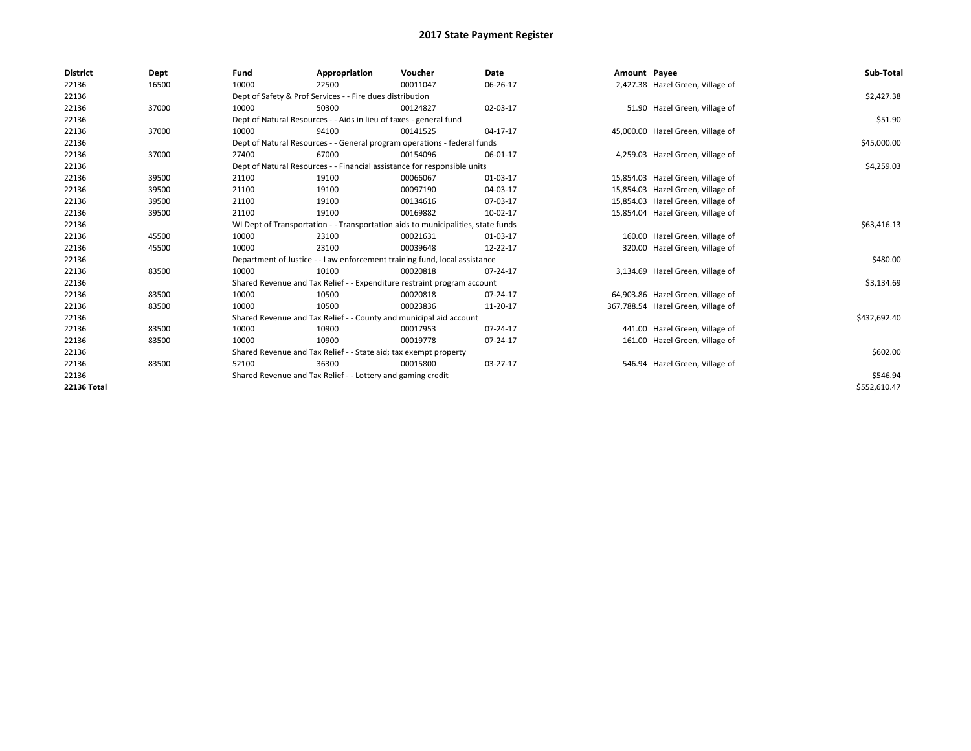| <b>District</b>    | Dept  | Fund  | Appropriation                                                                    | Voucher  | <b>Date</b> | Amount Payee |                                    | Sub-Total    |
|--------------------|-------|-------|----------------------------------------------------------------------------------|----------|-------------|--------------|------------------------------------|--------------|
| 22136              | 16500 | 10000 | 22500                                                                            | 00011047 | 06-26-17    |              | 2,427.38 Hazel Green, Village of   |              |
| 22136              |       |       | Dept of Safety & Prof Services - - Fire dues distribution                        |          |             |              |                                    | \$2,427.38   |
| 22136              | 37000 | 10000 | 50300                                                                            | 00124827 | 02-03-17    |              | 51.90 Hazel Green, Village of      |              |
| 22136              |       |       | Dept of Natural Resources - - Aids in lieu of taxes - general fund               |          |             |              |                                    | \$51.90      |
| 22136              | 37000 | 10000 | 94100                                                                            | 00141525 | 04-17-17    |              | 45,000.00 Hazel Green, Village of  |              |
| 22136              |       |       | Dept of Natural Resources - - General program operations - federal funds         |          |             |              |                                    | \$45,000.00  |
| 22136              | 37000 | 27400 | 67000                                                                            | 00154096 | 06-01-17    |              | 4,259.03 Hazel Green, Village of   |              |
| 22136              |       |       | Dept of Natural Resources - - Financial assistance for responsible units         |          |             |              |                                    | \$4,259.03   |
| 22136              | 39500 | 21100 | 19100                                                                            | 00066067 | 01-03-17    |              | 15,854.03 Hazel Green, Village of  |              |
| 22136              | 39500 | 21100 | 19100                                                                            | 00097190 | 04-03-17    |              | 15,854.03 Hazel Green, Village of  |              |
| 22136              | 39500 | 21100 | 19100                                                                            | 00134616 | 07-03-17    |              | 15,854.03 Hazel Green, Village of  |              |
| 22136              | 39500 | 21100 | 19100                                                                            | 00169882 | 10-02-17    |              | 15,854.04 Hazel Green, Village of  |              |
| 22136              |       |       | WI Dept of Transportation - - Transportation aids to municipalities, state funds |          |             |              |                                    | \$63,416.13  |
| 22136              | 45500 | 10000 | 23100                                                                            | 00021631 | 01-03-17    |              | 160.00 Hazel Green, Village of     |              |
| 22136              | 45500 | 10000 | 23100                                                                            | 00039648 | 12-22-17    |              | 320.00 Hazel Green, Village of     |              |
| 22136              |       |       | Department of Justice - - Law enforcement training fund, local assistance        |          |             |              |                                    | \$480.00     |
| 22136              | 83500 | 10000 | 10100                                                                            | 00020818 | 07-24-17    |              | 3,134.69 Hazel Green, Village of   |              |
| 22136              |       |       | Shared Revenue and Tax Relief - - Expenditure restraint program account          |          |             |              |                                    | \$3,134.69   |
| 22136              | 83500 | 10000 | 10500                                                                            | 00020818 | 07-24-17    |              | 64,903.86 Hazel Green, Village of  |              |
| 22136              | 83500 | 10000 | 10500                                                                            | 00023836 | 11-20-17    |              | 367,788.54 Hazel Green, Village of |              |
| 22136              |       |       | Shared Revenue and Tax Relief - - County and municipal aid account               |          |             |              |                                    | \$432,692.40 |
| 22136              | 83500 | 10000 | 10900                                                                            | 00017953 | 07-24-17    |              | 441.00 Hazel Green, Village of     |              |
| 22136              | 83500 | 10000 | 10900                                                                            | 00019778 | 07-24-17    |              | 161.00 Hazel Green, Village of     |              |
| 22136              |       |       | Shared Revenue and Tax Relief - - State aid; tax exempt property                 |          |             |              |                                    | \$602.00     |
| 22136              | 83500 | 52100 | 36300                                                                            | 00015800 | 03-27-17    |              | 546.94 Hazel Green, Village of     |              |
| 22136              |       |       | Shared Revenue and Tax Relief - - Lottery and gaming credit                      |          |             |              |                                    | \$546.94     |
| <b>22136 Total</b> |       |       |                                                                                  |          |             |              |                                    | \$552,610.47 |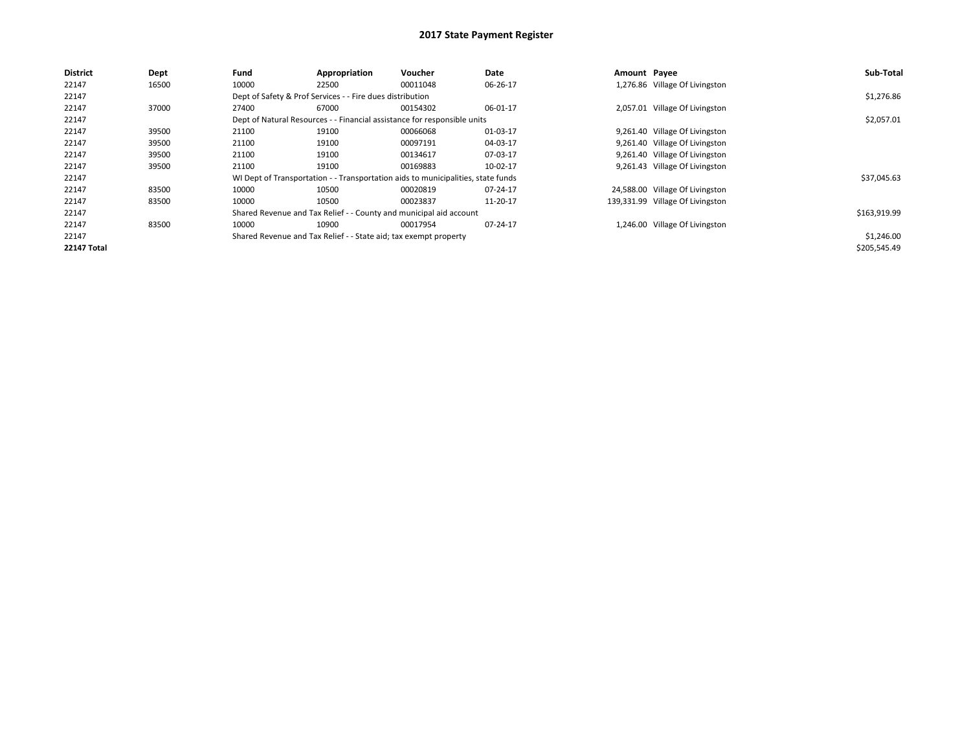| <b>District</b>    | <b>Dept</b> | Fund  | Appropriation                                                                    | Voucher  | Date     | Amount Payee |                                  | Sub-Total    |
|--------------------|-------------|-------|----------------------------------------------------------------------------------|----------|----------|--------------|----------------------------------|--------------|
| 22147              | 16500       | 10000 | 22500                                                                            | 00011048 | 06-26-17 |              | 1,276.86 Village Of Livingston   |              |
| 22147              |             |       | Dept of Safety & Prof Services - - Fire dues distribution                        |          |          |              |                                  | \$1,276.86   |
| 22147              | 37000       | 27400 | 67000                                                                            | 00154302 | 06-01-17 |              | 2,057.01 Village Of Livingston   |              |
| 22147              |             |       | Dept of Natural Resources - - Financial assistance for responsible units         |          |          |              |                                  | \$2,057.01   |
| 22147              | 39500       | 21100 | 19100                                                                            | 00066068 | 01-03-17 |              | 9,261.40 Village Of Livingston   |              |
| 22147              | 39500       | 21100 | 19100                                                                            | 00097191 | 04-03-17 |              | 9,261.40 Village Of Livingston   |              |
| 22147              | 39500       | 21100 | 19100                                                                            | 00134617 | 07-03-17 |              | 9,261.40 Village Of Livingston   |              |
| 22147              | 39500       | 21100 | 19100                                                                            | 00169883 | 10-02-17 |              | 9,261.43 Village Of Livingston   |              |
| 22147              |             |       | WI Dept of Transportation - - Transportation aids to municipalities, state funds |          |          |              |                                  | \$37,045.63  |
| 22147              | 83500       | 10000 | 10500                                                                            | 00020819 | 07-24-17 |              | 24,588.00 Village Of Livingston  |              |
| 22147              | 83500       | 10000 | 10500                                                                            | 00023837 | 11-20-17 |              | 139,331.99 Village Of Livingston |              |
| 22147              |             |       | Shared Revenue and Tax Relief - - County and municipal aid account               |          |          |              |                                  | \$163,919.99 |
| 22147              | 83500       | 10000 | 10900                                                                            | 00017954 | 07-24-17 |              | 1,246.00 Village Of Livingston   |              |
| 22147              |             |       | Shared Revenue and Tax Relief - - State aid; tax exempt property                 |          |          |              |                                  | \$1,246.00   |
| <b>22147 Total</b> |             |       |                                                                                  |          |          |              |                                  | \$205,545.49 |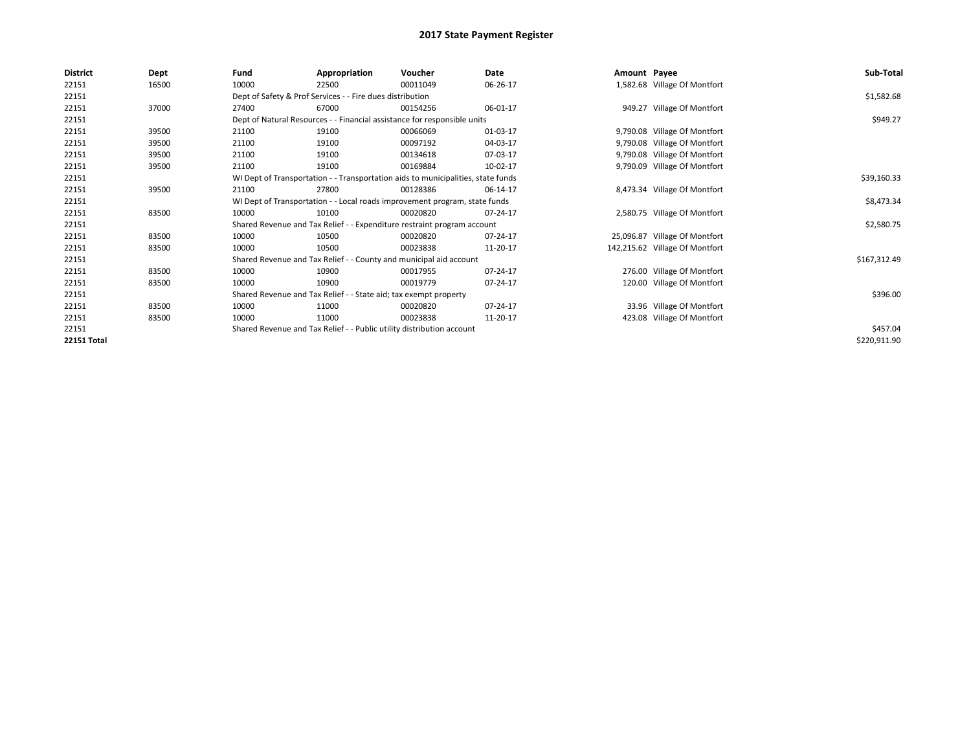| <b>District</b>    | Dept  | Fund  | Appropriation                                                         | Voucher                                                                          | Date     | Amount Payee |                                | Sub-Total    |
|--------------------|-------|-------|-----------------------------------------------------------------------|----------------------------------------------------------------------------------|----------|--------------|--------------------------------|--------------|
| 22151              | 16500 | 10000 | 22500                                                                 | 00011049                                                                         | 06-26-17 |              | 1,582.68 Village Of Montfort   |              |
| 22151              |       |       | Dept of Safety & Prof Services - - Fire dues distribution             |                                                                                  |          |              |                                | \$1,582.68   |
| 22151              | 37000 | 27400 | 67000                                                                 | 00154256                                                                         | 06-01-17 |              | 949.27 Village Of Montfort     |              |
| 22151              |       |       |                                                                       | Dept of Natural Resources - - Financial assistance for responsible units         |          |              |                                | \$949.27     |
| 22151              | 39500 | 21100 | 19100                                                                 | 00066069                                                                         | 01-03-17 |              | 9,790.08 Village Of Montfort   |              |
| 22151              | 39500 | 21100 | 19100                                                                 | 00097192                                                                         | 04-03-17 |              | 9,790.08 Village Of Montfort   |              |
| 22151              | 39500 | 21100 | 19100                                                                 | 00134618                                                                         | 07-03-17 |              | 9,790.08 Village Of Montfort   |              |
| 22151              | 39500 | 21100 | 19100                                                                 | 00169884                                                                         | 10-02-17 |              | 9,790.09 Village Of Montfort   |              |
| 22151              |       |       |                                                                       | WI Dept of Transportation - - Transportation aids to municipalities, state funds |          |              |                                | \$39,160.33  |
| 22151              | 39500 | 21100 | 27800                                                                 | 00128386                                                                         | 06-14-17 |              | 8,473.34 Village Of Montfort   |              |
| 22151              |       |       |                                                                       | WI Dept of Transportation - - Local roads improvement program, state funds       |          |              |                                | \$8,473.34   |
| 22151              | 83500 | 10000 | 10100                                                                 | 00020820                                                                         | 07-24-17 |              | 2,580.75 Village Of Montfort   |              |
| 22151              |       |       |                                                                       | Shared Revenue and Tax Relief - - Expenditure restraint program account          |          |              |                                | \$2,580.75   |
| 22151              | 83500 | 10000 | 10500                                                                 | 00020820                                                                         | 07-24-17 |              | 25,096.87 Village Of Montfort  |              |
| 22151              | 83500 | 10000 | 10500                                                                 | 00023838                                                                         | 11-20-17 |              | 142,215.62 Village Of Montfort |              |
| 22151              |       |       |                                                                       | Shared Revenue and Tax Relief - - County and municipal aid account               |          |              |                                | \$167,312.49 |
| 22151              | 83500 | 10000 | 10900                                                                 | 00017955                                                                         | 07-24-17 |              | 276.00 Village Of Montfort     |              |
| 22151              | 83500 | 10000 | 10900                                                                 | 00019779                                                                         | 07-24-17 |              | 120.00 Village Of Montfort     |              |
| 22151              |       |       | Shared Revenue and Tax Relief - - State aid; tax exempt property      |                                                                                  |          |              |                                | \$396.00     |
| 22151              | 83500 | 10000 | 11000                                                                 | 00020820                                                                         | 07-24-17 |              | 33.96 Village Of Montfort      |              |
| 22151              | 83500 | 10000 | 11000                                                                 | 00023838                                                                         | 11-20-17 |              | 423.08 Village Of Montfort     |              |
| 22151              |       |       | Shared Revenue and Tax Relief - - Public utility distribution account |                                                                                  |          |              |                                | \$457.04     |
| <b>22151 Total</b> |       |       |                                                                       |                                                                                  |          |              |                                | \$220,911.90 |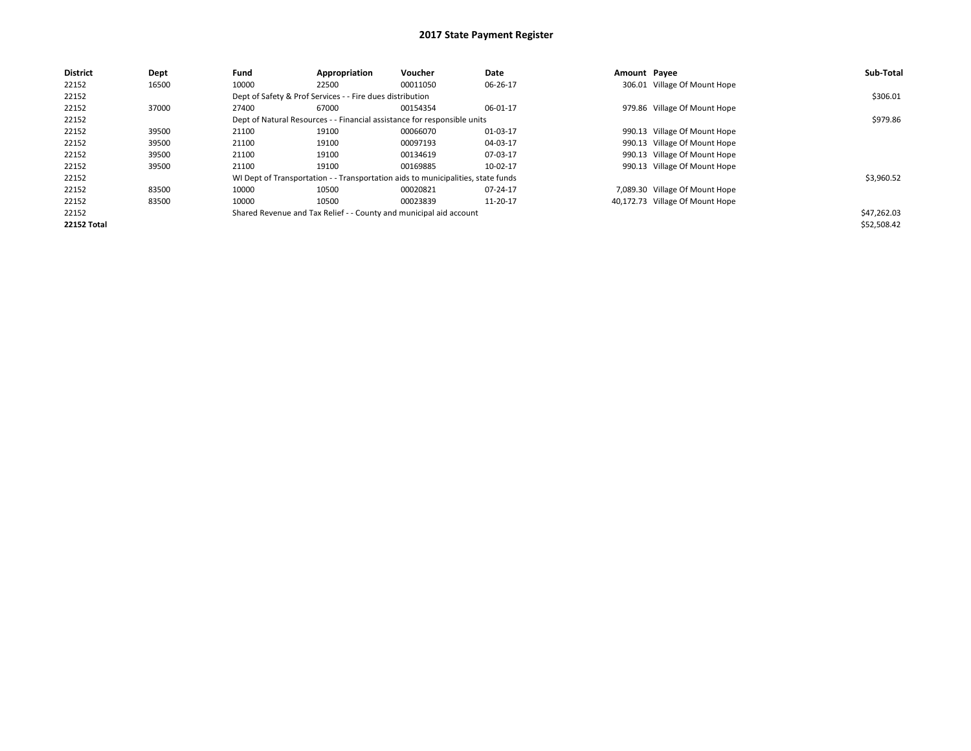| <b>District</b>    | Dept  | Fund  | Appropriation                                                                    | Voucher  | Date     | Amount Payee |                                 | Sub-Total   |
|--------------------|-------|-------|----------------------------------------------------------------------------------|----------|----------|--------------|---------------------------------|-------------|
| 22152              | 16500 | 10000 | 22500                                                                            | 00011050 | 06-26-17 |              | 306.01 Village Of Mount Hope    |             |
| 22152              |       |       | Dept of Safety & Prof Services - - Fire dues distribution                        |          |          |              |                                 | \$306.01    |
| 22152              | 37000 | 27400 | 67000                                                                            | 00154354 | 06-01-17 |              | 979.86 Village Of Mount Hope    |             |
| 22152              |       |       | Dept of Natural Resources - - Financial assistance for responsible units         |          |          |              |                                 | \$979.86    |
| 22152              | 39500 | 21100 | 19100                                                                            | 00066070 | 01-03-17 |              | 990.13 Village Of Mount Hope    |             |
| 22152              | 39500 | 21100 | 19100                                                                            | 00097193 | 04-03-17 |              | 990.13 Village Of Mount Hope    |             |
| 22152              | 39500 | 21100 | 19100                                                                            | 00134619 | 07-03-17 |              | 990.13 Village Of Mount Hope    |             |
| 22152              | 39500 | 21100 | 19100                                                                            | 00169885 | 10-02-17 |              | 990.13 Village Of Mount Hope    |             |
| 22152              |       |       | WI Dept of Transportation - - Transportation aids to municipalities, state funds |          |          |              |                                 | \$3,960.52  |
| 22152              | 83500 | 10000 | 10500                                                                            | 00020821 | 07-24-17 |              | 7,089.30 Village Of Mount Hope  |             |
| 22152              | 83500 | 10000 | 10500                                                                            | 00023839 | 11-20-17 |              | 40,172.73 Village Of Mount Hope |             |
| 22152              |       |       | Shared Revenue and Tax Relief - - County and municipal aid account               |          |          |              |                                 | \$47,262.03 |
| <b>22152 Total</b> |       |       |                                                                                  |          |          |              |                                 | \$52,508.42 |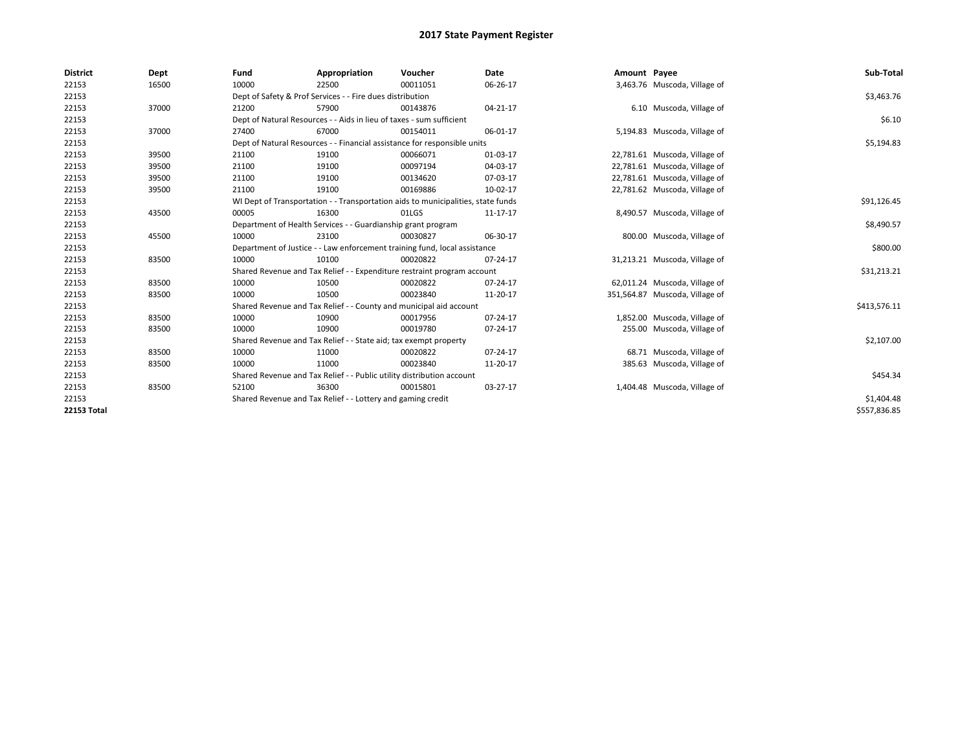| <b>District</b> | Dept  | Fund  | Appropriation                                                                    | Voucher  | <b>Date</b> | Amount Payee |                                | Sub-Total    |
|-----------------|-------|-------|----------------------------------------------------------------------------------|----------|-------------|--------------|--------------------------------|--------------|
| 22153           | 16500 | 10000 | 22500                                                                            | 00011051 | 06-26-17    |              | 3,463.76 Muscoda, Village of   |              |
| 22153           |       |       | Dept of Safety & Prof Services - - Fire dues distribution                        |          |             |              |                                | \$3,463.76   |
| 22153           | 37000 | 21200 | 57900                                                                            | 00143876 | 04-21-17    |              | 6.10 Muscoda, Village of       |              |
| 22153           |       |       | Dept of Natural Resources - - Aids in lieu of taxes - sum sufficient             |          |             |              |                                | \$6.10       |
| 22153           | 37000 | 27400 | 67000                                                                            | 00154011 | 06-01-17    |              | 5,194.83 Muscoda, Village of   |              |
| 22153           |       |       | Dept of Natural Resources - - Financial assistance for responsible units         |          |             |              |                                | \$5,194.83   |
| 22153           | 39500 | 21100 | 19100                                                                            | 00066071 | 01-03-17    |              | 22,781.61 Muscoda, Village of  |              |
| 22153           | 39500 | 21100 | 19100                                                                            | 00097194 | 04-03-17    |              | 22,781.61 Muscoda, Village of  |              |
| 22153           | 39500 | 21100 | 19100                                                                            | 00134620 | 07-03-17    |              | 22,781.61 Muscoda, Village of  |              |
| 22153           | 39500 | 21100 | 19100                                                                            | 00169886 | 10-02-17    |              | 22,781.62 Muscoda, Village of  |              |
| 22153           |       |       | WI Dept of Transportation - - Transportation aids to municipalities, state funds |          |             |              |                                | \$91,126.45  |
| 22153           | 43500 | 00005 | 16300                                                                            | 01LGS    | 11-17-17    |              | 8,490.57 Muscoda, Village of   |              |
| 22153           |       |       | Department of Health Services - - Guardianship grant program                     |          |             |              |                                | \$8,490.57   |
| 22153           | 45500 | 10000 | 23100                                                                            | 00030827 | 06-30-17    |              | 800.00 Muscoda, Village of     |              |
| 22153           |       |       | Department of Justice - - Law enforcement training fund, local assistance        |          |             |              |                                | \$800.00     |
| 22153           | 83500 | 10000 | 10100                                                                            | 00020822 | 07-24-17    |              | 31,213.21 Muscoda, Village of  |              |
| 22153           |       |       | Shared Revenue and Tax Relief - - Expenditure restraint program account          |          |             |              |                                | \$31,213.21  |
| 22153           | 83500 | 10000 | 10500                                                                            | 00020822 | 07-24-17    |              | 62,011.24 Muscoda, Village of  |              |
| 22153           | 83500 | 10000 | 10500                                                                            | 00023840 | 11-20-17    |              | 351,564.87 Muscoda, Village of |              |
| 22153           |       |       | Shared Revenue and Tax Relief - - County and municipal aid account               |          |             |              |                                | \$413,576.11 |
| 22153           | 83500 | 10000 | 10900                                                                            | 00017956 | 07-24-17    |              | 1,852.00 Muscoda, Village of   |              |
| 22153           | 83500 | 10000 | 10900                                                                            | 00019780 | 07-24-17    |              | 255.00 Muscoda, Village of     |              |
| 22153           |       |       | Shared Revenue and Tax Relief - - State aid; tax exempt property                 |          |             |              |                                | \$2,107.00   |
| 22153           | 83500 | 10000 | 11000                                                                            | 00020822 | 07-24-17    |              | 68.71 Muscoda, Village of      |              |
| 22153           | 83500 | 10000 | 11000                                                                            | 00023840 | 11-20-17    |              | 385.63 Muscoda, Village of     |              |
| 22153           |       |       | Shared Revenue and Tax Relief - - Public utility distribution account            |          |             |              |                                | \$454.34     |
| 22153           | 83500 | 52100 | 36300                                                                            | 00015801 | 03-27-17    |              | 1,404.48 Muscoda, Village of   |              |
| 22153           |       |       | Shared Revenue and Tax Relief - - Lottery and gaming credit                      |          |             |              |                                | \$1,404.48   |
| 22153 Total     |       |       |                                                                                  |          |             |              |                                | \$557,836.85 |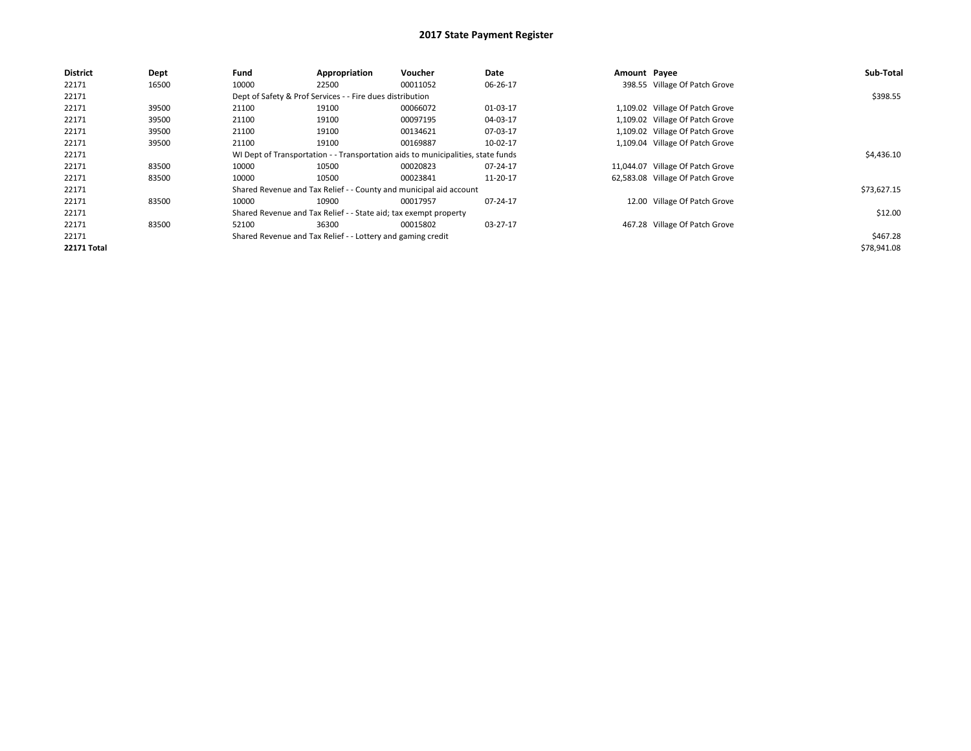| <b>District</b>    | Dept  | Fund  | Appropriation                                                    | Voucher                                                                          | Date     | Amount Payee |                                  | Sub-Total   |
|--------------------|-------|-------|------------------------------------------------------------------|----------------------------------------------------------------------------------|----------|--------------|----------------------------------|-------------|
| 22171              | 16500 | 10000 | 22500                                                            | 00011052                                                                         | 06-26-17 |              | 398.55 Village Of Patch Grove    |             |
| 22171              |       |       | Dept of Safety & Prof Services - - Fire dues distribution        |                                                                                  |          |              |                                  | \$398.55    |
| 22171              | 39500 | 21100 | 19100                                                            | 00066072                                                                         | 01-03-17 |              | 1,109.02 Village Of Patch Grove  |             |
| 22171              | 39500 | 21100 | 19100                                                            | 00097195                                                                         | 04-03-17 |              | 1,109.02 Village Of Patch Grove  |             |
| 22171              | 39500 | 21100 | 19100                                                            | 00134621                                                                         | 07-03-17 |              | 1,109.02 Village Of Patch Grove  |             |
| 22171              | 39500 | 21100 | 19100                                                            | 00169887                                                                         | 10-02-17 |              | 1,109.04 Village Of Patch Grove  |             |
| 22171              |       |       |                                                                  | WI Dept of Transportation - - Transportation aids to municipalities, state funds |          |              |                                  | \$4,436.10  |
| 22171              | 83500 | 10000 | 10500                                                            | 00020823                                                                         | 07-24-17 |              | 11,044.07 Village Of Patch Grove |             |
| 22171              | 83500 | 10000 | 10500                                                            | 00023841                                                                         | 11-20-17 |              | 62,583.08 Village Of Patch Grove |             |
| 22171              |       |       |                                                                  | Shared Revenue and Tax Relief - - County and municipal aid account               |          |              |                                  | \$73,627.15 |
| 22171              | 83500 | 10000 | 10900                                                            | 00017957                                                                         | 07-24-17 |              | 12.00 Village Of Patch Grove     |             |
| 22171              |       |       | Shared Revenue and Tax Relief - - State aid; tax exempt property |                                                                                  |          |              |                                  | \$12.00     |
| 22171              | 83500 | 52100 | 36300                                                            | 00015802                                                                         | 03-27-17 |              | 467.28 Village Of Patch Grove    |             |
| 22171              |       |       | Shared Revenue and Tax Relief - - Lottery and gaming credit      |                                                                                  |          |              |                                  | \$467.28    |
| <b>22171 Total</b> |       |       |                                                                  |                                                                                  |          |              |                                  | \$78,941.08 |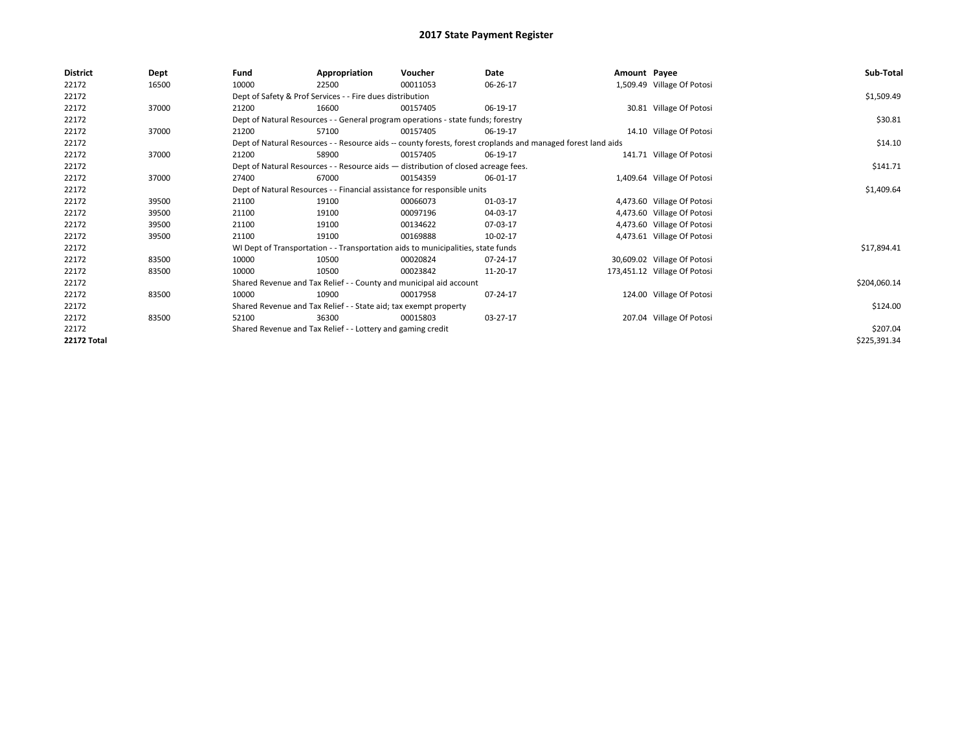| <b>District</b>    | Dept  | Fund  | Appropriation                                                                      | Voucher  | Date                                                                                                         | Amount Payee |                              | Sub-Total    |
|--------------------|-------|-------|------------------------------------------------------------------------------------|----------|--------------------------------------------------------------------------------------------------------------|--------------|------------------------------|--------------|
| 22172              | 16500 | 10000 | 22500                                                                              | 00011053 | 06-26-17                                                                                                     |              | 1,509.49 Village Of Potosi   |              |
| 22172              |       |       | Dept of Safety & Prof Services - - Fire dues distribution                          |          |                                                                                                              |              |                              | \$1,509.49   |
| 22172              | 37000 | 21200 | 16600                                                                              | 00157405 | 06-19-17                                                                                                     |              | 30.81 Village Of Potosi      |              |
| 22172              |       |       | Dept of Natural Resources - - General program operations - state funds; forestry   |          |                                                                                                              |              |                              | \$30.81      |
| 22172              | 37000 | 21200 | 57100                                                                              | 00157405 | 06-19-17                                                                                                     |              | 14.10 Village Of Potosi      |              |
| 22172              |       |       |                                                                                    |          | Dept of Natural Resources - - Resource aids -- county forests, forest croplands and managed forest land aids |              |                              | \$14.10      |
| 22172              | 37000 | 21200 | 58900                                                                              | 00157405 | 06-19-17                                                                                                     |              | 141.71 Village Of Potosi     |              |
| 22172              |       |       | Dept of Natural Resources - - Resource aids - distribution of closed acreage fees. |          |                                                                                                              |              |                              | \$141.71     |
| 22172              | 37000 | 27400 | 67000                                                                              | 00154359 | 06-01-17                                                                                                     |              | 1,409.64 Village Of Potosi   |              |
| 22172              |       |       | Dept of Natural Resources - - Financial assistance for responsible units           |          |                                                                                                              |              |                              | \$1,409.64   |
| 22172              | 39500 | 21100 | 19100                                                                              | 00066073 | 01-03-17                                                                                                     |              | 4,473.60 Village Of Potosi   |              |
| 22172              | 39500 | 21100 | 19100                                                                              | 00097196 | 04-03-17                                                                                                     |              | 4,473.60 Village Of Potosi   |              |
| 22172              | 39500 | 21100 | 19100                                                                              | 00134622 | 07-03-17                                                                                                     |              | 4,473.60 Village Of Potosi   |              |
| 22172              | 39500 | 21100 | 19100                                                                              | 00169888 | 10-02-17                                                                                                     |              | 4,473.61 Village Of Potosi   |              |
| 22172              |       |       | WI Dept of Transportation - - Transportation aids to municipalities, state funds   |          |                                                                                                              |              |                              | \$17,894.41  |
| 22172              | 83500 | 10000 | 10500                                                                              | 00020824 | 07-24-17                                                                                                     |              | 30,609.02 Village Of Potosi  |              |
| 22172              | 83500 | 10000 | 10500                                                                              | 00023842 | 11-20-17                                                                                                     |              | 173,451.12 Village Of Potosi |              |
| 22172              |       |       | Shared Revenue and Tax Relief - - County and municipal aid account                 |          |                                                                                                              |              |                              | \$204,060.14 |
| 22172              | 83500 | 10000 | 10900                                                                              | 00017958 | 07-24-17                                                                                                     |              | 124.00 Village Of Potosi     |              |
| 22172              |       |       | Shared Revenue and Tax Relief - - State aid; tax exempt property                   |          |                                                                                                              |              |                              | \$124.00     |
| 22172              | 83500 | 52100 | 36300                                                                              | 00015803 | 03-27-17                                                                                                     |              | 207.04 Village Of Potosi     |              |
| 22172              |       |       | Shared Revenue and Tax Relief - - Lottery and gaming credit                        |          |                                                                                                              |              |                              | \$207.04     |
| <b>22172 Total</b> |       |       |                                                                                    |          |                                                                                                              |              |                              | \$225,391.34 |
|                    |       |       |                                                                                    |          |                                                                                                              |              |                              |              |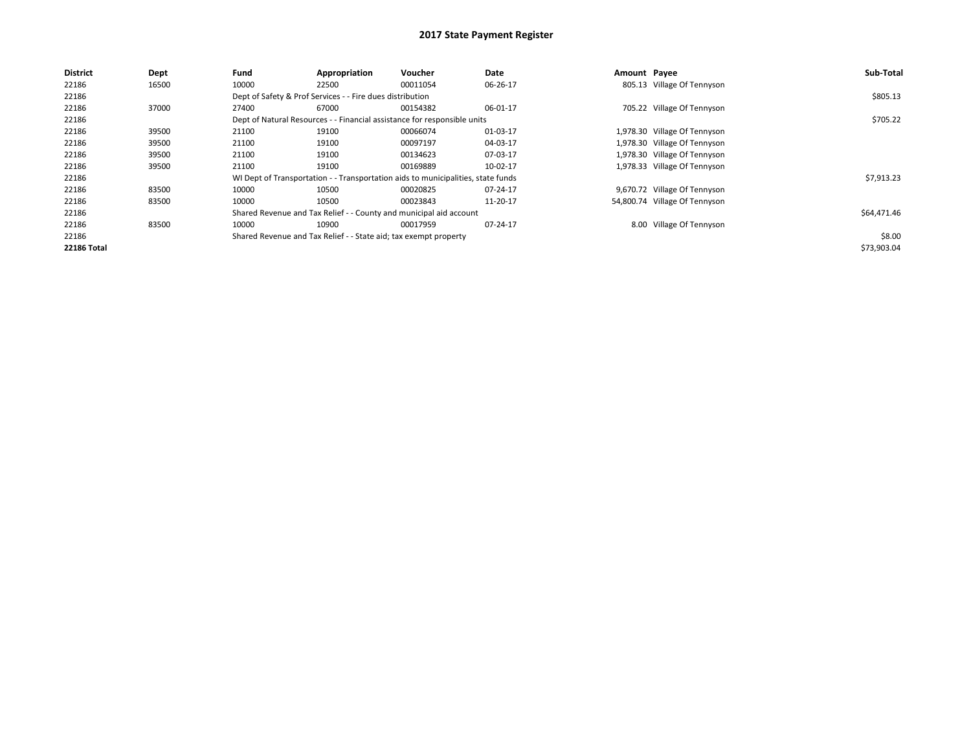| <b>District</b>    | Dept  | Fund  | Appropriation                                                                    | Voucher  | Date     | Amount Payee |                               | Sub-Total   |
|--------------------|-------|-------|----------------------------------------------------------------------------------|----------|----------|--------------|-------------------------------|-------------|
| 22186              | 16500 | 10000 | 22500                                                                            | 00011054 | 06-26-17 |              | 805.13 Village Of Tennyson    |             |
| 22186              |       |       | Dept of Safety & Prof Services - - Fire dues distribution                        |          |          |              |                               | \$805.13    |
| 22186              | 37000 | 27400 | 67000                                                                            | 00154382 | 06-01-17 |              | 705.22 Village Of Tennyson    |             |
| 22186              |       |       | Dept of Natural Resources - - Financial assistance for responsible units         |          |          |              |                               | \$705.22    |
| 22186              | 39500 | 21100 | 19100                                                                            | 00066074 | 01-03-17 |              | 1,978.30 Village Of Tennyson  |             |
| 22186              | 39500 | 21100 | 19100                                                                            | 00097197 | 04-03-17 |              | 1,978.30 Village Of Tennyson  |             |
| 22186              | 39500 | 21100 | 19100                                                                            | 00134623 | 07-03-17 |              | 1,978.30 Village Of Tennyson  |             |
| 22186              | 39500 | 21100 | 19100                                                                            | 00169889 | 10-02-17 |              | 1,978.33 Village Of Tennyson  |             |
| 22186              |       |       | WI Dept of Transportation - - Transportation aids to municipalities, state funds |          |          |              |                               | \$7,913.23  |
| 22186              | 83500 | 10000 | 10500                                                                            | 00020825 | 07-24-17 |              | 9,670.72 Village Of Tennyson  |             |
| 22186              | 83500 | 10000 | 10500                                                                            | 00023843 | 11-20-17 |              | 54,800.74 Village Of Tennyson |             |
| 22186              |       |       | Shared Revenue and Tax Relief - - County and municipal aid account               |          |          |              |                               | \$64,471.46 |
| 22186              | 83500 | 10000 | 10900                                                                            | 00017959 | 07-24-17 |              | 8.00 Village Of Tennyson      |             |
| 22186              |       |       | Shared Revenue and Tax Relief - - State aid; tax exempt property                 |          |          |              |                               | \$8.00      |
| <b>22186 Total</b> |       |       |                                                                                  |          |          |              |                               | \$73,903.04 |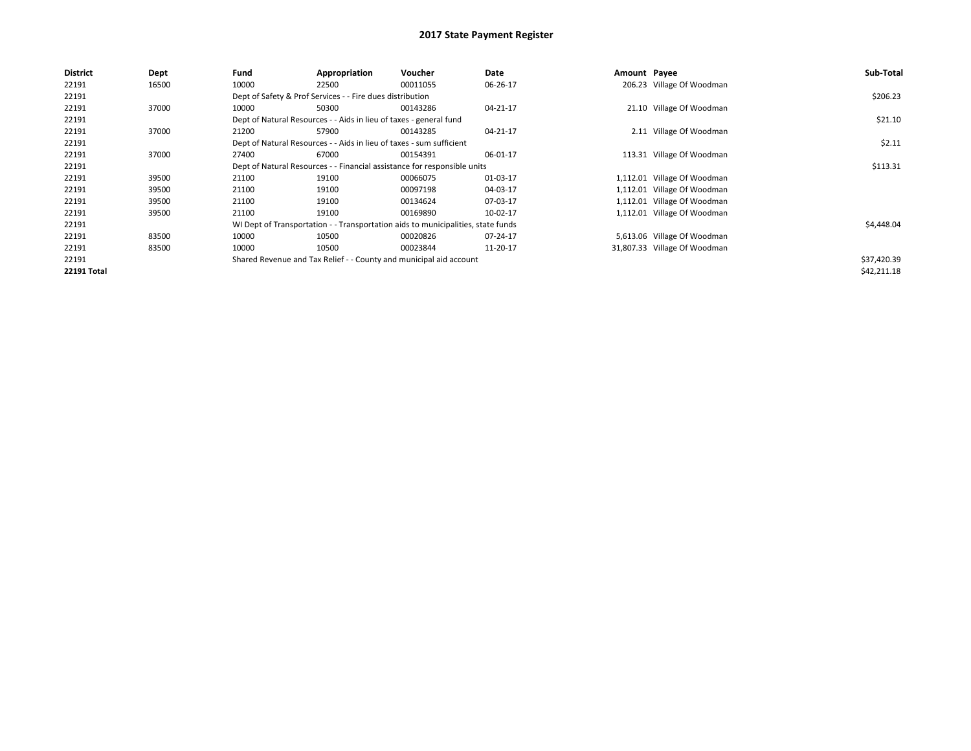| <b>District</b>    | Dept  | Fund  | Appropriation                                                        | Voucher                                                                          | Date     | Amount Payee |                              | Sub-Total   |
|--------------------|-------|-------|----------------------------------------------------------------------|----------------------------------------------------------------------------------|----------|--------------|------------------------------|-------------|
| 22191              | 16500 | 10000 | 22500                                                                | 00011055                                                                         | 06-26-17 |              | 206.23 Village Of Woodman    |             |
| 22191              |       |       | Dept of Safety & Prof Services - - Fire dues distribution            |                                                                                  |          |              |                              | \$206.23    |
| 22191              | 37000 | 10000 | 50300                                                                | 00143286                                                                         | 04-21-17 |              | 21.10 Village Of Woodman     |             |
| 22191              |       |       | Dept of Natural Resources - - Aids in lieu of taxes - general fund   |                                                                                  |          |              |                              | \$21.10     |
| 22191              | 37000 | 21200 | 57900                                                                | 00143285                                                                         | 04-21-17 |              | 2.11 Village Of Woodman      |             |
| 22191              |       |       | Dept of Natural Resources - - Aids in lieu of taxes - sum sufficient |                                                                                  |          |              |                              | \$2.11      |
| 22191              | 37000 | 27400 | 67000                                                                | 00154391                                                                         | 06-01-17 |              | 113.31 Village Of Woodman    |             |
| 22191              |       |       |                                                                      | Dept of Natural Resources - - Financial assistance for responsible units         |          |              |                              | \$113.31    |
| 22191              | 39500 | 21100 | 19100                                                                | 00066075                                                                         | 01-03-17 |              | 1,112.01 Village Of Woodman  |             |
| 22191              | 39500 | 21100 | 19100                                                                | 00097198                                                                         | 04-03-17 |              | 1,112.01 Village Of Woodman  |             |
| 22191              | 39500 | 21100 | 19100                                                                | 00134624                                                                         | 07-03-17 |              | 1,112.01 Village Of Woodman  |             |
| 22191              | 39500 | 21100 | 19100                                                                | 00169890                                                                         | 10-02-17 |              | 1,112.01 Village Of Woodman  |             |
| 22191              |       |       |                                                                      | WI Dept of Transportation - - Transportation aids to municipalities, state funds |          |              |                              | \$4,448.04  |
| 22191              | 83500 | 10000 | 10500                                                                | 00020826                                                                         | 07-24-17 |              | 5,613.06 Village Of Woodman  |             |
| 22191              | 83500 | 10000 | 10500                                                                | 00023844                                                                         | 11-20-17 |              | 31,807.33 Village Of Woodman |             |
| 22191              |       |       |                                                                      | Shared Revenue and Tax Relief - - County and municipal aid account               |          |              |                              | \$37,420.39 |
| <b>22191 Total</b> |       |       |                                                                      |                                                                                  |          |              |                              | \$42,211.18 |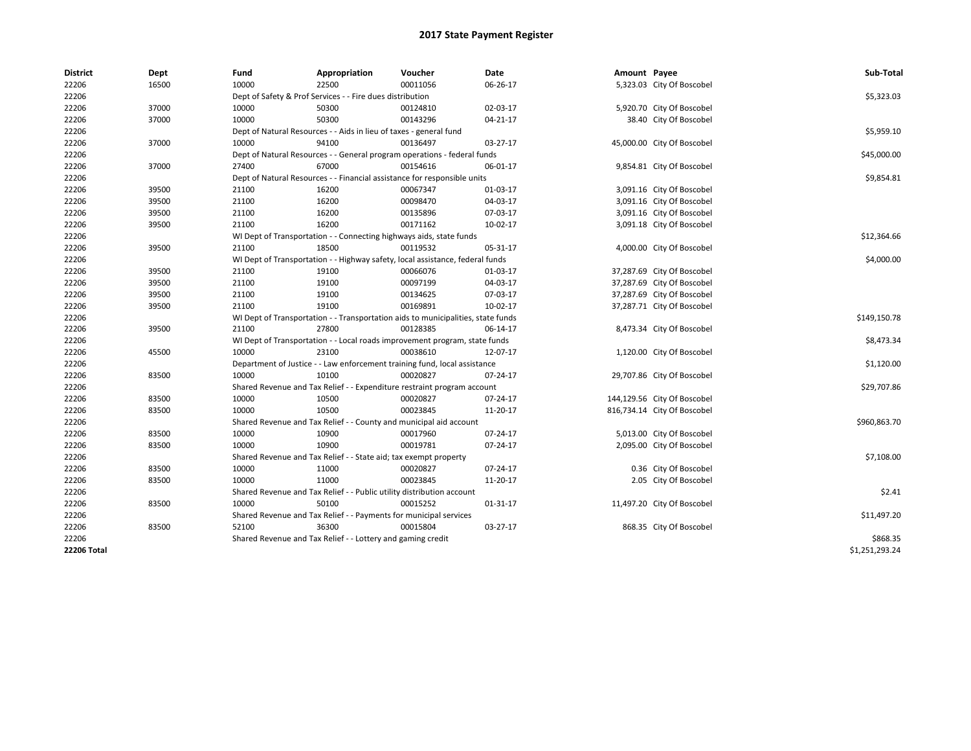| <b>District</b> | Dept  | Fund  | Appropriation                                                                    | Voucher  | Date     | Amount Payee |                             | Sub-Total      |
|-----------------|-------|-------|----------------------------------------------------------------------------------|----------|----------|--------------|-----------------------------|----------------|
| 22206           | 16500 | 10000 | 22500                                                                            | 00011056 | 06-26-17 |              | 5,323.03 City Of Boscobel   |                |
| 22206           |       |       | Dept of Safety & Prof Services - - Fire dues distribution                        |          |          |              |                             | \$5,323.03     |
| 22206           | 37000 | 10000 | 50300                                                                            | 00124810 | 02-03-17 |              | 5,920.70 City Of Boscobel   |                |
| 22206           | 37000 | 10000 | 50300                                                                            | 00143296 | 04-21-17 |              | 38.40 City Of Boscobel      |                |
| 22206           |       |       | Dept of Natural Resources - - Aids in lieu of taxes - general fund               |          |          |              |                             | \$5,959.10     |
| 22206           | 37000 | 10000 | 94100                                                                            | 00136497 | 03-27-17 |              | 45,000.00 City Of Boscobel  |                |
| 22206           |       |       | Dept of Natural Resources - - General program operations - federal funds         |          |          |              |                             | \$45,000.00    |
| 22206           | 37000 | 27400 | 67000                                                                            | 00154616 | 06-01-17 |              | 9,854.81 City Of Boscobel   |                |
| 22206           |       |       | Dept of Natural Resources - - Financial assistance for responsible units         |          |          |              |                             | \$9,854.81     |
| 22206           | 39500 | 21100 | 16200                                                                            | 00067347 | 01-03-17 |              | 3,091.16 City Of Boscobel   |                |
| 22206           | 39500 | 21100 | 16200                                                                            | 00098470 | 04-03-17 |              | 3,091.16 City Of Boscobel   |                |
| 22206           | 39500 | 21100 | 16200                                                                            | 00135896 | 07-03-17 |              | 3,091.16 City Of Boscobel   |                |
| 22206           | 39500 | 21100 | 16200                                                                            | 00171162 | 10-02-17 |              | 3,091.18 City Of Boscobel   |                |
| 22206           |       |       | WI Dept of Transportation - - Connecting highways aids, state funds              |          |          |              |                             | \$12,364.66    |
| 22206           | 39500 | 21100 | 18500                                                                            | 00119532 | 05-31-17 |              | 4,000.00 City Of Boscobel   |                |
| 22206           |       |       | WI Dept of Transportation - - Highway safety, local assistance, federal funds    |          |          |              |                             | \$4,000.00     |
| 22206           | 39500 | 21100 | 19100                                                                            | 00066076 | 01-03-17 |              | 37,287.69 City Of Boscobel  |                |
| 22206           | 39500 | 21100 | 19100                                                                            | 00097199 | 04-03-17 |              | 37,287.69 City Of Boscobel  |                |
| 22206           | 39500 | 21100 | 19100                                                                            | 00134625 | 07-03-17 |              | 37,287.69 City Of Boscobel  |                |
| 22206           | 39500 | 21100 | 19100                                                                            | 00169891 | 10-02-17 |              | 37,287.71 City Of Boscobel  |                |
| 22206           |       |       | WI Dept of Transportation - - Transportation aids to municipalities, state funds |          |          |              |                             | \$149,150.78   |
| 22206           | 39500 | 21100 | 27800                                                                            | 00128385 | 06-14-17 |              | 8,473.34 City Of Boscobel   |                |
| 22206           |       |       | WI Dept of Transportation - - Local roads improvement program, state funds       |          |          |              |                             | \$8,473.34     |
| 22206           | 45500 | 10000 | 23100                                                                            | 00038610 | 12-07-17 |              | 1,120.00 City Of Boscobel   |                |
| 22206           |       |       | Department of Justice - - Law enforcement training fund, local assistance        |          |          |              |                             | \$1,120.00     |
| 22206           | 83500 | 10000 | 10100                                                                            | 00020827 | 07-24-17 |              | 29,707.86 City Of Boscobel  |                |
| 22206           |       |       | Shared Revenue and Tax Relief - - Expenditure restraint program account          |          |          |              |                             | \$29,707.86    |
| 22206           | 83500 | 10000 | 10500                                                                            | 00020827 | 07-24-17 |              | 144,129.56 City Of Boscobel |                |
| 22206           | 83500 | 10000 | 10500                                                                            | 00023845 | 11-20-17 |              | 816,734.14 City Of Boscobel |                |
| 22206           |       |       | Shared Revenue and Tax Relief - - County and municipal aid account               |          |          |              |                             | \$960,863.70   |
| 22206           | 83500 | 10000 | 10900                                                                            | 00017960 | 07-24-17 |              | 5,013.00 City Of Boscobel   |                |
| 22206           | 83500 | 10000 | 10900                                                                            | 00019781 | 07-24-17 |              | 2,095.00 City Of Boscobel   |                |
| 22206           |       |       | Shared Revenue and Tax Relief - - State aid; tax exempt property                 |          |          |              |                             | \$7,108.00     |
| 22206           | 83500 | 10000 | 11000                                                                            | 00020827 | 07-24-17 |              | 0.36 City Of Boscobel       |                |
| 22206           | 83500 | 10000 | 11000                                                                            | 00023845 | 11-20-17 |              | 2.05 City Of Boscobel       |                |
| 22206           |       |       | Shared Revenue and Tax Relief - - Public utility distribution account            |          |          |              |                             | \$2.41         |
| 22206           | 83500 | 10000 | 50100                                                                            | 00015252 | 01-31-17 |              | 11,497.20 City Of Boscobel  |                |
| 22206           |       |       | Shared Revenue and Tax Relief - - Payments for municipal services                |          |          |              |                             | \$11,497.20    |
| 22206           | 83500 | 52100 | 36300                                                                            | 00015804 | 03-27-17 |              | 868.35 City Of Boscobel     |                |
| 22206           |       |       | Shared Revenue and Tax Relief - - Lottery and gaming credit                      |          |          |              |                             | \$868.35       |
| 22206 Total     |       |       |                                                                                  |          |          |              |                             | \$1,251,293.24 |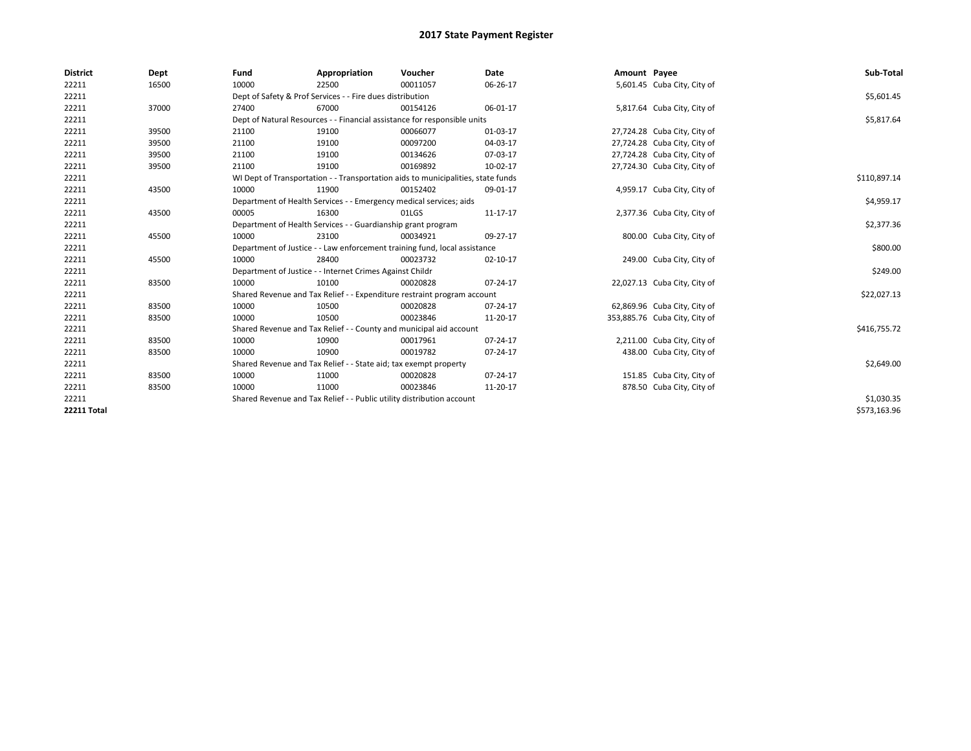| <b>District</b>    | Dept  | Fund  | Appropriation                                                                    | Voucher  | Date           | Amount Payee |                               | Sub-Total    |  |  |
|--------------------|-------|-------|----------------------------------------------------------------------------------|----------|----------------|--------------|-------------------------------|--------------|--|--|
| 22211              | 16500 | 10000 | 22500                                                                            | 00011057 | 06-26-17       |              | 5,601.45 Cuba City, City of   |              |  |  |
| 22211              |       |       | Dept of Safety & Prof Services - - Fire dues distribution                        |          |                |              |                               | \$5,601.45   |  |  |
| 22211              | 37000 | 27400 | 67000                                                                            | 00154126 | 06-01-17       |              | 5,817.64 Cuba City, City of   |              |  |  |
| 22211              |       |       | Dept of Natural Resources - - Financial assistance for responsible units         |          |                |              |                               |              |  |  |
| 22211              | 39500 | 21100 | 19100                                                                            | 00066077 | 01-03-17       |              | 27,724.28 Cuba City, City of  |              |  |  |
| 22211              | 39500 | 21100 | 19100                                                                            | 00097200 | 04-03-17       |              | 27,724.28 Cuba City, City of  |              |  |  |
| 22211              | 39500 | 21100 | 19100                                                                            | 00134626 | 07-03-17       |              | 27,724.28 Cuba City, City of  |              |  |  |
| 22211              | 39500 | 21100 | 19100                                                                            | 00169892 | 10-02-17       |              | 27,724.30 Cuba City, City of  |              |  |  |
| 22211              |       |       | WI Dept of Transportation - - Transportation aids to municipalities, state funds |          |                |              |                               | \$110,897.14 |  |  |
| 22211              | 43500 | 10000 | 11900                                                                            | 00152402 | 09-01-17       |              | 4,959.17 Cuba City, City of   |              |  |  |
| 22211              |       |       | Department of Health Services - - Emergency medical services; aids               |          |                |              |                               | \$4,959.17   |  |  |
| 22211              | 43500 | 00005 | 16300                                                                            | 01LGS    | 11-17-17       |              | 2,377.36 Cuba City, City of   |              |  |  |
| 22211              |       |       | Department of Health Services - - Guardianship grant program                     |          |                |              |                               |              |  |  |
| 22211              | 45500 | 10000 | 23100                                                                            | 00034921 | 09-27-17       |              | 800.00 Cuba City, City of     |              |  |  |
| 22211              |       |       | Department of Justice - - Law enforcement training fund, local assistance        |          |                |              |                               | \$800.00     |  |  |
| 22211              | 45500 | 10000 | 28400                                                                            | 00023732 | $02 - 10 - 17$ |              | 249.00 Cuba City, City of     |              |  |  |
| 22211              |       |       | Department of Justice - - Internet Crimes Against Childr                         |          |                |              |                               | \$249.00     |  |  |
| 22211              | 83500 | 10000 | 10100                                                                            | 00020828 | 07-24-17       |              | 22,027.13 Cuba City, City of  |              |  |  |
| 22211              |       |       | Shared Revenue and Tax Relief - - Expenditure restraint program account          |          |                |              |                               | \$22,027.13  |  |  |
| 22211              | 83500 | 10000 | 10500                                                                            | 00020828 | 07-24-17       |              | 62,869.96 Cuba City, City of  |              |  |  |
| 22211              | 83500 | 10000 | 10500                                                                            | 00023846 | 11-20-17       |              | 353,885.76 Cuba City, City of |              |  |  |
| 22211              |       |       | Shared Revenue and Tax Relief - - County and municipal aid account               |          |                |              |                               | \$416,755.72 |  |  |
| 22211              | 83500 | 10000 | 10900                                                                            | 00017961 | 07-24-17       |              | 2,211.00 Cuba City, City of   |              |  |  |
| 22211              | 83500 | 10000 | 10900                                                                            | 00019782 | 07-24-17       |              | 438.00 Cuba City, City of     |              |  |  |
| 22211              |       |       | Shared Revenue and Tax Relief - - State aid; tax exempt property                 |          |                |              |                               | \$2,649.00   |  |  |
| 22211              | 83500 | 10000 | 11000                                                                            | 00020828 | 07-24-17       |              | 151.85 Cuba City, City of     |              |  |  |
| 22211              | 83500 | 10000 | 11000                                                                            | 00023846 | 11-20-17       |              | 878.50 Cuba City, City of     |              |  |  |
| 22211              |       |       | Shared Revenue and Tax Relief - - Public utility distribution account            |          |                |              |                               | \$1,030.35   |  |  |
| <b>22211 Total</b> |       |       |                                                                                  |          |                |              |                               | \$573,163.96 |  |  |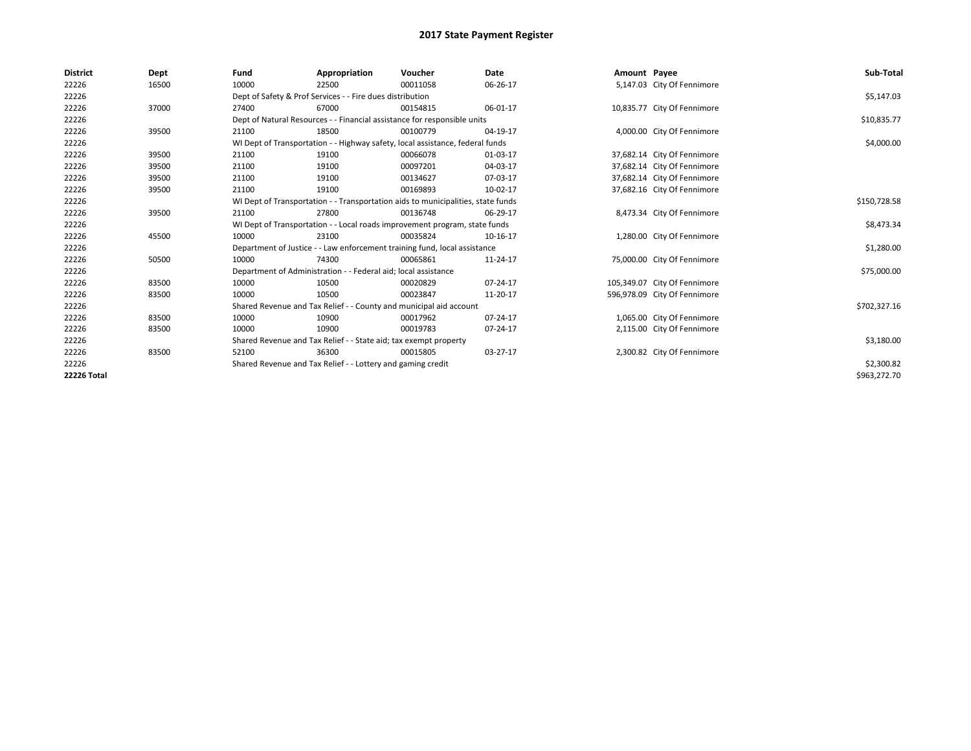| <b>District</b> | Dept  | Fund                                                                          | Appropriation                                                                    | Voucher    | Date       | Amount Payee |                              | Sub-Total    |
|-----------------|-------|-------------------------------------------------------------------------------|----------------------------------------------------------------------------------|------------|------------|--------------|------------------------------|--------------|
| 22226           | 16500 | 10000                                                                         | 22500                                                                            | 00011058   | 06-26-17   |              | 5,147.03 City Of Fennimore   |              |
| 22226           |       |                                                                               | Dept of Safety & Prof Services - - Fire dues distribution                        |            |            |              |                              | \$5,147.03   |
| 22226           | 37000 | 27400                                                                         | 67000                                                                            | 00154815   | 06-01-17   |              | 10,835.77 City Of Fennimore  |              |
| 22226           |       |                                                                               | Dept of Natural Resources - - Financial assistance for responsible units         |            |            |              |                              | \$10,835.77  |
| 22226           | 39500 | 21100                                                                         | 18500                                                                            | 00100779   | 04-19-17   |              | 4,000.00 City Of Fennimore   |              |
| 22226           |       | WI Dept of Transportation - - Highway safety, local assistance, federal funds |                                                                                  | \$4,000.00 |            |              |                              |              |
| 22226           | 39500 | 21100                                                                         | 19100                                                                            | 00066078   | 01-03-17   |              | 37,682.14 City Of Fennimore  |              |
| 22226           | 39500 | 21100                                                                         | 19100                                                                            | 00097201   | 04-03-17   |              | 37,682.14 City Of Fennimore  |              |
| 22226           | 39500 | 21100                                                                         | 19100                                                                            | 00134627   | 07-03-17   |              | 37,682.14 City Of Fennimore  |              |
| 22226           | 39500 | 21100                                                                         | 19100                                                                            | 00169893   | 10-02-17   |              | 37,682.16 City Of Fennimore  |              |
| 22226           |       |                                                                               | WI Dept of Transportation - - Transportation aids to municipalities, state funds |            |            |              |                              | \$150,728.58 |
| 22226           | 39500 | 21100                                                                         | 27800                                                                            | 00136748   | 06-29-17   |              | 8,473.34 City Of Fennimore   |              |
| 22226           |       |                                                                               | WI Dept of Transportation - - Local roads improvement program, state funds       |            |            |              |                              | \$8,473.34   |
| 22226           | 45500 | 10000                                                                         | 23100                                                                            | 00035824   | 10-16-17   |              | 1,280.00 City Of Fennimore   |              |
| 22226           |       |                                                                               | Department of Justice - - Law enforcement training fund, local assistance        |            |            |              |                              | \$1,280.00   |
| 22226           | 50500 | 10000                                                                         | 74300                                                                            | 00065861   | 11-24-17   |              | 75,000.00 City Of Fennimore  |              |
| 22226           |       |                                                                               | Department of Administration - - Federal aid; local assistance                   |            |            |              |                              | \$75,000.00  |
| 22226           | 83500 | 10000                                                                         | 10500                                                                            | 00020829   | 07-24-17   |              | 105,349.07 City Of Fennimore |              |
| 22226           | 83500 | 10000                                                                         | 10500                                                                            | 00023847   | 11-20-17   |              | 596,978.09 City Of Fennimore |              |
| 22226           |       |                                                                               | Shared Revenue and Tax Relief - - County and municipal aid account               |            |            |              |                              | \$702,327.16 |
| 22226           | 83500 | 10000                                                                         | 10900                                                                            | 00017962   | 07-24-17   |              | 1,065.00 City Of Fennimore   |              |
| 22226           | 83500 | 10000                                                                         | 10900                                                                            | 00019783   | 07-24-17   |              | 2,115.00 City Of Fennimore   |              |
| 22226           |       |                                                                               | Shared Revenue and Tax Relief - - State aid; tax exempt property                 |            |            |              |                              | \$3,180.00   |
| 22226           | 83500 | 52100                                                                         | 36300                                                                            | 00015805   | $03-27-17$ |              | 2,300.82 City Of Fennimore   |              |
| 22226           |       |                                                                               | Shared Revenue and Tax Relief - - Lottery and gaming credit                      |            |            |              |                              | \$2,300.82   |
| 22226 Total     |       |                                                                               |                                                                                  |            |            |              |                              | \$963,272.70 |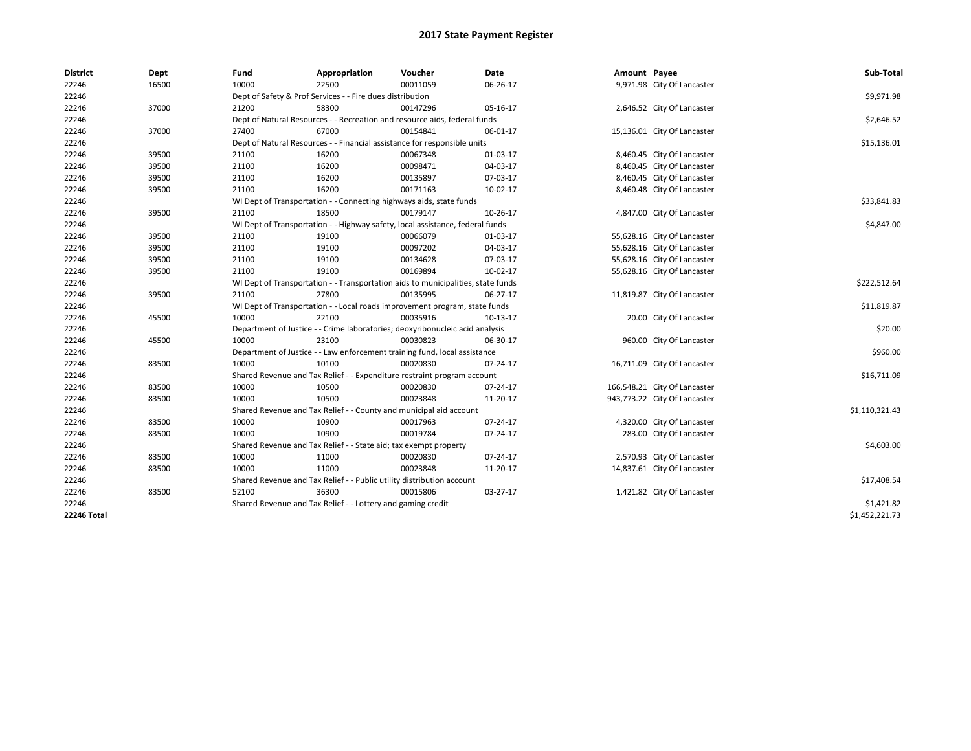| <b>District</b>    | Dept  | Fund  | Appropriation                                                                    | Voucher  | Date     | Amount Payee |                              | Sub-Total      |  |  |
|--------------------|-------|-------|----------------------------------------------------------------------------------|----------|----------|--------------|------------------------------|----------------|--|--|
| 22246              | 16500 | 10000 | 22500                                                                            | 00011059 | 06-26-17 |              | 9,971.98 City Of Lancaster   |                |  |  |
| 22246              |       |       | Dept of Safety & Prof Services - - Fire dues distribution                        |          |          |              |                              | \$9,971.98     |  |  |
| 22246              | 37000 | 21200 | 58300                                                                            | 00147296 | 05-16-17 |              | 2,646.52 City Of Lancaster   |                |  |  |
| 22246              |       |       | Dept of Natural Resources - - Recreation and resource aids, federal funds        |          |          |              |                              | \$2,646.52     |  |  |
| 22246              | 37000 | 27400 | 67000                                                                            | 00154841 | 06-01-17 |              | 15,136.01 City Of Lancaster  |                |  |  |
| 22246              |       |       | Dept of Natural Resources - - Financial assistance for responsible units         |          |          |              |                              |                |  |  |
| 22246              | 39500 | 21100 | 16200                                                                            | 00067348 | 01-03-17 |              | 8,460.45 City Of Lancaster   |                |  |  |
| 22246              | 39500 | 21100 | 16200                                                                            | 00098471 | 04-03-17 |              | 8,460.45 City Of Lancaster   |                |  |  |
| 22246              | 39500 | 21100 | 16200                                                                            | 00135897 | 07-03-17 |              | 8,460.45 City Of Lancaster   |                |  |  |
| 22246              | 39500 | 21100 | 16200                                                                            | 00171163 | 10-02-17 |              | 8,460.48 City Of Lancaster   |                |  |  |
| 22246              |       |       | WI Dept of Transportation - - Connecting highways aids, state funds              |          |          |              |                              | \$33,841.83    |  |  |
| 22246              | 39500 | 21100 | 18500                                                                            | 00179147 | 10-26-17 |              | 4,847.00 City Of Lancaster   |                |  |  |
| 22246              |       |       | WI Dept of Transportation - - Highway safety, local assistance, federal funds    |          |          |              |                              | \$4,847.00     |  |  |
| 22246              | 39500 | 21100 | 19100                                                                            | 00066079 | 01-03-17 |              | 55,628.16 City Of Lancaster  |                |  |  |
| 22246              | 39500 | 21100 | 19100                                                                            | 00097202 | 04-03-17 |              | 55,628.16 City Of Lancaster  |                |  |  |
| 22246              | 39500 | 21100 | 19100                                                                            | 00134628 | 07-03-17 |              | 55,628.16 City Of Lancaster  |                |  |  |
| 22246              | 39500 | 21100 | 19100                                                                            | 00169894 | 10-02-17 |              | 55,628.16 City Of Lancaster  |                |  |  |
| 22246              |       |       | WI Dept of Transportation - - Transportation aids to municipalities, state funds |          |          |              |                              | \$222,512.64   |  |  |
| 22246              | 39500 | 21100 | 27800                                                                            | 00135995 | 06-27-17 |              | 11,819.87 City Of Lancaster  |                |  |  |
| 22246              |       |       | WI Dept of Transportation - - Local roads improvement program, state funds       |          |          |              |                              | \$11,819.87    |  |  |
| 22246              | 45500 | 10000 | 22100                                                                            | 00035916 | 10-13-17 |              | 20.00 City Of Lancaster      |                |  |  |
| 22246              |       |       | Department of Justice - - Crime laboratories; deoxyribonucleic acid analysis     |          |          |              |                              | \$20.00        |  |  |
| 22246              | 45500 | 10000 | 23100                                                                            | 00030823 | 06-30-17 |              | 960.00 City Of Lancaster     |                |  |  |
| 22246              |       |       | Department of Justice - - Law enforcement training fund, local assistance        |          |          |              |                              | \$960.00       |  |  |
| 22246              | 83500 | 10000 | 10100                                                                            | 00020830 | 07-24-17 |              | 16,711.09 City Of Lancaster  |                |  |  |
| 22246              |       |       | Shared Revenue and Tax Relief - - Expenditure restraint program account          |          |          |              |                              | \$16,711.09    |  |  |
| 22246              | 83500 | 10000 | 10500                                                                            | 00020830 | 07-24-17 |              | 166,548.21 City Of Lancaster |                |  |  |
| 22246              | 83500 | 10000 | 10500                                                                            | 00023848 | 11-20-17 |              | 943,773.22 City Of Lancaster |                |  |  |
| 22246              |       |       | Shared Revenue and Tax Relief - - County and municipal aid account               |          |          |              |                              | \$1,110,321.43 |  |  |
| 22246              | 83500 | 10000 | 10900                                                                            | 00017963 | 07-24-17 |              | 4,320.00 City Of Lancaster   |                |  |  |
| 22246              | 83500 | 10000 | 10900                                                                            | 00019784 | 07-24-17 |              | 283.00 City Of Lancaster     |                |  |  |
| 22246              |       |       | Shared Revenue and Tax Relief - - State aid; tax exempt property                 |          |          |              |                              | \$4,603.00     |  |  |
| 22246              | 83500 | 10000 | 11000                                                                            | 00020830 | 07-24-17 |              | 2,570.93 City Of Lancaster   |                |  |  |
| 22246              | 83500 | 10000 | 11000                                                                            | 00023848 | 11-20-17 |              | 14,837.61 City Of Lancaster  |                |  |  |
| 22246              |       |       | Shared Revenue and Tax Relief - - Public utility distribution account            |          |          |              |                              | \$17,408.54    |  |  |
| 22246              | 83500 | 52100 | 36300                                                                            | 00015806 | 03-27-17 |              | 1,421.82 City Of Lancaster   |                |  |  |
| 22246              |       |       | Shared Revenue and Tax Relief - - Lottery and gaming credit                      |          |          |              |                              | \$1,421.82     |  |  |
| <b>22246 Total</b> |       |       |                                                                                  |          |          |              |                              | \$1,452,221.73 |  |  |